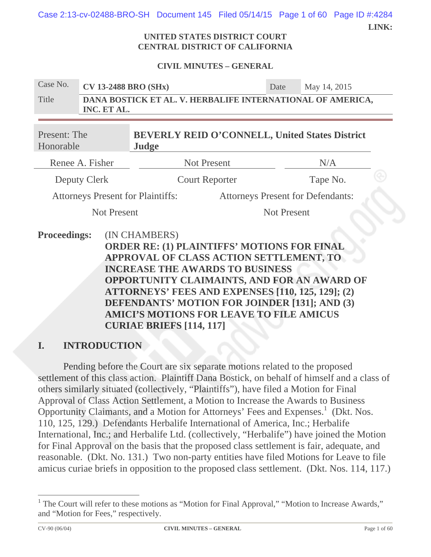Case 2:13-cv-02488-BRO-SH Document 145 Filed 05/14/15 Page 1 of 60 Page ID #:4284

 **LINK:** 

#### **UNITED STATES DISTRICT COURT CENTRAL DISTRICT OF CALIFORNIA**

#### **CIVIL MINUTES – GENERAL**

| Case No.                  | <b>CV 13-2488 BRO (SHx)</b>                                               |                                                                                                                                                          |                    | Date | May 14, 2015                                          |  |
|---------------------------|---------------------------------------------------------------------------|----------------------------------------------------------------------------------------------------------------------------------------------------------|--------------------|------|-------------------------------------------------------|--|
| Title                     | DANA BOSTICK ET AL. V. HERBALIFE INTERNATIONAL OF AMERICA,<br>INC. ET AL. |                                                                                                                                                          |                    |      |                                                       |  |
| Present: The<br>Honorable |                                                                           | Judge                                                                                                                                                    |                    |      | <b>BEVERLY REID O'CONNELL, United States District</b> |  |
| Renee A. Fisher           |                                                                           | <b>Not Present</b>                                                                                                                                       |                    |      | N/A                                                   |  |
| Deputy Clerk              |                                                                           | <b>Court Reporter</b>                                                                                                                                    |                    |      | Tape No.                                              |  |
|                           | <b>Attorneys Present for Plaintiffs:</b>                                  |                                                                                                                                                          |                    |      | <b>Attorneys Present for Defendants:</b>              |  |
| <b>Not Present</b>        |                                                                           |                                                                                                                                                          | <b>Not Present</b> |      |                                                       |  |
| <b>Proceedings:</b>       |                                                                           | (IN CHAMBERS)<br><b>ORDER RE: (1) PLAINTIFFS' MOTIONS FOR FINAL</b><br>APPROVAL OF CLASS ACTION SETTLEMENT, TO<br><b>INCREASE THE AWARDS TO BUSINESS</b> |                    |      |                                                       |  |

**OPPORTUNITY CLAIMAINTS, AND FOR AN AWARD OF ATTORNEYS' FEES AND EXPENSES [110, 125, 129]; (2) DEFENDANTS' MOTION FOR JOINDER [131]; AND (3) AMICI'S MOTIONS FOR LEAVE TO FILE AMICUS CURIAE BRIEFS [114, 117]**

## **I. INTRODUCTION**

Pending before the Court are six separate motions related to the proposed settlement of this class action. Plaintiff Dana Bostick, on behalf of himself and a class of others similarly situated (collectively, "Plaintiffs"), have filed a Motion for Final Approval of Class Action Settlement, a Motion to Increase the Awards to Business Opportunity Claimants, and a Motion for Attorneys' Fees and Expenses.<sup>1</sup> (Dkt. Nos. 110, 125, 129.) Defendants Herbalife International of America, Inc.; Herbalife International, Inc.; and Herbalife Ltd. (collectively, "Herbalife") have joined the Motion for Final Approval on the basis that the proposed class settlement is fair, adequate, and reasonable. (Dkt. No. 131.) Two non-party entities have filed Motions for Leave to file amicus curiae briefs in opposition to the proposed class settlement. (Dkt. Nos. 114, 117.)

<sup>&</sup>lt;sup>1</sup> The Court will refer to these motions as "Motion for Final Approval," "Motion to Increase Awards," and "Motion for Fees," respectively.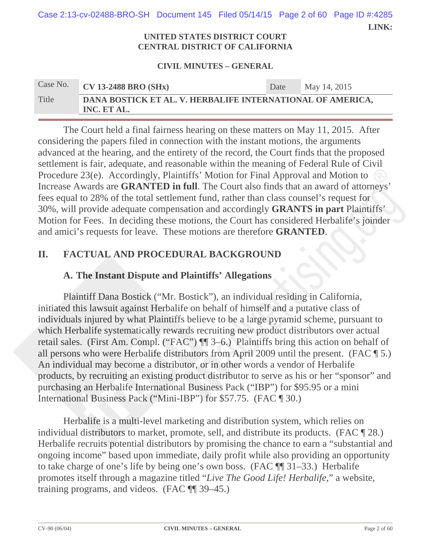**LINK:**  Case 2:13-cv-02488-BRO-SH Document 145 Filed 05/14/15 Page 2 of 60 Page ID #:4285

#### **UNITED STATES DISTRICT COURT CENTRAL DISTRICT OF CALIFORNIA**

#### **CIVIL MINUTES – GENERAL**

| Case No. | <b>CV 13-2488 BRO (SHx)</b>                                               | Date | May 14, 2015 |  |  |  |
|----------|---------------------------------------------------------------------------|------|--------------|--|--|--|
| Title    | DANA BOSTICK ET AL. V. HERBALIFE INTERNATIONAL OF AMERICA,<br>INC. ET AL. |      |              |  |  |  |

The Court held a final fairness hearing on these matters on May 11, 2015. After considering the papers filed in connection with the instant motions, the arguments advanced at the hearing, and the entirety of the record, the Court finds that the proposed settlement is fair, adequate, and reasonable within the meaning of Federal Rule of Civil Procedure 23(e). Accordingly, Plaintiffs' Motion for Final Approval and Motion to Increase Awards are **GRANTED in full**. The Court also finds that an award of attorneys' fees equal to 28% of the total settlement fund, rather than class counsel's request for 30%, will provide adequate compensation and accordingly **GRANTS in part** Plaintiffs' Motion for Fees. In deciding these motions, the Court has considered Herbalife's joinder and amici's requests for leave. These motions are therefore **GRANTED**.

## **II. FACTUAL AND PROCEDURAL BACKGROUND**

## **A. The Instant Dispute and Plaintiffs' Allegations**

Plaintiff Dana Bostick ("Mr. Bostick"), an individual residing in California, initiated this lawsuit against Herbalife on behalf of himself and a putative class of individuals injured by what Plaintiffs believe to be a large pyramid scheme, pursuant to which Herbalife systematically rewards recruiting new product distributors over actual retail sales. (First Am. Compl. ("FAC") ¶¶ 3–6.) Plaintiffs bring this action on behalf of all persons who were Herbalife distributors from April 2009 until the present. (FAC ¶ 5.) An individual may become a distributor, or in other words a vendor of Herbalife products, by recruiting an existing product distributor to serve as his or her "sponsor" and purchasing an Herbalife International Business Pack ("IBP") for \$95.95 or a mini International Business Pack ("Mini-IBP") for \$57.75. (FAC ¶ 30.)

Herbalife is a multi-level marketing and distribution system, which relies on individual distributors to market, promote, sell, and distribute its products. (FAC ¶ 28.) Herbalife recruits potential distributors by promising the chance to earn a "substantial and ongoing income" based upon immediate, daily profit while also providing an opportunity to take charge of one's life by being one's own boss. (FAC ¶¶ 31–33.) Herbalife promotes itself through a magazine titled "*Live The Good Life! Herbalife*," a website, training programs, and videos. (FAC ¶¶ 39–45.)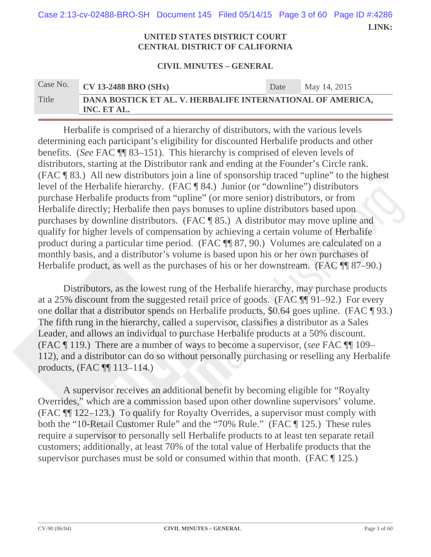Case 2:13-cv-02488-BRO-SH Document 145 Filed 05/14/15 Page 3 of 60 Page ID #:4286

 **LINK:** 

#### **UNITED STATES DISTRICT COURT CENTRAL DISTRICT OF CALIFORNIA**

#### **CIVIL MINUTES – GENERAL**

# Case No. **CV 13-2488 BRO (SHx)** Date May 14, 2015 Title **DANA BOSTICK ET AL. V. HERBALIFE INTERNATIONAL OF AMERICA, INC. ET AL.**

Herbalife is comprised of a hierarchy of distributors, with the various levels determining each participant's eligibility for discounted Herbalife products and other benefits. (*See* FAC ¶¶ 83–151). This hierarchy is comprised of eleven levels of distributors, starting at the Distributor rank and ending at the Founder's Circle rank. (FAC ¶ 83.) All new distributors join a line of sponsorship traced "upline" to the highest level of the Herbalife hierarchy. (FAC ¶ 84.) Junior (or "downline") distributors purchase Herbalife products from "upline" (or more senior) distributors, or from Herbalife directly; Herbalife then pays bonuses to upline distributors based upon purchases by downline distributors. (FAC ¶ 85.) A distributor may move upline and qualify for higher levels of compensation by achieving a certain volume of Herbalife product during a particular time period. (FAC ¶¶ 87, 90.) Volumes are calculated on a monthly basis, and a distributor's volume is based upon his or her own purchases of Herbalife product, as well as the purchases of his or her downstream. (FAC ¶¶ 87–90.)

Distributors, as the lowest rung of the Herbalife hierarchy, may purchase products at a 25% discount from the suggested retail price of goods. (FAC ¶¶ 91–92.) For every one dollar that a distributor spends on Herbalife products, \$0.64 goes upline. (FAC ¶ 93.) The fifth rung in the hierarchy, called a supervisor, classifies a distributor as a Sales Leader, and allows an individual to purchase Herbalife products at a 50% discount. (FAC ¶ 119.) There are a number of ways to become a supervisor, (*see* FAC ¶¶ 109– 112), and a distributor can do so without personally purchasing or reselling any Herbalife products, (FAC ¶¶ 113–114.)

A supervisor receives an additional benefit by becoming eligible for "Royalty Overrides," which are a commission based upon other downline supervisors' volume. (FAC ¶¶ 122–123.) To qualify for Royalty Overrides, a supervisor must comply with both the "10-Retail Customer Rule" and the "70% Rule." (FAC ¶ 125.) These rules require a supervisor to personally sell Herbalife products to at least ten separate retail customers; additionally, at least 70% of the total value of Herbalife products that the supervisor purchases must be sold or consumed within that month. (FAC ¶ 125.)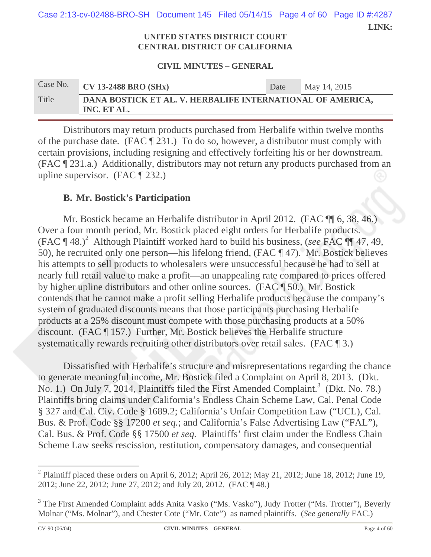Case 2:13-cv-02488-BRO-SH Document 145 Filed 05/14/15 Page 4 of 60 Page ID #:4287

 **LINK:** 

#### **UNITED STATES DISTRICT COURT CENTRAL DISTRICT OF CALIFORNIA**

#### **CIVIL MINUTES – GENERAL**

| Case No. | $CV$ 13-2488 BRO (SHx)                                                    | Date | May 14, 2015 |
|----------|---------------------------------------------------------------------------|------|--------------|
| Title    | DANA BOSTICK ET AL. V. HERBALIFE INTERNATIONAL OF AMERICA,<br>INC. ET AL. |      |              |

Distributors may return products purchased from Herbalife within twelve months of the purchase date. (FAC ¶ 231.) To do so, however, a distributor must comply with certain provisions, including resigning and effectively forfeiting his or her downstream. (FAC ¶ 231.a.) Additionally, distributors may not return any products purchased from an upline supervisor. (FAC ¶ 232.)

## **B. Mr. Bostick's Participation**

Mr. Bostick became an Herbalife distributor in April 2012. (FAC ¶ 6, 38, 46.) Over a four month period, Mr. Bostick placed eight orders for Herbalife products. (FAC ¶ 48.)<sup>2</sup> Although Plaintiff worked hard to build his business, (*see* FAC ¶¶ 47, 49, 50), he recruited only one person—his lifelong friend, (FAC ¶ 47). Mr. Bostick believes his attempts to sell products to wholesalers were unsuccessful because he had to sell at nearly full retail value to make a profit—an unappealing rate compared to prices offered by higher upline distributors and other online sources. (FAC ¶ 50.) Mr. Bostick contends that he cannot make a profit selling Herbalife products because the company's system of graduated discounts means that those participants purchasing Herbalife products at a 25% discount must compete with those purchasing products at a 50% discount. (FAC ¶ 157.) Further, Mr. Bostick believes the Herbalife structure systematically rewards recruiting other distributors over retail sales. (FAC ¶ 3.)

Dissatisfied with Herbalife's structure and misrepresentations regarding the chance to generate meaningful income, Mr. Bostick filed a Complaint on April 8, 2013. (Dkt. No. 1.) On July 7, 2014, Plaintiffs filed the First Amended Complaint.<sup>3</sup> (Dkt. No. 78.) Plaintiffs bring claims under California's Endless Chain Scheme Law, Cal. Penal Code § 327 and Cal. Civ. Code § 1689.2; California's Unfair Competition Law ("UCL), Cal. Bus. & Prof. Code §§ 17200 *et seq.*; and California's False Advertising Law ("FAL"), Cal. Bus. & Prof. Code §§ 17500 *et seq.* Plaintiffs' first claim under the Endless Chain Scheme Law seeks rescission, restitution, compensatory damages, and consequential

 <sup>2</sup> Plaintiff placed these orders on April 6, 2012; April 26, 2012; May 21, 2012; June 18, 2012; June 19, 2012; June 22, 2012; June 27, 2012; and July 20, 2012. (FAC ¶ 48.)

<sup>&</sup>lt;sup>3</sup> The First Amended Complaint adds Anita Vasko ("Ms. Vasko"), Judy Trotter ("Ms. Trotter"), Beverly Molnar ("Ms. Molnar"), and Chester Cote ("Mr. Cote") as named plaintiffs. (*See generally* FAC.)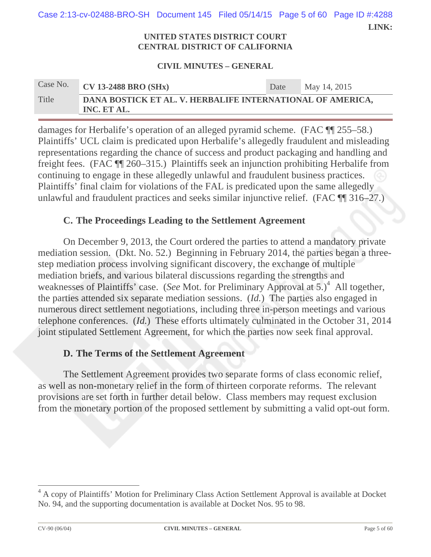Case 2:13-cv-02488-BRO-SH Document 145 Filed 05/14/15 Page 5 of 60 Page ID #:4288

 **LINK:** 

#### **UNITED STATES DISTRICT COURT CENTRAL DISTRICT OF CALIFORNIA**

#### **CIVIL MINUTES – GENERAL**

| Case No. | $\overline{\text{CV}}$ 13-2488 BRO (SHx)                                  | Date | May 14, 2015 |  |  |  |
|----------|---------------------------------------------------------------------------|------|--------------|--|--|--|
| Title    | DANA BOSTICK ET AL. V. HERBALIFE INTERNATIONAL OF AMERICA,<br>INC. ET AL. |      |              |  |  |  |

damages for Herbalife's operation of an alleged pyramid scheme. (FAC ¶¶ 255–58.) Plaintiffs' UCL claim is predicated upon Herbalife's allegedly fraudulent and misleading representations regarding the chance of success and product packaging and handling and freight fees. (FAC ¶¶ 260–315.) Plaintiffs seek an injunction prohibiting Herbalife from continuing to engage in these allegedly unlawful and fraudulent business practices. Plaintiffs' final claim for violations of the FAL is predicated upon the same allegedly unlawful and fraudulent practices and seeks similar injunctive relief. (FAC ¶¶ 316–27.)

## **C. The Proceedings Leading to the Settlement Agreement**

On December 9, 2013, the Court ordered the parties to attend a mandatory private mediation session. (Dkt. No. 52.) Beginning in February 2014, the parties began a threestep mediation process involving significant discovery, the exchange of multiple mediation briefs, and various bilateral discussions regarding the strengths and weaknesses of Plaintiffs' case. (*See* Mot. for Preliminary Approval at 5.)<sup>4</sup> All together, the parties attended six separate mediation sessions. (*Id.*) The parties also engaged in numerous direct settlement negotiations, including three in-person meetings and various telephone conferences. (*Id.*) These efforts ultimately culminated in the October 31, 2014 joint stipulated Settlement Agreement, for which the parties now seek final approval.

# **D. The Terms of the Settlement Agreement**

The Settlement Agreement provides two separate forms of class economic relief, as well as non-monetary relief in the form of thirteen corporate reforms. The relevant provisions are set forth in further detail below. Class members may request exclusion from the monetary portion of the proposed settlement by submitting a valid opt-out form.

 4 A copy of Plaintiffs' Motion for Preliminary Class Action Settlement Approval is available at Docket No. 94, and the supporting documentation is available at Docket Nos. 95 to 98.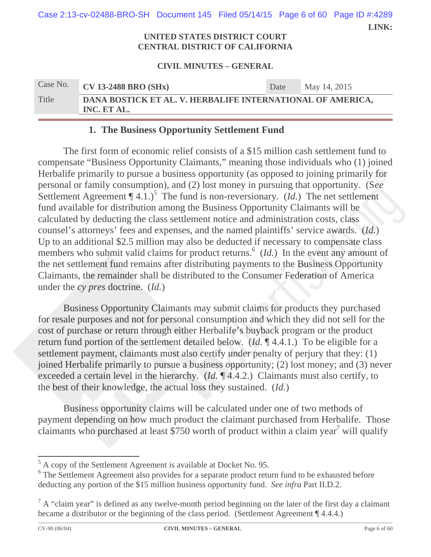**LINK:**  Case 2:13-cv-02488-BRO-SH Document 145 Filed 05/14/15 Page 6 of 60 Page ID #:4289

#### **UNITED STATES DISTRICT COURT CENTRAL DISTRICT OF CALIFORNIA**

#### **CIVIL MINUTES – GENERAL**

| Case No. | <b>CV 13-2488 BRO (SHx)</b>                                               | Date | May 14, 2015 |  |  |  |
|----------|---------------------------------------------------------------------------|------|--------------|--|--|--|
| Title    | DANA BOSTICK ET AL. V. HERBALIFE INTERNATIONAL OF AMERICA,<br>INC. ET AL. |      |              |  |  |  |

### **1. The Business Opportunity Settlement Fund**

The first form of economic relief consists of a \$15 million cash settlement fund to compensate "Business Opportunity Claimants," meaning those individuals who (1) joined Herbalife primarily to pursue a business opportunity (as opposed to joining primarily for personal or family consumption), and (2) lost money in pursuing that opportunity. (S*ee*  Settlement Agreement  $\P$  4.1.)<sup>5</sup> The fund is non-reversionary. (*Id.*) The net settlement fund available for distribution among the Business Opportunity Claimants will be calculated by deducting the class settlement notice and administration costs, class counsel's attorneys' fees and expenses, and the named plaintiffs' service awards. (*Id.*) Up to an additional \$2.5 million may also be deducted if necessary to compensate class members who submit valid claims for product returns.<sup>6</sup> (*Id.*) In the event any amount of the net settlement fund remains after distributing payments to the Business Opportunity Claimants, the remainder shall be distributed to the Consumer Federation of America under the *cy pres* doctrine. (*Id.*)

Business Opportunity Claimants may submit claims for products they purchased for resale purposes and not for personal consumption and which they did not sell for the cost of purchase or return through either Herbalife's buyback program or the product return fund portion of the settlement detailed below. (*Id.* ¶ 4.4.1.) To be eligible for a settlement payment, claimants must also certify under penalty of perjury that they: (1) joined Herbalife primarily to pursue a business opportunity; (2) lost money; and (3) never exceeded a certain level in the hierarchy. (*Id.* ¶ 4.4.2.) Claimants must also certify, to the best of their knowledge, the actual loss they sustained. (*Id.*)

Business opportunity claims will be calculated under one of two methods of payment depending on how much product the claimant purchased from Herbalife. Those claimants who purchased at least \$750 worth of product within a claim year<sup>7</sup> will qualify

<sup>&</sup>lt;sup>5</sup> A copy of the Settlement Agreement is available at Docket No. 95.

<sup>&</sup>lt;sup>6</sup> The Settlement Agreement also provides for a separate product return fund to be exhausted before deducting any portion of the \$15 million business opportunity fund. *See infra* Part II.D.2.

 $7 A$  "claim year" is defined as any twelve-month period beginning on the later of the first day a claimant became a distributor or the beginning of the class period. (Settlement Agreement ¶ 4.4.4.)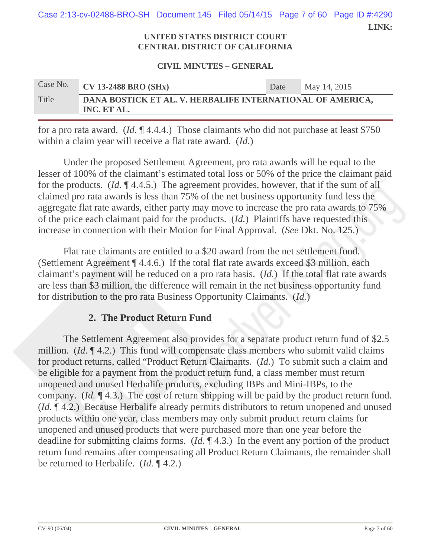Case 2:13-cv-02488-BRO-SH Document 145 Filed 05/14/15 Page 7 of 60 Page ID #:4290

 **LINK:** 

#### **UNITED STATES DISTRICT COURT CENTRAL DISTRICT OF CALIFORNIA**

#### **CIVIL MINUTES – GENERAL**

| Case No. | $CV$ 13-2488 BRO (SHx)                                                    | Date | May 14, 2015 |
|----------|---------------------------------------------------------------------------|------|--------------|
| Title    | DANA BOSTICK ET AL. V. HERBALIFE INTERNATIONAL OF AMERICA,<br>INC. ET AL. |      |              |

for a pro rata award. (*Id.* ¶ 4.4.4.) Those claimants who did not purchase at least \$750 within a claim year will receive a flat rate award. (*Id.*)

Under the proposed Settlement Agreement, pro rata awards will be equal to the lesser of 100% of the claimant's estimated total loss or 50% of the price the claimant paid for the products. (*Id.* ¶ 4.4.5.) The agreement provides, however, that if the sum of all claimed pro rata awards is less than 75% of the net business opportunity fund less the aggregate flat rate awards, either party may move to increase the pro rata awards to 75% of the price each claimant paid for the products. (*Id.*) Plaintiffs have requested this increase in connection with their Motion for Final Approval. (*See* Dkt. No. 125.)

Flat rate claimants are entitled to a \$20 award from the net settlement fund. (Settlement Agreement ¶ 4.4.6.) If the total flat rate awards exceed \$3 million, each claimant's payment will be reduced on a pro rata basis. (*Id.*) If the total flat rate awards are less than \$3 million, the difference will remain in the net business opportunity fund for distribution to the pro rata Business Opportunity Claimants. (*Id.*)

## **2. The Product Return Fund**

The Settlement Agreement also provides for a separate product return fund of \$2.5 million. *(Id.* 14.2.) This fund will compensate class members who submit valid claims for product returns, called "Product Return Claimants. (*Id.*) To submit such a claim and be eligible for a payment from the product return fund, a class member must return unopened and unused Herbalife products, excluding IBPs and Mini-IBPs, to the company. (*Id.* ¶ 4.3.) The cost of return shipping will be paid by the product return fund. (*Id.* ¶ 4.2.) Because Herbalife already permits distributors to return unopened and unused products within one year, class members may only submit product return claims for unopened and unused products that were purchased more than one year before the deadline for submitting claims forms. (*Id.* ¶ 4.3.) In the event any portion of the product return fund remains after compensating all Product Return Claimants, the remainder shall be returned to Herbalife. (*Id.* ¶ 4.2.)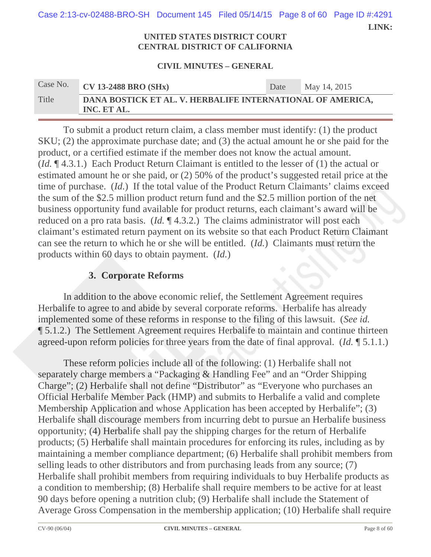Case 2:13-cv-02488-BRO-SH Document 145 Filed 05/14/15 Page 8 of 60 Page ID #:4291

 **LINK:** 

#### **UNITED STATES DISTRICT COURT CENTRAL DISTRICT OF CALIFORNIA**

#### **CIVIL MINUTES – GENERAL**

# Case No. **CV 13-2488 BRO (SHx)** Date May 14, 2015 Title **DANA BOSTICK ET AL. V. HERBALIFE INTERNATIONAL OF AMERICA, INC. ET AL.**

To submit a product return claim, a class member must identify: (1) the product SKU; (2) the approximate purchase date; and (3) the actual amount he or she paid for the product, or a certified estimate if the member does not know the actual amount. (*Id.* ¶ 4.3.1.) Each Product Return Claimant is entitled to the lesser of (1) the actual or estimated amount he or she paid, or (2) 50% of the product's suggested retail price at the time of purchase. (*Id.*) If the total value of the Product Return Claimants' claims exceed the sum of the \$2.5 million product return fund and the \$2.5 million portion of the net business opportunity fund available for product returns, each claimant's award will be reduced on a pro rata basis. (*Id.* ¶ 4.3.2.) The claims administrator will post each claimant's estimated return payment on its website so that each Product Return Claimant can see the return to which he or she will be entitled. (*Id.*) Claimants must return the products within 60 days to obtain payment. (*Id.*)

# **3. Corporate Reforms**

In addition to the above economic relief, the Settlement Agreement requires Herbalife to agree to and abide by several corporate reforms. Herbalife has already implemented some of these reforms in response to the filing of this lawsuit. (*See id.* ¶ 5.1.2.) The Settlement Agreement requires Herbalife to maintain and continue thirteen agreed-upon reform policies for three years from the date of final approval. (*Id.* ¶ 5.1.1.)

These reform policies include all of the following: (1) Herbalife shall not separately charge members a "Packaging & Handling Fee" and an "Order Shipping Charge"; (2) Herbalife shall not define "Distributor" as "Everyone who purchases an Official Herbalife Member Pack (HMP) and submits to Herbalife a valid and complete Membership Application and whose Application has been accepted by Herbalife"; (3) Herbalife shall discourage members from incurring debt to pursue an Herbalife business opportunity; (4) Herbalife shall pay the shipping charges for the return of Herbalife products; (5) Herbalife shall maintain procedures for enforcing its rules, including as by maintaining a member compliance department; (6) Herbalife shall prohibit members from selling leads to other distributors and from purchasing leads from any source; (7) Herbalife shall prohibit members from requiring individuals to buy Herbalife products as a condition to membership; (8) Herbalife shall require members to be active for at least 90 days before opening a nutrition club; (9) Herbalife shall include the Statement of Average Gross Compensation in the membership application; (10) Herbalife shall require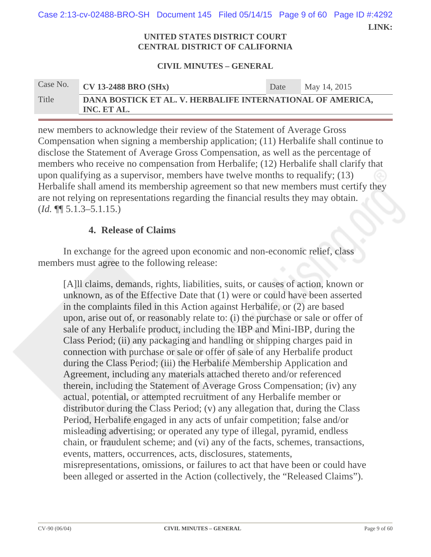Case 2:13-cv-02488-BRO-SH Document 145 Filed 05/14/15 Page 9 of 60 Page ID #:4292

 **LINK:** 

#### **UNITED STATES DISTRICT COURT CENTRAL DISTRICT OF CALIFORNIA**

#### **CIVIL MINUTES – GENERAL**

| Case No. | $\sqrt{\text{CV} 13\text{-}2488 \text{ BRO} (\text{SHx})}$                | Date | May 14, 2015 |
|----------|---------------------------------------------------------------------------|------|--------------|
| Title    | DANA BOSTICK ET AL. V. HERBALIFE INTERNATIONAL OF AMERICA,<br>INC. ET AL. |      |              |

new members to acknowledge their review of the Statement of Average Gross Compensation when signing a membership application; (11) Herbalife shall continue to disclose the Statement of Average Gross Compensation, as well as the percentage of members who receive no compensation from Herbalife; (12) Herbalife shall clarify that upon qualifying as a supervisor, members have twelve months to requalify; (13) Herbalife shall amend its membership agreement so that new members must certify they are not relying on representations regarding the financial results they may obtain. (*Id.* ¶¶ 5.1.3–5.1.15.)

## **4. Release of Claims**

In exchange for the agreed upon economic and non-economic relief, class members must agree to the following release:

[A]ll claims, demands, rights, liabilities, suits, or causes of action, known or unknown, as of the Effective Date that (1) were or could have been asserted in the complaints filed in this Action against Herbalife, or (2) are based upon, arise out of, or reasonably relate to: (i) the purchase or sale or offer of sale of any Herbalife product, including the IBP and Mini-IBP, during the Class Period; (ii) any packaging and handling or shipping charges paid in connection with purchase or sale or offer of sale of any Herbalife product during the Class Period; (iii) the Herbalife Membership Application and Agreement, including any materials attached thereto and/or referenced therein, including the Statement of Average Gross Compensation; (iv) any actual, potential, or attempted recruitment of any Herbalife member or distributor during the Class Period; (v) any allegation that, during the Class Period, Herbalife engaged in any acts of unfair competition; false and/or misleading advertising; or operated any type of illegal, pyramid, endless chain, or fraudulent scheme; and (vi) any of the facts, schemes, transactions, events, matters, occurrences, acts, disclosures, statements, misrepresentations, omissions, or failures to act that have been or could have been alleged or asserted in the Action (collectively, the "Released Claims").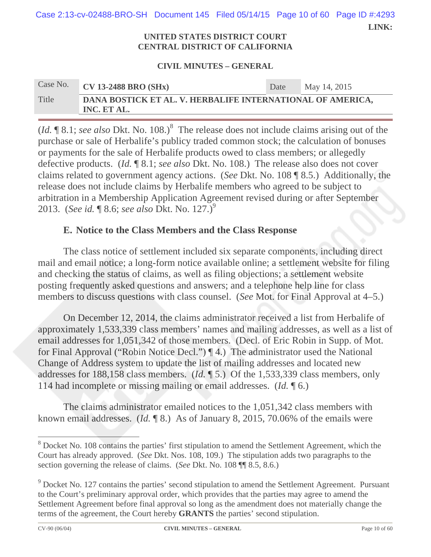**LINK:**  Case 2:13-cv-02488-BRO-SH Document 145 Filed 05/14/15 Page 10 of 60 Page ID #:4293

#### **UNITED STATES DISTRICT COURT CENTRAL DISTRICT OF CALIFORNIA**

#### **CIVIL MINUTES – GENERAL**

| Case No. | $\overline{\text{CV}}$ 13-2488 BRO (SHx)                                  | Date | May 14, 2015 |
|----------|---------------------------------------------------------------------------|------|--------------|
| Title    | DANA BOSTICK ET AL. V. HERBALIFE INTERNATIONAL OF AMERICA,<br>INC. ET AL. |      |              |

(*Id.*  $\llbracket 8.1$ ; *see also* Dkt. No. 108.)<sup>8</sup> The release does not include claims arising out of the purchase or sale of Herbalife's publicy traded common stock; the calculation of bonuses or payments for the sale of Herbalife products owed to class members; or allegedly defective products. (*Id.* ¶ 8.1; *see also* Dkt. No. 108.) The release also does not cover claims related to government agency actions. (*See* Dkt. No. 108 ¶ 8.5.) Additionally, the release does not include claims by Herbalife members who agreed to be subject to arbitration in a Membership Application Agreement revised during or after September 2013. (*See id.* ¶ 8.6; *see also* Dkt. No. 127.)<sup>9</sup>

## **E. Notice to the Class Members and the Class Response**

The class notice of settlement included six separate components, including direct mail and email notice; a long-form notice available online; a settlement website for filing and checking the status of claims, as well as filing objections; a settlement website posting frequently asked questions and answers; and a telephone help line for class members to discuss questions with class counsel. (*See* Mot. for Final Approval at 4–5.)

On December 12, 2014, the claims administrator received a list from Herbalife of approximately 1,533,339 class members' names and mailing addresses, as well as a list of email addresses for 1,051,342 of those members. (Decl. of Eric Robin in Supp. of Mot. for Final Approval ("Robin Notice Decl.") ¶ 4.) The administrator used the National Change of Address system to update the list of mailing addresses and located new addresses for 188,158 class members. (*Id.* ¶ 5.) Of the 1,533,339 class members, only 114 had incomplete or missing mailing or email addresses. (*Id.* ¶ 6.)

The claims administrator emailed notices to the 1,051,342 class members with known email addresses. (*Id.* ¶ 8.) As of January 8, 2015, 70.06% of the emails were

 $\overline{\phantom{a}}$  . The contract of the contract of the contract of the contract of the contract of the contract of the contract of the contract of the contract of the contract of the contract of the contract of the contract of

<sup>&</sup>lt;sup>8</sup> Docket No. 108 contains the parties' first stipulation to amend the Settlement Agreement, which the Court has already approved. (*See* Dkt. Nos. 108, 109.) The stipulation adds two paragraphs to the section governing the release of claims. (*See* Dkt. No. 108 ¶¶ 8.5, 8.6.)

 $9^9$  Docket No. 127 contains the parties' second stipulation to amend the Settlement Agreement. Pursuant to the Court's preliminary approval order, which provides that the parties may agree to amend the Settlement Agreement before final approval so long as the amendment does not materially change the terms of the agreement, the Court hereby **GRANTS** the parties' second stipulation.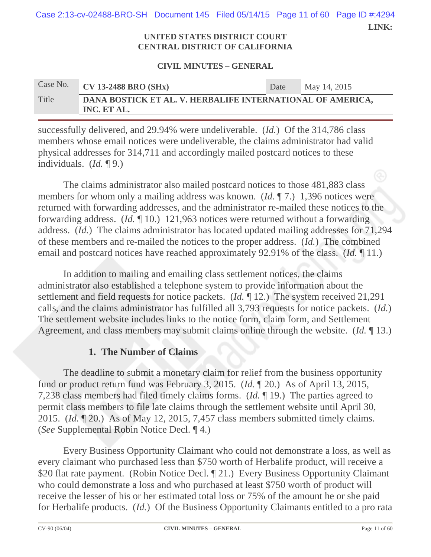**LINK:**  Case 2:13-cv-02488-BRO-SH Document 145 Filed 05/14/15 Page 11 of 60 Page ID #:4294

#### **UNITED STATES DISTRICT COURT CENTRAL DISTRICT OF CALIFORNIA**

#### **CIVIL MINUTES – GENERAL**

# Case No. **CV 13-2488 BRO (SHx)** Date May 14, 2015 Title **DANA BOSTICK ET AL. V. HERBALIFE INTERNATIONAL OF AMERICA, INC. ET AL.**

successfully delivered, and 29.94% were undeliverable. (*Id.*) Of the 314,786 class members whose email notices were undeliverable, the claims administrator had valid physical addresses for 314,711 and accordingly mailed postcard notices to these individuals. (*Id.* ¶ 9.)

The claims administrator also mailed postcard notices to those 481,883 class members for whom only a mailing address was known. (*Id.* ¶ 7.) 1,396 notices were returned with forwarding addresses, and the administrator re-mailed these notices to the forwarding address. (*Id.* ¶ 10.) 121,963 notices were returned without a forwarding address. (*Id.*) The claims administrator has located updated mailing addresses for 71,294 of these members and re-mailed the notices to the proper address. (*Id.*) The combined email and postcard notices have reached approximately 92.91% of the class. (*Id.* ¶ 11.)

In addition to mailing and emailing class settlement notices, the claims administrator also established a telephone system to provide information about the settlement and field requests for notice packets. (*Id.* ¶ 12.) The system received 21,291 calls, and the claims administrator has fulfilled all 3,793 requests for notice packets. (*Id.*) The settlement website includes links to the notice form, claim form, and Settlement Agreement, and class members may submit claims online through the website. (*Id.* ¶ 13.)

## **1. The Number of Claims**

The deadline to submit a monetary claim for relief from the business opportunity fund or product return fund was February 3, 2015. (*Id.* ¶ 20.) As of April 13, 2015, 7,238 class members had filed timely claims forms. (*Id.* ¶ 19.) The parties agreed to permit class members to file late claims through the settlement website until April 30, 2015. (*Id.* ¶ 20.) As of May 12, 2015, 7,457 class members submitted timely claims. (*See* Supplemental Robin Notice Decl. ¶ 4.)

Every Business Opportunity Claimant who could not demonstrate a loss, as well as every claimant who purchased less than \$750 worth of Herbalife product, will receive a \$20 flat rate payment. (Robin Notice Decl. 1 21.) Every Business Opportunity Claimant who could demonstrate a loss and who purchased at least \$750 worth of product will receive the lesser of his or her estimated total loss or 75% of the amount he or she paid for Herbalife products. (*Id.*) Of the Business Opportunity Claimants entitled to a pro rata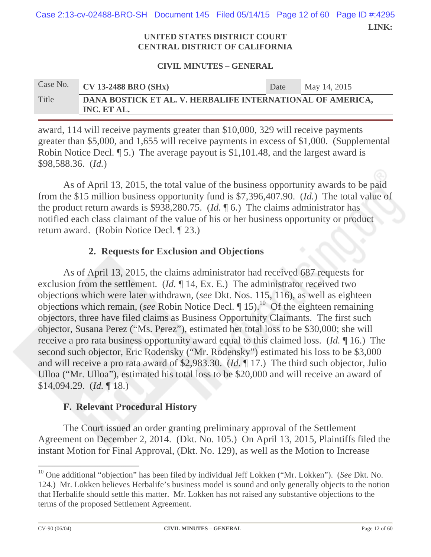**LINK:**  Case 2:13-cv-02488-BRO-SH Document 145 Filed 05/14/15 Page 12 of 60 Page ID #:4295

> **UNITED STATES DISTRICT COURT CENTRAL DISTRICT OF CALIFORNIA**

#### **CIVIL MINUTES – GENERAL**

# Case No. **CV 13-2488 BRO (SHx)** Date May 14, 2015 Title **DANA BOSTICK ET AL. V. HERBALIFE INTERNATIONAL OF AMERICA, INC. ET AL.**

award, 114 will receive payments greater than \$10,000, 329 will receive payments greater than \$5,000, and 1,655 will receive payments in excess of \$1,000. (Supplemental Robin Notice Decl. ¶ 5.) The average payout is \$1,101.48, and the largest award is \$98,588.36. (*Id.*)

As of April 13, 2015, the total value of the business opportunity awards to be paid from the \$15 million business opportunity fund is \$7,396,407.90. (*Id.*) The total value of the product return awards is \$938,280.75. (*Id.* ¶ 6.) The claims administrator has notified each class claimant of the value of his or her business opportunity or product return award. (Robin Notice Decl. ¶ 23.)

## **2. Requests for Exclusion and Objections**

As of April 13, 2015, the claims administrator had received 687 requests for exclusion from the settlement. (*Id.* 14, Ex. E.) The administrator received two objections which were later withdrawn, (*see* Dkt. Nos. 115, 116), as well as eighteen objections which remain, (*see* Robin Notice Decl. ¶ 15).10 Of the eighteen remaining objectors, three have filed claims as Business Opportunity Claimants. The first such objector, Susana Perez ("Ms. Perez"), estimated her total loss to be \$30,000; she will receive a pro rata business opportunity award equal to this claimed loss. (*Id.* ¶ 16.) The second such objector, Eric Rodensky ("Mr. Rodensky") estimated his loss to be \$3,000 and will receive a pro rata award of \$2,983.30. (*Id.* ¶ 17.) The third such objector, Julio Ulloa ("Mr. Ulloa"), estimated his total loss to be \$20,000 and will receive an award of \$14,094.29. (*Id.* ¶ 18.)

### **F. Relevant Procedural History**

The Court issued an order granting preliminary approval of the Settlement Agreement on December 2, 2014. (Dkt. No. 105.) On April 13, 2015, Plaintiffs filed the instant Motion for Final Approval, (Dkt. No. 129), as well as the Motion to Increase

<sup>10</sup> One additional "objection" has been filed by individual Jeff Lokken ("Mr. Lokken"). (*See* Dkt. No. 124.) Mr. Lokken believes Herbalife's business model is sound and only generally objects to the notion that Herbalife should settle this matter. Mr. Lokken has not raised any substantive objections to the terms of the proposed Settlement Agreement.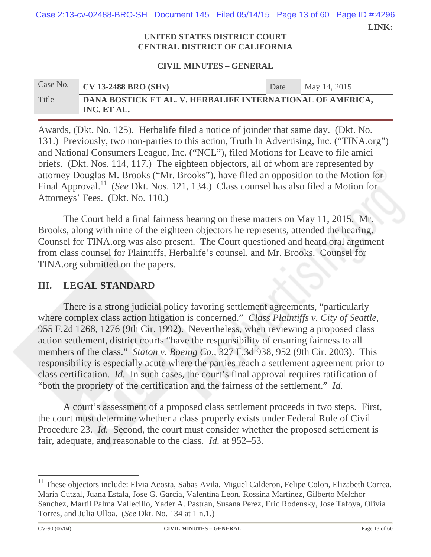**LINK:**  Case 2:13-cv-02488-BRO-SH Document 145 Filed 05/14/15 Page 13 of 60 Page ID #:4296

#### **UNITED STATES DISTRICT COURT CENTRAL DISTRICT OF CALIFORNIA**

#### **CIVIL MINUTES – GENERAL**

# Case No. **CV 13-2488 BRO (SHx)** Date May 14, 2015 Title **DANA BOSTICK ET AL. V. HERBALIFE INTERNATIONAL OF AMERICA, INC. ET AL.**

Awards, (Dkt. No. 125). Herbalife filed a notice of joinder that same day. (Dkt. No. 131.) Previously, two non-parties to this action, Truth In Advertising, Inc. ("TINA.org") and National Consumers League, Inc. ("NCL"), filed Motions for Leave to file amici briefs. (Dkt. Nos. 114, 117.) The eighteen objectors, all of whom are represented by attorney Douglas M. Brooks ("Mr. Brooks"), have filed an opposition to the Motion for Final Approval.11 (*See* Dkt. Nos. 121, 134.) Class counsel has also filed a Motion for Attorneys' Fees. (Dkt. No. 110.)

The Court held a final fairness hearing on these matters on May 11, 2015. Mr. Brooks, along with nine of the eighteen objectors he represents, attended the hearing. Counsel for TINA.org was also present. The Court questioned and heard oral argument from class counsel for Plaintiffs, Herbalife's counsel, and Mr. Brooks. Counsel for TINA.org submitted on the papers.

## **III. LEGAL STANDARD**

There is a strong judicial policy favoring settlement agreements, "particularly where complex class action litigation is concerned." *Class Plaintiffs v. City of Seattle*, 955 F.2d 1268, 1276 (9th Cir. 1992).Nevertheless, when reviewing a proposed class action settlement, district courts "have the responsibility of ensuring fairness to all members of the class." *Staton v. Boeing Co*., 327 F.3d 938, 952 (9th Cir. 2003). This responsibility is especially acute where the parties reach a settlement agreement prior to class certification. *Id.* In such cases, the court's final approval requires ratification of "both the propriety of the certification and the fairness of the settlement." *Id.*

A court's assessment of a proposed class settlement proceeds in two steps. First, the court must determine whether a class properly exists under Federal Rule of Civil Procedure 23. *Id.* Second, the court must consider whether the proposed settlement is fair, adequate, and reasonable to the class. *Id.* at 952–53.

<sup>&</sup>lt;sup>11</sup> These objectors include: Elvia Acosta, Sabas Avila, Miguel Calderon, Felipe Colon, Elizabeth Correa, Maria Cutzal, Juana Estala, Jose G. Garcia, Valentina Leon, Rossina Martinez, Gilberto Melchor Sanchez, Martil Palma Vallecillo, Yader A. Pastran, Susana Perez, Eric Rodensky, Jose Tafoya, Olivia Torres, and Julia Ulloa. (*See* Dkt. No. 134 at 1 n.1.)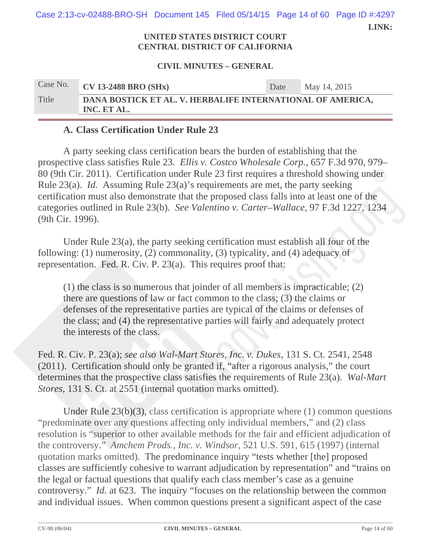**LINK:**  Case 2:13-cv-02488-BRO-SH Document 145 Filed 05/14/15 Page 14 of 60 Page ID #:4297

#### **UNITED STATES DISTRICT COURT CENTRAL DISTRICT OF CALIFORNIA**

#### **CIVIL MINUTES – GENERAL**

| Case No. | <b>CV 13-2488 BRO (SHx)</b>                                               | Date | May 14, 2015 |
|----------|---------------------------------------------------------------------------|------|--------------|
| Title    | DANA BOSTICK ET AL. V. HERBALIFE INTERNATIONAL OF AMERICA,<br>INC. ET AL. |      |              |

### **A. Class Certification Under Rule 23**

A party seeking class certification bears the burden of establishing that the prospective class satisfies Rule 23. *Ellis v. Costco Wholesale Corp.*, 657 F.3d 970, 979– 80 (9th Cir. 2011). Certification under Rule 23 first requires a threshold showing under Rule 23(a). *Id.* Assuming Rule 23(a)'s requirements are met, the party seeking certification must also demonstrate that the proposed class falls into at least one of the categories outlined in Rule 23(b). *See Valentino v. Carter–Wallace*, 97 F.3d 1227, 1234 (9th Cir. 1996).

Under Rule 23(a), the party seeking certification must establish all four of the following: (1) numerosity, (2) commonality, (3) typicality, and (4) adequacy of representation. Fed. R. Civ. P. 23(a). This requires proof that:

(1) the class is so numerous that joinder of all members is impracticable; (2) there are questions of law or fact common to the class; (3) the claims or defenses of the representative parties are typical of the claims or defenses of the class; and (4) the representative parties will fairly and adequately protect the interests of the class.

Fed. R. Civ. P. 23(a); *see also Wal-Mart Stores, Inc. v. Dukes*, 131 S. Ct. 2541, 2548 (2011). Certification should only be granted if, "after a rigorous analysis," the court determines that the prospective class satisfies the requirements of Rule 23(a). *Wal-Mart Stores*, 131 S. Ct. at 2551 (internal quotation marks omitted).

Under Rule 23(b)(3), class certification is appropriate where (1) common questions "predominate over any questions affecting only individual members," and (2) class resolution is "superior to other available methods for the fair and efficient adjudication of the controversy." *Amchem Prods., Inc. v. Windsor*, 521 U.S. 591, 615 (1997) (internal quotation marks omitted). The predominance inquiry "tests whether [the] proposed classes are sufficiently cohesive to warrant adjudication by representation" and "trains on the legal or factual questions that qualify each class member's case as a genuine controversy." *Id.* at 623. The inquiry "focuses on the relationship between the common and individual issues. When common questions present a significant aspect of the case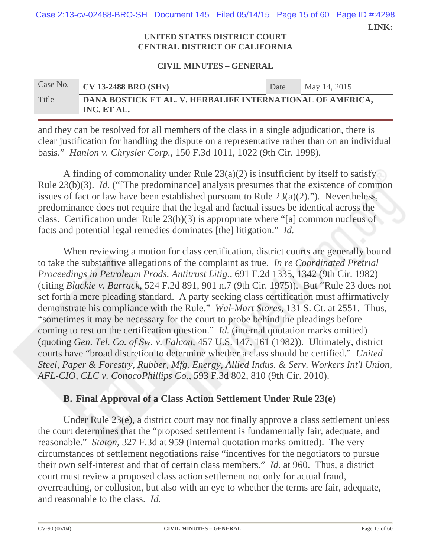**LINK:**  Case 2:13-cv-02488-BRO-SH Document 145 Filed 05/14/15 Page 15 of 60 Page ID #:4298

#### **UNITED STATES DISTRICT COURT CENTRAL DISTRICT OF CALIFORNIA**

#### **CIVIL MINUTES – GENERAL**

# Case No. **CV 13-2488 BRO (SHx)** Date May 14, 2015 Title **DANA BOSTICK ET AL. V. HERBALIFE INTERNATIONAL OF AMERICA, INC. ET AL.**

and they can be resolved for all members of the class in a single adjudication, there is clear justification for handling the dispute on a representative rather than on an individual basis." *Hanlon v. Chrysler Corp.*, 150 F.3d 1011, 1022 (9th Cir. 1998).

A finding of commonality under Rule  $23(a)(2)$  is insufficient by itself to satisfy Rule 23(b)(3). *Id.* ("The predominance] analysis presumes that the existence of common issues of fact or law have been established pursuant to Rule 23(a)(2)."). Nevertheless, predominance does not require that the legal and factual issues be identical across the class. Certification under Rule 23(b)(3) is appropriate where "[a] common nucleus of facts and potential legal remedies dominates [the] litigation." *Id.*

When reviewing a motion for class certification, district courts are generally bound to take the substantive allegations of the complaint as true. *In re Coordinated Pretrial Proceedings in Petroleum Prods. Antitrust Litig.*, 691 F.2d 1335, 1342 (9th Cir. 1982) (citing *Blackie v. Barrack*, 524 F.2d 891, 901 n.7 (9th Cir. 1975)). But "Rule 23 does not set forth a mere pleading standard. A party seeking class certification must affirmatively demonstrate his compliance with the Rule." *Wal-Mart Stores*, 131 S. Ct. at 2551. Thus, "sometimes it may be necessary for the court to probe behind the pleadings before coming to rest on the certification question." *Id.* (internal quotation marks omitted) (quoting *Gen. Tel. Co. of Sw. v. Falcon*, 457 U.S. 147, 161 (1982)). Ultimately, district courts have "broad discretion to determine whether a class should be certified." *United Steel, Paper & Forestry, Rubber, Mfg. Energy, Allied Indus. & Serv. Workers Int'l Union, AFL-CIO, CLC v. ConocoPhillips Co.*, 593 F.3d 802, 810 (9th Cir. 2010).

## **B. Final Approval of a Class Action Settlement Under Rule 23(e)**

Under Rule 23(e), a district court may not finally approve a class settlement unless the court determines that the "proposed settlement is fundamentally fair, adequate, and reasonable." *Staton*, 327 F.3d at 959 (internal quotation marks omitted). The very circumstances of settlement negotiations raise "incentives for the negotiators to pursue their own self-interest and that of certain class members." *Id.* at 960. Thus, a district court must review a proposed class action settlement not only for actual fraud, overreaching, or collusion, but also with an eye to whether the terms are fair, adequate, and reasonable to the class. *Id.*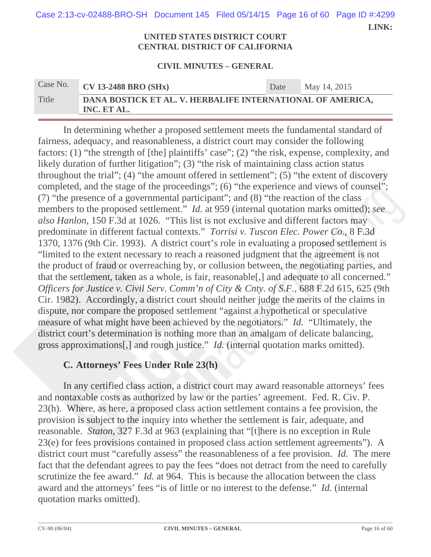**LINK:**  Case 2:13-cv-02488-BRO-SH Document 145 Filed 05/14/15 Page 16 of 60 Page ID #:4299

#### **UNITED STATES DISTRICT COURT CENTRAL DISTRICT OF CALIFORNIA**

#### **CIVIL MINUTES – GENERAL**

| Case No. | $\sqrt{\text{CV} 13\text{-}2488 \text{ BRO} (\text{SHx})}$                | Date | May 14, 2015 |
|----------|---------------------------------------------------------------------------|------|--------------|
| Title    | DANA BOSTICK ET AL. V. HERBALIFE INTERNATIONAL OF AMERICA,<br>INC. ET AL. |      |              |

In determining whether a proposed settlement meets the fundamental standard of fairness, adequacy, and reasonableness, a district court may consider the following factors: (1) "the strength of [the] plaintiffs' case"; (2) "the risk, expense, complexity, and likely duration of further litigation"; (3) "the risk of maintaining class action status throughout the trial"; (4) "the amount offered in settlement"; (5) "the extent of discovery completed, and the stage of the proceedings"; (6) "the experience and views of counsel"; (7) "the presence of a governmental participant"; and (8) "the reaction of the class members to the proposed settlement." *Id.* at 959 (internal quotation marks omitted); *see also Hanlon*, 150 F.3d at 1026. "This list is not exclusive and different factors may predominate in different factual contexts." *Torrisi v. Tuscon Elec. Power Co.*, 8 F.3d 1370, 1376 (9th Cir. 1993). A district court's role in evaluating a proposed settlement is "limited to the extent necessary to reach a reasoned judgment that the agreement is not the product of fraud or overreaching by, or collusion between, the negotiating parties, and that the settlement, taken as a whole, is fair, reasonable[,] and adequate to all concerned." *Officers for Justice v. Civil Serv. Comm'n of City & Cnty. of S.F.*, 688 F.2d 615, 625 (9th Cir. 1982). Accordingly, a district court should neither judge the merits of the claims in dispute, nor compare the proposed settlement "against a hypothetical or speculative measure of what might have been achieved by the negotiators." *Id.* "Ultimately, the district court's determination is nothing more than an amalgam of delicate balancing, gross approximations[,] and rough justice." *Id.* (internal quotation marks omitted).

## **C. Attorneys' Fees Under Rule 23(h)**

In any certified class action, a district court may award reasonable attorneys' fees and nontaxable costs as authorized by law or the parties' agreement. Fed. R. Civ. P. 23(h). Where, as here, a proposed class action settlement contains a fee provision, the provision is subject to the inquiry into whether the settlement is fair, adequate, and reasonable. *Staton*, 327 F.3d at 963 (explaining that "[t]here is no exception in Rule 23(e) for fees provisions contained in proposed class action settlement agreements"). A district court must "carefully assess" the reasonableness of a fee provision. *Id.* The mere fact that the defendant agrees to pay the fees "does not detract from the need to carefully scrutinize the fee award." *Id.* at 964. This is because the allocation between the class award and the attorneys' fees "is of little or no interest to the defense." *Id.* (internal quotation marks omitted).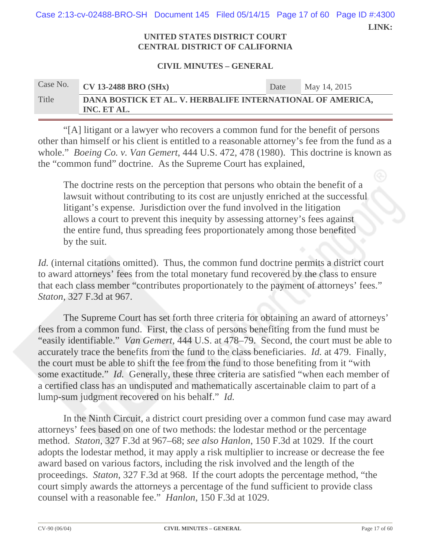**LINK:**  Case 2:13-cv-02488-BRO-SH Document 145 Filed 05/14/15 Page 17 of 60 Page ID #:4300

#### **UNITED STATES DISTRICT COURT CENTRAL DISTRICT OF CALIFORNIA**

#### **CIVIL MINUTES – GENERAL**

| Case No. | $CV$ 13-2488 BRO (SHx)                                                    | Date | May 14, 2015 |
|----------|---------------------------------------------------------------------------|------|--------------|
| Title    | DANA BOSTICK ET AL. V. HERBALIFE INTERNATIONAL OF AMERICA,<br>INC. ET AL. |      |              |

"[A] litigant or a lawyer who recovers a common fund for the benefit of persons other than himself or his client is entitled to a reasonable attorney's fee from the fund as a whole." *Boeing Co. v. Van Gemert*, 444 U.S. 472, 478 (1980). This doctrine is known as the "common fund" doctrine. As the Supreme Court has explained,

The doctrine rests on the perception that persons who obtain the benefit of a lawsuit without contributing to its cost are unjustly enriched at the successful litigant's expense. Jurisdiction over the fund involved in the litigation allows a court to prevent this inequity by assessing attorney's fees against the entire fund, thus spreading fees proportionately among those benefited by the suit.

*Id.* (internal citations omitted). Thus, the common fund doctrine permits a district court to award attorneys' fees from the total monetary fund recovered by the class to ensure that each class member "contributes proportionately to the payment of attorneys' fees." *Staton*, 327 F.3d at 967.

 The Supreme Court has set forth three criteria for obtaining an award of attorneys' fees from a common fund. First, the class of persons benefiting from the fund must be "easily identifiable." *Van Gemert*, 444 U.S. at 478–79. Second, the court must be able to accurately trace the benefits from the fund to the class beneficiaries. *Id.* at 479. Finally, the court must be able to shift the fee from the fund to those benefiting from it "with some exactitude." *Id.* Generally, these three criteria are satisfied "when each member of a certified class has an undisputed and mathematically ascertainable claim to part of a lump-sum judgment recovered on his behalf." *Id.*

In the Ninth Circuit, a district court presiding over a common fund case may award attorneys' fees based on one of two methods: the lodestar method or the percentage method. *Staton*, 327 F.3d at 967–68; *see also Hanlon*, 150 F.3d at 1029. If the court adopts the lodestar method, it may apply a risk multiplier to increase or decrease the fee award based on various factors, including the risk involved and the length of the proceedings. *Staton*, 327 F.3d at 968. If the court adopts the percentage method, "the court simply awards the attorneys a percentage of the fund sufficient to provide class counsel with a reasonable fee." *Hanlon*, 150 F.3d at 1029.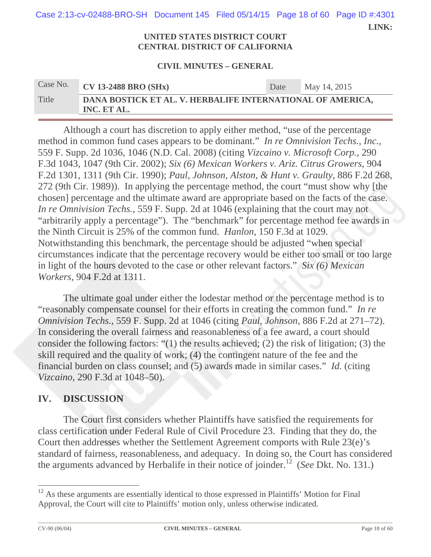**LINK:**  Case 2:13-cv-02488-BRO-SH Document 145 Filed 05/14/15 Page 18 of 60 Page ID #:4301

#### **UNITED STATES DISTRICT COURT CENTRAL DISTRICT OF CALIFORNIA**

#### **CIVIL MINUTES – GENERAL**

| Case No. | <b>CV 13-2488 BRO (SHx)</b>                                               | Date | May 14, 2015 |
|----------|---------------------------------------------------------------------------|------|--------------|
| Title    | DANA BOSTICK ET AL. V. HERBALIFE INTERNATIONAL OF AMERICA,<br>INC. ET AL. |      |              |

Although a court has discretion to apply either method, "use of the percentage method in common fund cases appears to be dominant." *In re Omnivision Techs., Inc.*, 559 F. Supp. 2d 1036, 1046 (N.D. Cal. 2008) (citing *Vizcaino v. Microsoft Corp.*, 290 F.3d 1043, 1047 (9th Cir. 2002); *Six (6) Mexican Workers v. Ariz. Citrus Growers*, 904 F.2d 1301, 1311 (9th Cir. 1990); *Paul, Johnson, Alston, & Hunt v. Graulty*, 886 F.2d 268, 272 (9th Cir. 1989)). In applying the percentage method, the court "must show why [the chosen] percentage and the ultimate award are appropriate based on the facts of the case. *In re Omnivision Techs.*, 559 F. Supp. 2d at 1046 (explaining that the court may not "arbitrarily apply a percentage"). The "benchmark" for percentage method fee awards in the Ninth Circuit is 25% of the common fund. *Hanlon*, 150 F.3d at 1029. Notwithstanding this benchmark, the percentage should be adjusted "when special circumstances indicate that the percentage recovery would be either too small or too large in light of the hours devoted to the case or other relevant factors." *Six (6) Mexican Workers*, 904 F.2d at 1311.

The ultimate goal under either the lodestar method or the percentage method is to "reasonably compensate counsel for their efforts in creating the common fund." *In re Omnivision Techs.*, 559 F. Supp. 2d at 1046 (citing *Paul, Johnson*, 886 F.2d at 271–72). In considering the overall fairness and reasonableness of a fee award, a court should consider the following factors: "(1) the results achieved; (2) the risk of litigation; (3) the skill required and the quality of work; (4) the contingent nature of the fee and the financial burden on class counsel; and (5) awards made in similar cases." *Id.* (citing *Vizcaino*, 290 F.3d at 1048–50).

## **IV. DISCUSSION**

The Court first considers whether Plaintiffs have satisfied the requirements for class certification under Federal Rule of Civil Procedure 23. Finding that they do, the Court then addresses whether the Settlement Agreement comports with Rule 23(e)'s standard of fairness, reasonableness, and adequacy. In doing so, the Court has considered the arguments advanced by Herbalife in their notice of joinder.<sup>12</sup> (*See* Dkt. No. 131.)

<sup>&</sup>lt;sup>12</sup> As these arguments are essentially identical to those expressed in Plaintiffs' Motion for Final Approval, the Court will cite to Plaintiffs' motion only, unless otherwise indicated.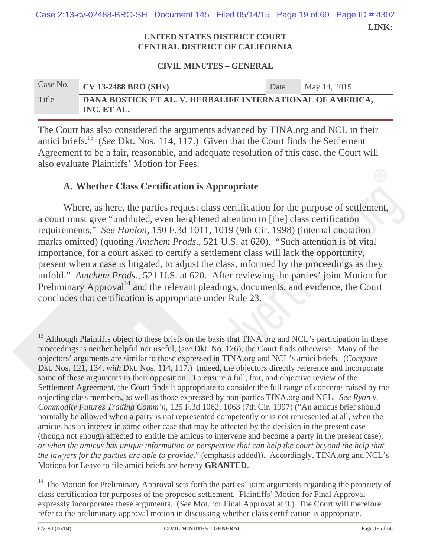**LINK:**  Case 2:13-cv-02488-BRO-SH Document 145 Filed 05/14/15 Page 19 of 60 Page ID #:4302

#### **UNITED STATES DISTRICT COURT CENTRAL DISTRICT OF CALIFORNIA**

#### **CIVIL MINUTES – GENERAL**

| Case No. | <b>CV 13-2488 BRO (SHx)</b>                                               | Date | May 14, 2015 |
|----------|---------------------------------------------------------------------------|------|--------------|
| Title    | DANA BOSTICK ET AL. V. HERBALIFE INTERNATIONAL OF AMERICA,<br>INC. ET AL. |      |              |

The Court has also considered the arguments advanced by TINA.org and NCL in their amici briefs.13 (*See* Dkt. Nos. 114, 117.) Given that the Court finds the Settlement Agreement to be a fair, reasonable, and adequate resolution of this case, the Court will also evaluate Plaintiffs' Motion for Fees.

## **A. Whether Class Certification is Appropriate**

Where, as here, the parties request class certification for the purpose of settlement, a court must give "undiluted, even heightened attention to [the] class certification requirements." *See Hanlon*, 150 F.3d 1011, 1019 (9th Cir. 1998) (internal quotation marks omitted) (quoting *Amchem Prods.*, 521 U.S. at 620). "Such attention is of vital importance, for a court asked to certify a settlement class will lack the opportunity, present when a case is litigated, to adjust the class, informed by the proceedings as they unfold." *Amchem Prods.*, 521 U.S. at 620. After reviewing the parties' joint Motion for Preliminary Approval<sup>14</sup> and the relevant pleadings, documents, and evidence, the Court concludes that certification is appropriate under Rule 23.

  $13$  Although Plaintiffs object to these briefs on the basis that TINA.org and NCL's participation in these proceedings is neither helpful nor useful, (*see* Dkt. No. 126), the Court finds otherwise. Many of the objectors' arguments are similar to those expressed in TINA.org and NCL's amici briefs. (*Compare* Dkt. Nos. 121, 134, *with* Dkt. Nos. 114, 117.) Indeed, the objectors directly reference and incorporate some of these arguments in their opposition. To ensure a full, fair, and objective review of the Settlement Agreement, the Court finds it appropriate to consider the full range of concerns raised by the objecting class members, as well as those expressed by non-parties TINA.org and NCL. *See Ryan v. Commodity Futures Trading Comm'n*, 125 F.3d 1062, 1063 (7th Cir. 1997) ("An amicus brief should normally be allowed when a party is not represented competently or is not represented at all, when the amicus has an interest in some other case that may be affected by the decision in the present case (though not enough affected to entitle the amicus to intervene and become a party in the present case), *or when the amicus has unique information or perspective that can help the court beyond the help that the lawyers for the parties are able to provide*." (emphasis added)).Accordingly, TINA.org and NCL's Motions for Leave to file amici briefs are hereby **GRANTED**.

<sup>&</sup>lt;sup>14</sup> The Motion for Preliminary Approval sets forth the parties' joint arguments regarding the propriety of class certification for purposes of the proposed settlement. Plaintiffs' Motion for Final Approval expressly incorporates these arguments. (*See* Mot. for Final Approval at 9.) The Court will therefore refer to the preliminary approval motion in discussing whether class certification is appropriate.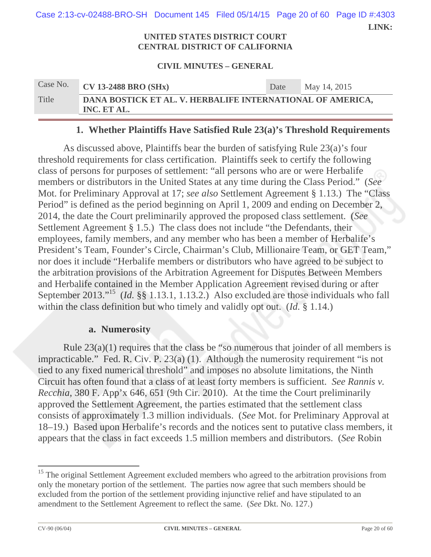**LINK:**  Case 2:13-cv-02488-BRO-SH Document 145 Filed 05/14/15 Page 20 of 60 Page ID #:4303

#### **UNITED STATES DISTRICT COURT CENTRAL DISTRICT OF CALIFORNIA**

#### **CIVIL MINUTES – GENERAL**

| Case No. | <b>CV 13-2488 BRO (SHx)</b>                                               | Date | May 14, 2015 |
|----------|---------------------------------------------------------------------------|------|--------------|
| Title    | DANA BOSTICK ET AL. V. HERBALIFE INTERNATIONAL OF AMERICA,<br>INC. ET AL. |      |              |

### **1. Whether Plaintiffs Have Satisfied Rule 23(a)'s Threshold Requirements**

As discussed above, Plaintiffs bear the burden of satisfying Rule 23(a)'s four threshold requirements for class certification. Plaintiffs seek to certify the following class of persons for purposes of settlement: "all persons who are or were Herbalife members or distributors in the United States at any time during the Class Period." (*See* Mot. for Preliminary Approval at 17; *see also* Settlement Agreement § 1.13.) The "Class Period" is defined as the period beginning on April 1, 2009 and ending on December 2, 2014, the date the Court preliminarily approved the proposed class settlement. (*See*  Settlement Agreement § 1.5.) The class does not include "the Defendants, their employees, family members, and any member who has been a member of Herbalife's President's Team, Founder's Circle, Chairman's Club, Millionaire Team, or GET Team," nor does it include "Herbalife members or distributors who have agreed to be subject to the arbitration provisions of the Arbitration Agreement for Disputes Between Members and Herbalife contained in the Member Application Agreement revised during or after September 2013."15 (*Id.* §§ 1.13.1, 1.13.2.) Also excluded are those individuals who fall within the class definition but who timely and validly opt out. (*Id.* § 1.14.)

#### **a. Numerosity**

Rule 23(a)(1) requires that the class be "so numerous that joinder of all members is impracticable." Fed. R. Civ. P. 23(a) (1). Although the numerosity requirement "is not tied to any fixed numerical threshold" and imposes no absolute limitations, the Ninth Circuit has often found that a class of at least forty members is sufficient. *See Rannis v. Recchia*, 380 F. App'x 646, 651 (9th Cir. 2010). At the time the Court preliminarily approved the Settlement Agreement, the parties estimated that the settlement class consists of approximately 1.3 million individuals. (*See* Mot. for Preliminary Approval at 18–19.) Based upon Herbalife's records and the notices sent to putative class members, it appears that the class in fact exceeds 1.5 million members and distributors. (*See* Robin

<sup>&</sup>lt;sup>15</sup> The original Settlement Agreement excluded members who agreed to the arbitration provisions from only the monetary portion of the settlement. The parties now agree that such members should be excluded from the portion of the settlement providing injunctive relief and have stipulated to an amendment to the Settlement Agreement to reflect the same. (*See* Dkt. No. 127.)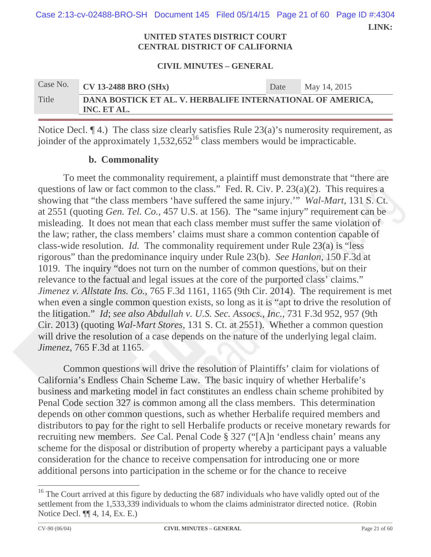**LINK:**  Case 2:13-cv-02488-BRO-SH Document 145 Filed 05/14/15 Page 21 of 60 Page ID #:4304

#### **UNITED STATES DISTRICT COURT CENTRAL DISTRICT OF CALIFORNIA**

#### **CIVIL MINUTES – GENERAL**

| Case No. | $\sqrt{\phantom{a}}$ CV 13-2488 BRO (SHx)                                 | Date | May 14, 2015 |  |  |
|----------|---------------------------------------------------------------------------|------|--------------|--|--|
| Title    | DANA BOSTICK ET AL. V. HERBALIFE INTERNATIONAL OF AMERICA,<br>INC. ET AL. |      |              |  |  |

Notice Decl. ¶ 4.) The class size clearly satisfies Rule 23(a)'s numerosity requirement, as joinder of the approximately  $1,532,652^{16}$  class members would be impracticable.

## **b. Commonality**

To meet the commonality requirement, a plaintiff must demonstrate that "there are questions of law or fact common to the class." Fed. R. Civ. P. 23(a)(2). This requires a showing that "the class members 'have suffered the same injury.'" *Wal-Mart*, 131 S. Ct. at 2551 (quoting *Gen. Tel. Co.*, 457 U.S. at 156). The "same injury" requirement can be misleading. It does not mean that each class member must suffer the same violation of the law; rather, the class members' claims must share a common contention capable of class-wide resolution. *Id.* The commonality requirement under Rule 23(a) is "less rigorous" than the predominance inquiry under Rule 23(b). *See Hanlon*, 150 F.3d at 1019. The inquiry "does not turn on the number of common questions, but on their relevance to the factual and legal issues at the core of the purported class' claims." *Jimenez v. Allstate Ins. Co.,* 765 F.3d 1161, 1165 (9th Cir. 2014). The requirement is met when even a single common question exists, so long as it is "apt to drive the resolution of the litigation." *Id*; *see also Abdullah v. U.S. Sec. Assocs., Inc.*, 731 F.3d 952, 957 (9th Cir. 2013) (quoting *Wal-Mart Stores*, 131 S. Ct. at 2551). Whether a common question will drive the resolution of a case depends on the nature of the underlying legal claim. *Jimenez*, 765 F.3d at 1165.

Common questions will drive the resolution of Plaintiffs' claim for violations of California's Endless Chain Scheme Law. The basic inquiry of whether Herbalife's business and marketing model in fact constitutes an endless chain scheme prohibited by Penal Code section 327 is common among all the class members. This determination depends on other common questions, such as whether Herbalife required members and distributors to pay for the right to sell Herbalife products or receive monetary rewards for recruiting new members. *See* Cal. Penal Code § 327 ("[A]n 'endless chain' means any scheme for the disposal or distribution of property whereby a participant pays a valuable consideration for the chance to receive compensation for introducing one or more additional persons into participation in the scheme or for the chance to receive

 <sup>16</sup> The Court arrived at this figure by deducting the 687 individuals who have validly opted out of the settlement from the 1,533,339 individuals to whom the claims administrator directed notice. (Robin Notice Decl. ¶¶ 4, 14, Ex. E.)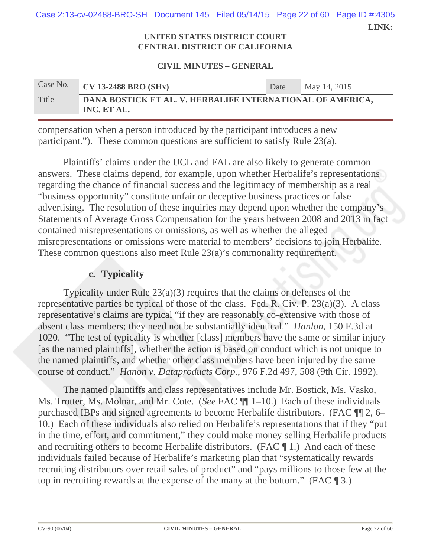**LINK:**  Case 2:13-cv-02488-BRO-SH Document 145 Filed 05/14/15 Page 22 of 60 Page ID #:4305

#### **UNITED STATES DISTRICT COURT CENTRAL DISTRICT OF CALIFORNIA**

#### **CIVIL MINUTES – GENERAL**

| Case No. | <b>CV 13-2488 BRO (SHx)</b>                                               | Date | May 14, 2015 |  |  |
|----------|---------------------------------------------------------------------------|------|--------------|--|--|
| Title    | DANA BOSTICK ET AL. V. HERBALIFE INTERNATIONAL OF AMERICA,<br>INC. ET AL. |      |              |  |  |

compensation when a person introduced by the participant introduces a new participant."). These common questions are sufficient to satisfy Rule 23(a).

Plaintiffs' claims under the UCL and FAL are also likely to generate common answers. These claims depend, for example, upon whether Herbalife's representations regarding the chance of financial success and the legitimacy of membership as a real "business opportunity" constitute unfair or deceptive business practices or false advertising. The resolution of these inquiries may depend upon whether the company's Statements of Average Gross Compensation for the years between 2008 and 2013 in fact contained misrepresentations or omissions, as well as whether the alleged misrepresentations or omissions were material to members' decisions to join Herbalife. These common questions also meet Rule 23(a)'s commonality requirement.

## **c. Typicality**

Typicality under Rule  $23(a)(3)$  requires that the claims or defenses of the representative parties be typical of those of the class. Fed. R. Civ. P.  $23(a)(3)$ . A class representative's claims are typical "if they are reasonably co-extensive with those of absent class members; they need not be substantially identical." *Hanlon*, 150 F.3d at 1020. "The test of typicality is whether [class] members have the same or similar injury [as the named plaintiffs], whether the action is based on conduct which is not unique to the named plaintiffs, and whether other class members have been injured by the same course of conduct." *Hanon v. Dataproducts Corp.*, 976 F.2d 497, 508 (9th Cir. 1992).

The named plaintiffs and class representatives include Mr. Bostick, Ms. Vasko, Ms. Trotter, Ms. Molnar, and Mr. Cote. (*See* FAC ¶¶ 1–10.) Each of these individuals purchased IBPs and signed agreements to become Herbalife distributors. (FAC ¶¶ 2, 6– 10.) Each of these individuals also relied on Herbalife's representations that if they "put in the time, effort, and commitment," they could make money selling Herbalife products and recruiting others to become Herbalife distributors. (FAC ¶ 1.) And each of these individuals failed because of Herbalife's marketing plan that "systematically rewards recruiting distributors over retail sales of product" and "pays millions to those few at the top in recruiting rewards at the expense of the many at the bottom." (FAC ¶ 3.)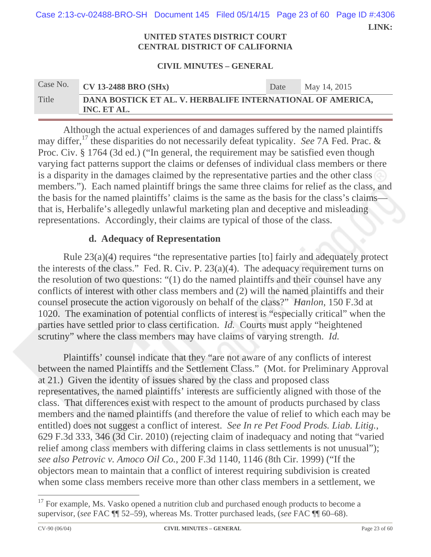**LINK:**  Case 2:13-cv-02488-BRO-SH Document 145 Filed 05/14/15 Page 23 of 60 Page ID #:4306

#### **UNITED STATES DISTRICT COURT CENTRAL DISTRICT OF CALIFORNIA**

#### **CIVIL MINUTES – GENERAL**

| Case No. | $CV$ 13-2488 BRO (SHx)                                                    | Date | May 14, 2015 |
|----------|---------------------------------------------------------------------------|------|--------------|
| Title    | DANA BOSTICK ET AL. V. HERBALIFE INTERNATIONAL OF AMERICA,<br>INC. ET AL. |      |              |

Although the actual experiences of and damages suffered by the named plaintiffs may differ,17 these disparities do not necessarily defeat typicality. *See* 7A Fed. Prac. & Proc. Civ. § 1764 (3d ed.) ("In general, the requirement may be satisfied even though varying fact patterns support the claims or defenses of individual class members or there is a disparity in the damages claimed by the representative parties and the other class members."). Each named plaintiff brings the same three claims for relief as the class, and the basis for the named plaintiffs' claims is the same as the basis for the class's claims that is, Herbalife's allegedly unlawful marketing plan and deceptive and misleading representations. Accordingly, their claims are typical of those of the class.

### **d. Adequacy of Representation**

Rule 23(a)(4) requires "the representative parties [to] fairly and adequately protect the interests of the class." Fed. R. Civ. P. 23(a)(4). The adequacy requirement turns on the resolution of two questions: "(1) do the named plaintiffs and their counsel have any conflicts of interest with other class members and (2) will the named plaintiffs and their counsel prosecute the action vigorously on behalf of the class?" *Hanlon*, 150 F.3d at 1020. The examination of potential conflicts of interest is "especially critical" when the parties have settled prior to class certification. *Id.* Courts must apply "heightened scrutiny" where the class members may have claims of varying strength. *Id.*

Plaintiffs' counsel indicate that they "are not aware of any conflicts of interest between the named Plaintiffs and the Settlement Class." (Mot. for Preliminary Approval at 21.) Given the identity of issues shared by the class and proposed class representatives, the named plaintiffs' interests are sufficiently aligned with those of the class. That differences exist with respect to the amount of products purchased by class members and the named plaintiffs (and therefore the value of relief to which each may be entitled) does not suggest a conflict of interest. *See In re Pet Food Prods. Liab. Litig.*, 629 F.3d 333, 346 (3d Cir. 2010) (rejecting claim of inadequacy and noting that "varied relief among class members with differing claims in class settlements is not unusual"); *see also Petrovic v. Amoco Oil Co.*, 200 F.3d 1140, 1146 (8th Cir. 1999) ("If the objectors mean to maintain that a conflict of interest requiring subdivision is created when some class members receive more than other class members in a settlement, we

 $17$  For example, Ms. Vasko opened a nutrition club and purchased enough products to become a supervisor, (*see* FAC ¶¶ 52–59), whereas Ms. Trotter purchased leads, (*see* FAC ¶¶ 60–68).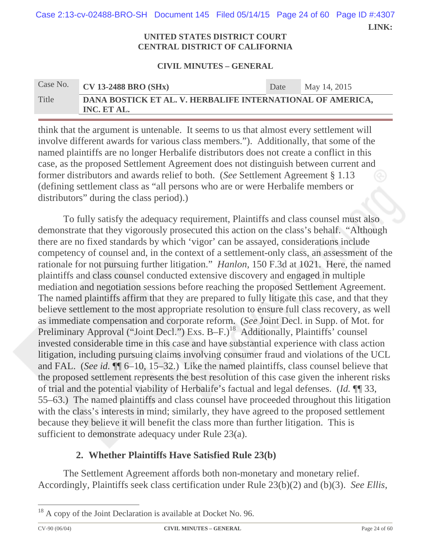**LINK:**  Case 2:13-cv-02488-BRO-SH Document 145 Filed 05/14/15 Page 24 of 60 Page ID #:4307

#### **UNITED STATES DISTRICT COURT CENTRAL DISTRICT OF CALIFORNIA**

#### **CIVIL MINUTES – GENERAL**

| Case No. | $CV$ 13-2488 BRO (SHx)                                                    | Date | May 14, 2015 |
|----------|---------------------------------------------------------------------------|------|--------------|
| Title    | DANA BOSTICK ET AL. V. HERBALIFE INTERNATIONAL OF AMERICA,<br>INC. ET AL. |      |              |

think that the argument is untenable. It seems to us that almost every settlement will involve different awards for various class members."). Additionally, that some of the named plaintiffs are no longer Herbalife distributors does not create a conflict in this case, as the proposed Settlement Agreement does not distinguish between current and former distributors and awards relief to both. (*See* Settlement Agreement § 1.13 (defining settlement class as "all persons who are or were Herbalife members or distributors" during the class period).)

To fully satisfy the adequacy requirement, Plaintiffs and class counsel must also demonstrate that they vigorously prosecuted this action on the class's behalf. "Although there are no fixed standards by which 'vigor' can be assayed, considerations include competency of counsel and, in the context of a settlement-only class, an assessment of the rationale for not pursuing further litigation." *Hanlon*, 150 F.3d at 1021. Here, the named plaintiffs and class counsel conducted extensive discovery and engaged in multiple mediation and negotiation sessions before reaching the proposed Settlement Agreement. The named plaintiffs affirm that they are prepared to fully litigate this case, and that they believe settlement to the most appropriate resolution to ensure full class recovery, as well as immediate compensation and corporate reform. (*See* Joint Decl. in Supp. of Mot. for Preliminary Approval ("Joint Decl.") Exs. B-F.)<sup>18</sup> Additionally, Plaintiffs' counsel invested considerable time in this case and have substantial experience with class action litigation, including pursuing claims involving consumer fraud and violations of the UCL and FAL. (*See id.* ¶¶ 6–10, 15–32.) Like the named plaintiffs, class counsel believe that the proposed settlement represents the best resolution of this case given the inherent risks of trial and the potential viability of Herbalife's factual and legal defenses. (*Id.* ¶¶ 33, 55–63.) The named plaintiffs and class counsel have proceeded throughout this litigation with the class's interests in mind; similarly, they have agreed to the proposed settlement because they believe it will benefit the class more than further litigation. This is sufficient to demonstrate adequacy under Rule 23(a).

## **2. Whether Plaintiffs Have Satisfied Rule 23(b)**

The Settlement Agreement affords both non-monetary and monetary relief. Accordingly, Plaintiffs seek class certification under Rule 23(b)(2) and (b)(3). *See Ellis*,

<sup>&</sup>lt;sup>18</sup> A copy of the Joint Declaration is available at Docket No. 96.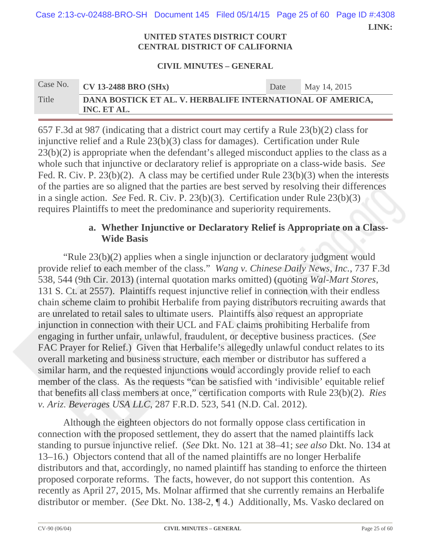**LINK:**  Case 2:13-cv-02488-BRO-SH Document 145 Filed 05/14/15 Page 25 of 60 Page ID #:4308

#### **UNITED STATES DISTRICT COURT CENTRAL DISTRICT OF CALIFORNIA**

#### **CIVIL MINUTES – GENERAL**

| Case No. | <b>CV 13-2488 BRO (SHx)</b>                                               | Date | May 14, 2015 |  |  |
|----------|---------------------------------------------------------------------------|------|--------------|--|--|
| Title    | DANA BOSTICK ET AL. V. HERBALIFE INTERNATIONAL OF AMERICA,<br>INC. ET AL. |      |              |  |  |

657 F.3d at 987 (indicating that a district court may certify a Rule 23(b)(2) class for injunctive relief and a Rule 23(b)(3) class for damages). Certification under Rule  $23(b)(2)$  is appropriate when the defendant's alleged misconduct applies to the class as a whole such that injunctive or declaratory relief is appropriate on a class-wide basis. *See*  Fed. R. Civ. P. 23(b)(2). A class may be certified under Rule 23(b)(3) when the interests of the parties are so aligned that the parties are best served by resolving their differences in a single action. *See* Fed. R. Civ. P. 23(b)(3). Certification under Rule 23(b)(3) requires Plaintiffs to meet the predominance and superiority requirements.

## **a. Whether Injunctive or Declaratory Relief is Appropriate on a Class-Wide Basis**

"Rule 23(b)(2) applies when a single injunction or declaratory judgment would provide relief to each member of the class." *Wang v. Chinese Daily News, Inc.*, 737 F.3d 538, 544 (9th Cir. 2013) (internal quotation marks omitted) (quoting *Wal-Mart Stores*, 131 S. Ct. at 2557). Plaintiffs request injunctive relief in connection with their endless chain scheme claim to prohibit Herbalife from paying distributors recruiting awards that are unrelated to retail sales to ultimate users. Plaintiffs also request an appropriate injunction in connection with their UCL and FAL claims prohibiting Herbalife from engaging in further unfair, unlawful, fraudulent, or deceptive business practices. (*See* FAC Prayer for Relief.) Given that Herbalife's allegedly unlawful conduct relates to its overall marketing and business structure, each member or distributor has suffered a similar harm, and the requested injunctions would accordingly provide relief to each member of the class. As the requests "can be satisfied with 'indivisible' equitable relief that benefits all class members at once," certification comports with Rule 23(b)(2). *Ries v. Ariz. Beverages USA LLC*, 287 F.R.D. 523, 541 (N.D. Cal. 2012).

Although the eighteen objectors do not formally oppose class certification in connection with the proposed settlement, they do assert that the named plaintiffs lack standing to pursue injunctive relief. (*See* Dkt. No. 121 at 38–41; *see also* Dkt. No. 134 at 13–16.) Objectors contend that all of the named plaintiffs are no longer Herbalife distributors and that, accordingly, no named plaintiff has standing to enforce the thirteen proposed corporate reforms. The facts, however, do not support this contention. As recently as April 27, 2015, Ms. Molnar affirmed that she currently remains an Herbalife distributor or member. (*See* Dkt. No. 138-2, ¶ 4.) Additionally, Ms. Vasko declared on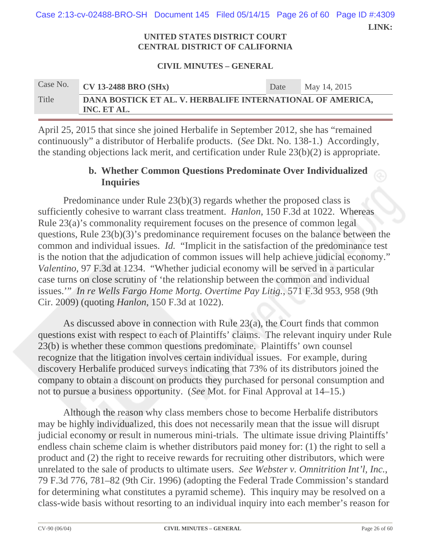**LINK:**  Case 2:13-cv-02488-BRO-SH Document 145 Filed 05/14/15 Page 26 of 60 Page ID #:4309

#### **UNITED STATES DISTRICT COURT CENTRAL DISTRICT OF CALIFORNIA**

#### **CIVIL MINUTES – GENERAL**

| Case No. | <b>CV 13-2488 BRO (SHx)</b>                                               | Date | May 14, 2015 |  |  |
|----------|---------------------------------------------------------------------------|------|--------------|--|--|
| Title    | DANA BOSTICK ET AL. V. HERBALIFE INTERNATIONAL OF AMERICA,<br>INC. ET AL. |      |              |  |  |

April 25, 2015 that since she joined Herbalife in September 2012, she has "remained continuously" a distributor of Herbalife products. (*See* Dkt. No. 138-1.) Accordingly, the standing objections lack merit, and certification under Rule 23(b)(2) is appropriate.

## **b. Whether Common Questions Predominate Over Individualized Inquiries**

Predominance under Rule 23(b)(3) regards whether the proposed class is sufficiently cohesive to warrant class treatment. *Hanlon*, 150 F.3d at 1022. Whereas Rule 23(a)'s commonality requirement focuses on the presence of common legal questions, Rule 23(b)(3)'s predominance requirement focuses on the balance between the common and individual issues. *Id.* "Implicit in the satisfaction of the predominance test is the notion that the adjudication of common issues will help achieve judicial economy." *Valentino*, 97 F.3d at 1234. "Whether judicial economy will be served in a particular case turns on close scrutiny of 'the relationship between the common and individual issues.'" *In re Wells Fargo Home Mortg. Overtime Pay Litig.*, 571 F.3d 953, 958 (9th Cir. 2009) (quoting *Hanlon*, 150 F.3d at 1022).

As discussed above in connection with Rule 23(a), the Court finds that common questions exist with respect to each of Plaintiffs' claims. The relevant inquiry under Rule 23(b) is whether these common questions predominate. Plaintiffs' own counsel recognize that the litigation involves certain individual issues. For example, during discovery Herbalife produced surveys indicating that 73% of its distributors joined the company to obtain a discount on products they purchased for personal consumption and not to pursue a business opportunity. (*See* Mot. for Final Approval at 14–15.)

Although the reason why class members chose to become Herbalife distributors may be highly individualized, this does not necessarily mean that the issue will disrupt judicial economy or result in numerous mini-trials. The ultimate issue driving Plaintiffs' endless chain scheme claim is whether distributors paid money for: (1) the right to sell a product and (2) the right to receive rewards for recruiting other distributors, which were unrelated to the sale of products to ultimate users. *See Webster v. Omnitrition Int'l, Inc.*, 79 F.3d 776, 781–82 (9th Cir. 1996) (adopting the Federal Trade Commission's standard for determining what constitutes a pyramid scheme). This inquiry may be resolved on a class-wide basis without resorting to an individual inquiry into each member's reason for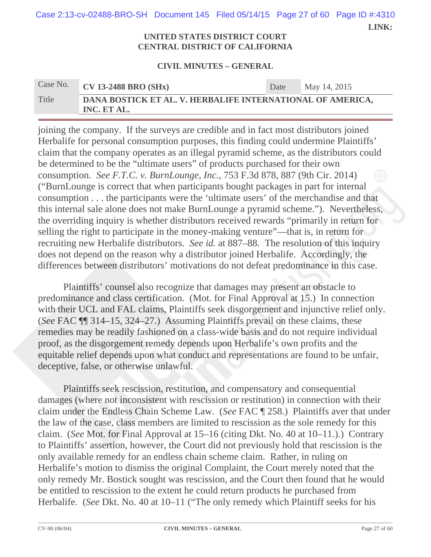**LINK:**  Case 2:13-cv-02488-BRO-SH Document 145 Filed 05/14/15 Page 27 of 60 Page ID #:4310

#### **UNITED STATES DISTRICT COURT CENTRAL DISTRICT OF CALIFORNIA**

#### **CIVIL MINUTES – GENERAL**

| Case No. | $\overline{\text{CV}}$ 13-2488 BRO (SHx)                                  | Date | May 14, 2015 |
|----------|---------------------------------------------------------------------------|------|--------------|
| Title    | DANA BOSTICK ET AL. V. HERBALIFE INTERNATIONAL OF AMERICA,<br>INC. ET AL. |      |              |

joining the company. If the surveys are credible and in fact most distributors joined Herbalife for personal consumption purposes, this finding could undermine Plaintiffs' claim that the company operates as an illegal pyramid scheme, as the distributors could be determined to be the "ultimate users" of products purchased for their own consumption. *See F.T.C. v. BurnLounge, Inc.*, 753 F.3d 878, 887 (9th Cir. 2014) ("BurnLounge is correct that when participants bought packages in part for internal consumption . . . the participants were the 'ultimate users' of the merchandise and that this internal sale alone does not make BurnLounge a pyramid scheme."). Nevertheless, the overriding inquiry is whether distributors received rewards "primarily in return for selling the right to participate in the money-making venture"—that is, in return for recruiting new Herbalife distributors. *See id.* at 887–88. The resolution of this inquiry does not depend on the reason why a distributor joined Herbalife. Accordingly, the differences between distributors' motivations do not defeat predominance in this case.

Plaintiffs' counsel also recognize that damages may present an obstacle to predominance and class certification. (Mot. for Final Approval at 15.) In connection with their UCL and FAL claims, Plaintiffs seek disgorgement and injunctive relief only. (*See* FAC ¶¶ 314–15, 324–27.) Assuming Plaintiffs prevail on these claims, these remedies may be readily fashioned on a class-wide basis and do not require individual proof, as the disgorgement remedy depends upon Herbalife's own profits and the equitable relief depends upon what conduct and representations are found to be unfair, deceptive, false, or otherwise unlawful.

Plaintiffs seek rescission, restitution, and compensatory and consequential damages (where not inconsistent with rescission or restitution) in connection with their claim under the Endless Chain Scheme Law. (*See* FAC ¶ 258.) Plaintiffs aver that under the law of the case, class members are limited to rescission as the sole remedy for this claim. (*See* Mot. for Final Approval at 15–16 (citing Dkt. No. 40 at 10–11.).) Contrary to Plaintiffs' assertion, however, the Court did not previously hold that rescission is the only available remedy for an endless chain scheme claim. Rather, in ruling on Herbalife's motion to dismiss the original Complaint, the Court merely noted that the only remedy Mr. Bostick sought was rescission, and the Court then found that he would be entitled to rescission to the extent he could return products he purchased from Herbalife. (*See* Dkt. No. 40 at 10–11 ("The only remedy which Plaintiff seeks for his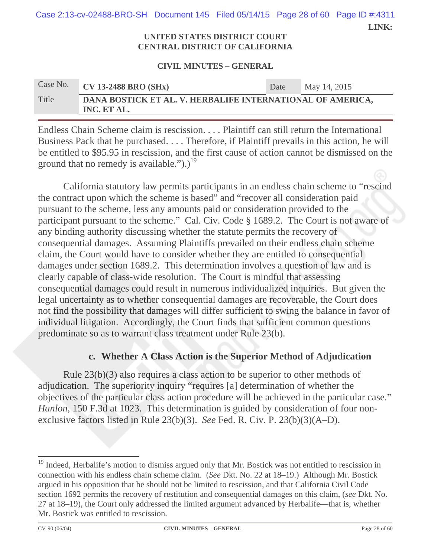**LINK:**  Case 2:13-cv-02488-BRO-SH Document 145 Filed 05/14/15 Page 28 of 60 Page ID #:4311

#### **UNITED STATES DISTRICT COURT CENTRAL DISTRICT OF CALIFORNIA**

#### **CIVIL MINUTES – GENERAL**

| Case No. | $\overline{\text{CV}}$ 13-2488 BRO (SHx)                                  | Date | May 14, 2015 |
|----------|---------------------------------------------------------------------------|------|--------------|
| Title    | DANA BOSTICK ET AL. V. HERBALIFE INTERNATIONAL OF AMERICA,<br>INC. ET AL. |      |              |

Endless Chain Scheme claim is rescission. . . . Plaintiff can still return the International Business Pack that he purchased. . . . Therefore, if Plaintiff prevails in this action, he will be entitled to \$95.95 in rescission, and the first cause of action cannot be dismissed on the ground that no remedy is available.").)<sup>19</sup>

California statutory law permits participants in an endless chain scheme to "rescind the contract upon which the scheme is based" and "recover all consideration paid pursuant to the scheme, less any amounts paid or consideration provided to the participant pursuant to the scheme." Cal. Civ. Code § 1689.2. The Court is not aware of any binding authority discussing whether the statute permits the recovery of consequential damages. Assuming Plaintiffs prevailed on their endless chain scheme claim, the Court would have to consider whether they are entitled to consequential damages under section 1689.2. This determination involves a question of law and is clearly capable of class-wide resolution. The Court is mindful that assessing consequential damages could result in numerous individualized inquiries. But given the legal uncertainty as to whether consequential damages are recoverable, the Court does not find the possibility that damages will differ sufficient to swing the balance in favor of individual litigation. Accordingly, the Court finds that sufficient common questions predominate so as to warrant class treatment under Rule 23(b).

## **c. Whether A Class Action is the Superior Method of Adjudication**

Rule 23(b)(3) also requires a class action to be superior to other methods of adjudication. The superiority inquiry "requires [a] determination of whether the objectives of the particular class action procedure will be achieved in the particular case." *Hanlon*, 150 F.3d at 1023. This determination is guided by consideration of four nonexclusive factors listed in Rule 23(b)(3). *See* Fed. R. Civ. P. 23(b)(3)(A–D).

<sup>&</sup>lt;sup>19</sup> Indeed, Herbalife's motion to dismiss argued only that Mr. Bostick was not entitled to rescission in connection with his endless chain scheme claim. (*See* Dkt. No. 22 at 18–19.) Although Mr. Bostick argued in his opposition that he should not be limited to rescission, and that California Civil Code section 1692 permits the recovery of restitution and consequential damages on this claim, (*see* Dkt. No. 27 at 18–19), the Court only addressed the limited argument advanced by Herbalife—that is, whether Mr. Bostick was entitled to rescission.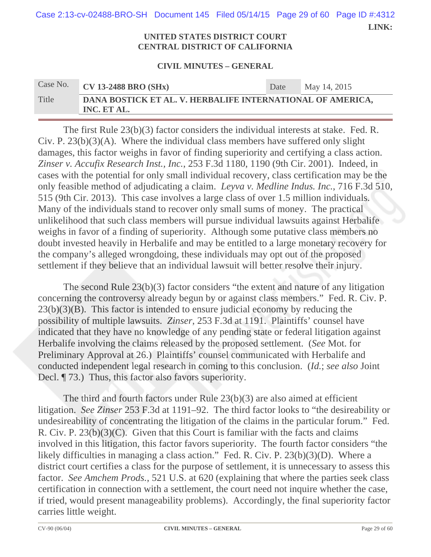**LINK:**  Case 2:13-cv-02488-BRO-SH Document 145 Filed 05/14/15 Page 29 of 60 Page ID #:4312

#### **UNITED STATES DISTRICT COURT CENTRAL DISTRICT OF CALIFORNIA**

#### **CIVIL MINUTES – GENERAL**

| Case No. | $\overline{\text{CV}}$ 13-2488 BRO (SHx)                                  | Date | May 14, 2015 |  |  |
|----------|---------------------------------------------------------------------------|------|--------------|--|--|
| Title    | DANA BOSTICK ET AL. V. HERBALIFE INTERNATIONAL OF AMERICA,<br>INC. ET AL. |      |              |  |  |

 The first Rule 23(b)(3) factor considers the individual interests at stake. Fed. R. Civ. P. 23(b)(3)(A). Where the individual class members have suffered only slight damages, this factor weighs in favor of finding superiority and certifying a class action. *Zinser v. Accufix Research Inst., Inc.*, 253 F.3d 1180, 1190 (9th Cir. 2001). Indeed, in cases with the potential for only small individual recovery, class certification may be the only feasible method of adjudicating a claim. *Leyva v. Medline Indus. Inc.*, 716 F.3d 510, 515 (9th Cir. 2013). This case involves a large class of over 1.5 million individuals. Many of the individuals stand to recover only small sums of money. The practical unlikelihood that such class members will pursue individual lawsuits against Herbalife weighs in favor of a finding of superiority. Although some putative class members no doubt invested heavily in Herbalife and may be entitled to a large monetary recovery for the company's alleged wrongdoing, these individuals may opt out of the proposed settlement if they believe that an individual lawsuit will better resolve their injury.

 The second Rule 23(b)(3) factor considers "the extent and nature of any litigation concerning the controversy already begun by or against class members." Fed. R. Civ. P.  $23(b)(3)(B)$ . This factor is intended to ensure judicial economy by reducing the possibility of multiple lawsuits. *Zinser*, 253 F.3d at 1191. Plaintiffs' counsel have indicated that they have no knowledge of any pending state or federal litigation against Herbalife involving the claims released by the proposed settlement. (*See* Mot. for Preliminary Approval at 26.) Plaintiffs' counsel communicated with Herbalife and conducted independent legal research in coming to this conclusion. (*Id.*; *see also* Joint Decl.  $\llbracket$  73.) Thus, this factor also favors superiority.

 The third and fourth factors under Rule 23(b)(3) are also aimed at efficient litigation. *See Zinser* 253 F.3d at 1191–92. The third factor looks to "the desireability or undesireability of concentrating the litigation of the claims in the particular forum." Fed. R. Civ. P. 23(b)(3)(C). Given that this Court is familiar with the facts and claims involved in this litigation, this factor favors superiority. The fourth factor considers "the likely difficulties in managing a class action." Fed. R. Civ. P. 23(b)(3)(D). Where a district court certifies a class for the purpose of settlement, it is unnecessary to assess this factor. *See Amchem Prods.*, 521 U.S. at 620 (explaining that where the parties seek class certification in connection with a settlement, the court need not inquire whether the case, if tried, would present manageability problems). Accordingly, the final superiority factor carries little weight.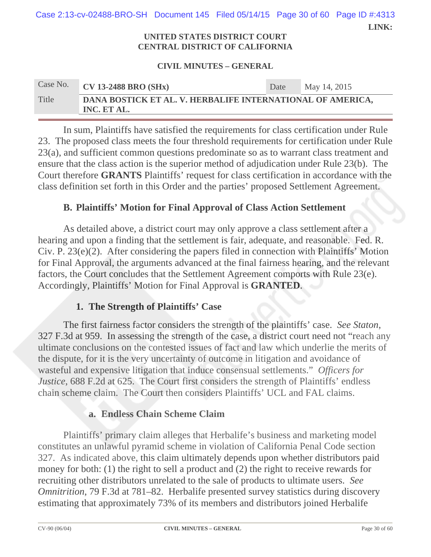**LINK:**  Case 2:13-cv-02488-BRO-SH Document 145 Filed 05/14/15 Page 30 of 60 Page ID #:4313

#### **UNITED STATES DISTRICT COURT CENTRAL DISTRICT OF CALIFORNIA**

#### **CIVIL MINUTES – GENERAL**

| Case No. | $CV$ 13-2488 BRO (SHx)                                                    | Date | May 14, 2015 |  |  |
|----------|---------------------------------------------------------------------------|------|--------------|--|--|
| Title    | DANA BOSTICK ET AL. V. HERBALIFE INTERNATIONAL OF AMERICA,<br>INC. ET AL. |      |              |  |  |

 In sum, Plaintiffs have satisfied the requirements for class certification under Rule 23. The proposed class meets the four threshold requirements for certification under Rule 23(a), and sufficient common questions predominate so as to warrant class treatment and ensure that the class action is the superior method of adjudication under Rule 23(b). The Court therefore **GRANTS** Plaintiffs' request for class certification in accordance with the class definition set forth in this Order and the parties' proposed Settlement Agreement.

## **B. Plaintiffs' Motion for Final Approval of Class Action Settlement**

As detailed above, a district court may only approve a class settlement after a hearing and upon a finding that the settlement is fair, adequate, and reasonable. Fed. R. Civ. P. 23(e)(2). After considering the papers filed in connection with Plaintiffs' Motion for Final Approval, the arguments advanced at the final fairness hearing, and the relevant factors, the Court concludes that the Settlement Agreement comports with Rule 23(e). Accordingly, Plaintiffs' Motion for Final Approval is **GRANTED**.

## **1. The Strength of Plaintiffs' Case**

The first fairness factor considers the strength of the plaintiffs' case. *See Staton*, 327 F.3d at 959. In assessing the strength of the case, a district court need not "reach any ultimate conclusions on the contested issues of fact and law which underlie the merits of the dispute, for it is the very uncertainty of outcome in litigation and avoidance of wasteful and expensive litigation that induce consensual settlements." *Officers for Justice*, 688 F.2d at 625. The Court first considers the strength of Plaintiffs' endless chain scheme claim. The Court then considers Plaintiffs' UCL and FAL claims.

## **a. Endless Chain Scheme Claim**

Plaintiffs' primary claim alleges that Herbalife's business and marketing model constitutes an unlawful pyramid scheme in violation of California Penal Code section 327. As indicated above, this claim ultimately depends upon whether distributors paid money for both: (1) the right to sell a product and (2) the right to receive rewards for recruiting other distributors unrelated to the sale of products to ultimate users. *See Omnitrition*, 79 F.3d at 781–82. Herbalife presented survey statistics during discovery estimating that approximately 73% of its members and distributors joined Herbalife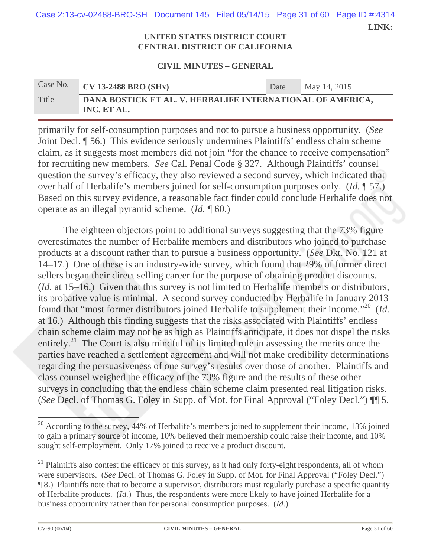| Case 2:13-cv-02488-BRO-SH Document 145 Filed 05/14/15 Page 31 of 60 Page ID #:4314 |  |       |
|------------------------------------------------------------------------------------|--|-------|
|                                                                                    |  | LINK: |

#### **UNITED STATES DISTRICT COURT CENTRAL DISTRICT OF CALIFORNIA**

#### **CIVIL MINUTES – GENERAL**

| Case No. | $CV$ 13-2488 BRO (SHx)                                                    | Date | May 14, 2015 |
|----------|---------------------------------------------------------------------------|------|--------------|
| Title    | DANA BOSTICK ET AL. V. HERBALIFE INTERNATIONAL OF AMERICA,<br>INC. ET AL. |      |              |

primarily for self-consumption purposes and not to pursue a business opportunity. (*See* Joint Decl. ¶ 56.) This evidence seriously undermines Plaintiffs' endless chain scheme claim, as it suggests most members did not join "for the chance to receive compensation" for recruiting new members. *See* Cal. Penal Code § 327. Although Plaintiffs' counsel question the survey's efficacy, they also reviewed a second survey, which indicated that over half of Herbalife's members joined for self-consumption purposes only. (*Id.* ¶ 57.) Based on this survey evidence, a reasonable fact finder could conclude Herbalife does not operate as an illegal pyramid scheme. (*Id.* ¶ 60.)

The eighteen objectors point to additional surveys suggesting that the 73% figure overestimates the number of Herbalife members and distributors who joined to purchase products at a discount rather than to pursue a business opportunity. (*See* Dkt. No. 121 at 14–17.) One of these is an industry-wide survey, which found that 29% of former direct sellers began their direct selling career for the purpose of obtaining product discounts. (*Id.* at 15–16.) Given that this survey is not limited to Herbalife members or distributors, its probative value is minimal. A second survey conducted by Herbalife in January 2013 found that "most former distributors joined Herbalife to supplement their income."20 (*Id.* at 16.) Although this finding suggests that the risks associated with Plaintiffs' endless chain scheme claim may not be as high as Plaintiffs anticipate, it does not dispel the risks entirely.<sup>21</sup> The Court is also mindful of its limited role in assessing the merits once the parties have reached a settlement agreement and will not make credibility determinations regarding the persuasiveness of one survey's results over those of another. Plaintiffs and class counsel weighed the efficacy of the 73% figure and the results of these other surveys in concluding that the endless chain scheme claim presented real litigation risks. (*See* Decl. of Thomas G. Foley in Supp. of Mot. for Final Approval ("Foley Decl.") ¶¶ 5,

 $\overline{\phantom{a}}$  . The contract of  $\overline{\phantom{a}}$ 

 $20$  According to the survey, 44% of Herbalife's members joined to supplement their income, 13% joined to gain a primary source of income, 10% believed their membership could raise their income, and 10% sought self-employment. Only 17% joined to receive a product discount.

 $^{21}$  Plaintiffs also contest the efficacy of this survey, as it had only forty-eight respondents, all of whom were supervisors. (*See* Decl. of Thomas G. Foley in Supp. of Mot. for Final Approval ("Foley Decl.") ¶ 8.) Plaintiffs note that to become a supervisor, distributors must regularly purchase a specific quantity of Herbalife products. (*Id.*) Thus, the respondents were more likely to have joined Herbalife for a business opportunity rather than for personal consumption purposes. (*Id.*)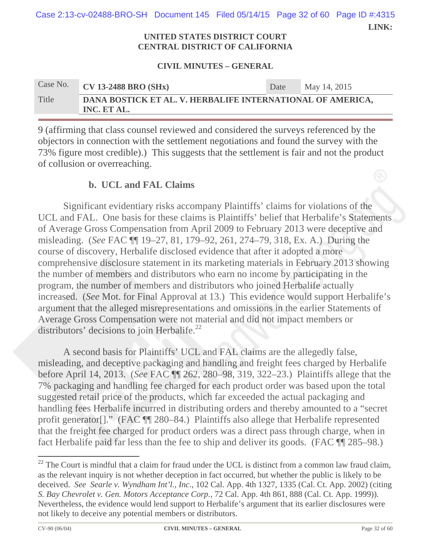**LINK:**  Case 2:13-cv-02488-BRO-SH Document 145 Filed 05/14/15 Page 32 of 60 Page ID #:4315

#### **UNITED STATES DISTRICT COURT CENTRAL DISTRICT OF CALIFORNIA**

#### **CIVIL MINUTES – GENERAL**

| Case No. | $CV$ 13-2488 BRO (SHx)                                                    | Date | May 14, 2015 |
|----------|---------------------------------------------------------------------------|------|--------------|
| Title    | DANA BOSTICK ET AL. V. HERBALIFE INTERNATIONAL OF AMERICA,<br>INC. ET AL. |      |              |

9 (affirming that class counsel reviewed and considered the surveys referenced by the objectors in connection with the settlement negotiations and found the survey with the 73% figure most credible).) This suggests that the settlement is fair and not the product of collusion or overreaching.

## **b. UCL and FAL Claims**

Significant evidentiary risks accompany Plaintiffs' claims for violations of the UCL and FAL. One basis for these claims is Plaintiffs' belief that Herbalife's Statements of Average Gross Compensation from April 2009 to February 2013 were deceptive and misleading. (*See* FAC ¶¶ 19–27, 81, 179–92, 261, 274–79, 318, Ex. A.) During the course of discovery, Herbalife disclosed evidence that after it adopted a more comprehensive disclosure statement in its marketing materials in February 2013 showing the number of members and distributors who earn no income by participating in the program, the number of members and distributors who joined Herbalife actually increased. (*See* Mot. for Final Approval at 13.) This evidence would support Herbalife's argument that the alleged misrepresentations and omissions in the earlier Statements of Average Gross Compensation were not material and did not impact members or distributors' decisions to join Herbalife. $^{22}$ 

A second basis for Plaintiffs' UCL and FAL claims are the allegedly false, misleading, and deceptive packaging and handling and freight fees charged by Herbalife before April 14, 2013. (*See* FAC ¶¶ 262, 280–98, 319, 322–23.) Plaintiffs allege that the 7% packaging and handling fee charged for each product order was based upon the total suggested retail price of the products, which far exceeded the actual packaging and handling fees Herbalife incurred in distributing orders and thereby amounted to a "secret profit generator[]." (FAC ¶¶ 280–84.) Plaintiffs also allege that Herbalife represented that the freight fee charged for product orders was a direct pass through charge, when in fact Herbalife paid far less than the fee to ship and deliver its goods. (FAC ¶¶ 285–98.)

 $^{22}$  The Court is mindful that a claim for fraud under the UCL is distinct from a common law fraud claim, as the relevant inquiry is not whether deception in fact occurred, but whether the public is likely to be deceived. *See Searle v. Wyndham Int'l., Inc.*, 102 Cal. App. 4th 1327, 1335 (Cal. Ct. App. 2002) (citing *S. Bay Chevrolet v. Gen. Motors Acceptance Corp.*, 72 Cal. App. 4th 861, 888 (Cal. Ct. App. 1999)). Nevertheless, the evidence would lend support to Herbalife's argument that its earlier disclosures were not likely to deceive any potential members or distributors.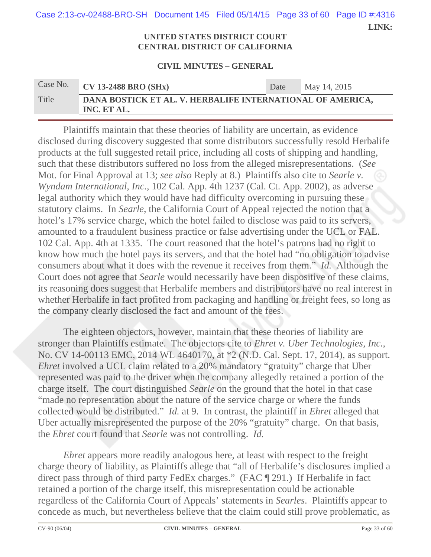**LINK:**  Case 2:13-cv-02488-BRO-SH Document 145 Filed 05/14/15 Page 33 of 60 Page ID #:4316

#### **UNITED STATES DISTRICT COURT CENTRAL DISTRICT OF CALIFORNIA**

#### **CIVIL MINUTES – GENERAL**

| Case No. | $\sqrt{\text{CV} 13\text{-}2488 \text{ BRO} (\text{SHx})}$                | Date | May 14, 2015 |
|----------|---------------------------------------------------------------------------|------|--------------|
| Title    | DANA BOSTICK ET AL. V. HERBALIFE INTERNATIONAL OF AMERICA,<br>INC. ET AL. |      |              |

Plaintiffs maintain that these theories of liability are uncertain, as evidence disclosed during discovery suggested that some distributors successfully resold Herbalife products at the full suggested retail price, including all costs of shipping and handling, such that these distributors suffered no loss from the alleged misrepresentations. (*See*  Mot. for Final Approval at 13; *see also* Reply at 8.) Plaintiffs also cite to *Searle v. Wyndam International, Inc.*, 102 Cal. App. 4th 1237 (Cal. Ct. App. 2002), as adverse legal authority which they would have had difficulty overcoming in pursuing these statutory claims. In *Searle*, the California Court of Appeal rejected the notion that a hotel's 17% service charge, which the hotel failed to disclose was paid to its servers, amounted to a fraudulent business practice or false advertising under the UCL or FAL. 102 Cal. App. 4th at 1335. The court reasoned that the hotel's patrons had no right to know how much the hotel pays its servers, and that the hotel had "no obligation to advise consumers about what it does with the revenue it receives from them." *Id.* Although the Court does not agree that *Searle* would necessarily have been dispositive of these claims, its reasoning does suggest that Herbalife members and distributors have no real interest in whether Herbalife in fact profited from packaging and handling or freight fees, so long as the company clearly disclosed the fact and amount of the fees.

The eighteen objectors, however, maintain that these theories of liability are stronger than Plaintiffs estimate. The objectors cite to *Ehret v. Uber Technologies, Inc.*, No. CV 14-00113 EMC, 2014 WL 4640170, at \*2 (N.D. Cal. Sept. 17, 2014), as support. *Ehret* involved a UCL claim related to a 20% mandatory "gratuity" charge that Uber represented was paid to the driver when the company allegedly retained a portion of the charge itself. The court distinguished *Searle* on the ground that the hotel in that case "made no representation about the nature of the service charge or where the funds collected would be distributed." *Id.* at 9. In contrast, the plaintiff in *Ehret* alleged that Uber actually misrepresented the purpose of the 20% "gratuity" charge. On that basis, the *Ehret* court found that *Searle* was not controlling. *Id.*

*Ehret* appears more readily analogous here, at least with respect to the freight charge theory of liability, as Plaintiffs allege that "all of Herbalife's disclosures implied a direct pass through of third party FedEx charges." (FAC ¶ 291.) If Herbalife in fact retained a portion of the charge itself, this misrepresentation could be actionable regardless of the California Court of Appeals' statements in *Searles*. Plaintiffs appear to concede as much, but nevertheless believe that the claim could still prove problematic, as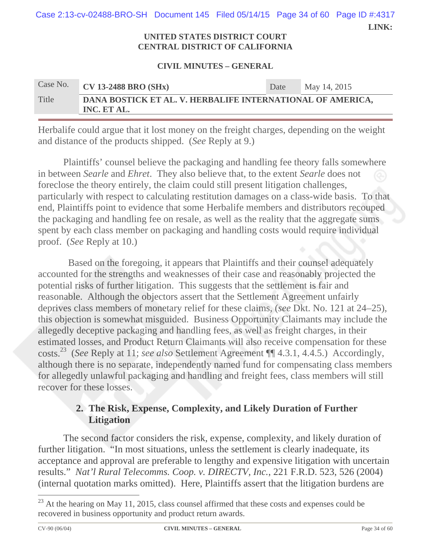**LINK:**  Case 2:13-cv-02488-BRO-SH Document 145 Filed 05/14/15 Page 34 of 60 Page ID #:4317

#### **UNITED STATES DISTRICT COURT CENTRAL DISTRICT OF CALIFORNIA**

#### **CIVIL MINUTES – GENERAL**

| Case No. | $\overline{\text{CV}}$ 13-2488 BRO (SHx)                                  | Date | May 14, 2015 |
|----------|---------------------------------------------------------------------------|------|--------------|
| Title    | DANA BOSTICK ET AL. V. HERBALIFE INTERNATIONAL OF AMERICA,<br>INC. ET AL. |      |              |

Herbalife could argue that it lost money on the freight charges, depending on the weight and distance of the products shipped. (*See* Reply at 9.)

Plaintiffs' counsel believe the packaging and handling fee theory falls somewhere in between *Searle* and *Ehret*. They also believe that, to the extent *Searle* does not foreclose the theory entirely, the claim could still present litigation challenges, particularly with respect to calculating restitution damages on a class-wide basis. To that end, Plaintiffs point to evidence that some Herbalife members and distributors recouped the packaging and handling fee on resale, as well as the reality that the aggregate sums spent by each class member on packaging and handling costs would require individual proof. (*See* Reply at 10.)

 Based on the foregoing, it appears that Plaintiffs and their counsel adequately accounted for the strengths and weaknesses of their case and reasonably projected the potential risks of further litigation. This suggests that the settlement is fair and reasonable. Although the objectors assert that the Settlement Agreement unfairly deprives class members of monetary relief for these claims, (*see* Dkt. No. 121 at 24–25), this objection is somewhat misguided. Business Opportunity Claimants may include the allegedly deceptive packaging and handling fees, as well as freight charges, in their estimated losses, and Product Return Claimants will also receive compensation for these costs.23 (*See* Reply at 11; *see also* Settlement Agreement ¶¶ 4.3.1, 4.4.5.) Accordingly, although there is no separate, independently named fund for compensating class members for allegedly unlawful packaging and handling and freight fees, class members will still recover for these losses.

## **2. The Risk, Expense, Complexity, and Likely Duration of Further Litigation**

The second factor considers the risk, expense, complexity, and likely duration of further litigation. "In most situations, unless the settlement is clearly inadequate, its acceptance and approval are preferable to lengthy and expensive litigation with uncertain results." *Nat'l Rural Telecomms. Coop. v. DIRECTV, Inc.*, 221 F.R.D. 523, 526 (2004) (internal quotation marks omitted). Here, Plaintiffs assert that the litigation burdens are

 $^{23}$  At the hearing on May 11, 2015, class counsel affirmed that these costs and expenses could be recovered in business opportunity and product return awards.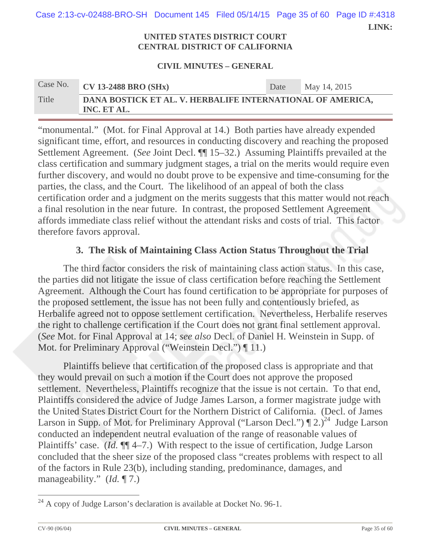**LINK:**  Case 2:13-cv-02488-BRO-SH Document 145 Filed 05/14/15 Page 35 of 60 Page ID #:4318

#### **UNITED STATES DISTRICT COURT CENTRAL DISTRICT OF CALIFORNIA**

#### **CIVIL MINUTES – GENERAL**

| Case No. | $CV$ 13-2488 BRO (SHx)                                                    | Date | May 14, 2015 |
|----------|---------------------------------------------------------------------------|------|--------------|
| Title    | DANA BOSTICK ET AL. V. HERBALIFE INTERNATIONAL OF AMERICA,<br>INC. ET AL. |      |              |

"monumental." (Mot. for Final Approval at 14.) Both parties have already expended significant time, effort, and resources in conducting discovery and reaching the proposed Settlement Agreement. (*See* Joint Decl. ¶¶ 15–32.) Assuming Plaintiffs prevailed at the class certification and summary judgment stages, a trial on the merits would require even further discovery, and would no doubt prove to be expensive and time-consuming for the parties, the class, and the Court. The likelihood of an appeal of both the class certification order and a judgment on the merits suggests that this matter would not reach a final resolution in the near future. In contrast, the proposed Settlement Agreement affords immediate class relief without the attendant risks and costs of trial. This factor therefore favors approval.

## **3. The Risk of Maintaining Class Action Status Throughout the Trial**

The third factor considers the risk of maintaining class action status. In this case, the parties did not litigate the issue of class certification before reaching the Settlement Agreement. Although the Court has found certification to be appropriate for purposes of the proposed settlement, the issue has not been fully and contentiously briefed, as Herbalife agreed not to oppose settlement certification. Nevertheless, Herbalife reserves the right to challenge certification if the Court does not grant final settlement approval. (*See* Mot. for Final Approval at 14; *see also* Decl. of Daniel H. Weinstein in Supp. of Mot. for Preliminary Approval ("Weinstein Decl.") ¶ 11.)

Plaintiffs believe that certification of the proposed class is appropriate and that they would prevail on such a motion if the Court does not approve the proposed settlement. Nevertheless, Plaintiffs recognize that the issue is not certain. To that end, Plaintiffs considered the advice of Judge James Larson, a former magistrate judge with the United States District Court for the Northern District of California. (Decl. of James Larson in Supp. of Mot. for Preliminary Approval ("Larson Decl.")  $\P 2.$ <sup>24</sup> Judge Larson conducted an independent neutral evaluation of the range of reasonable values of Plaintiffs' case. (*Id.* ¶¶ 4–7.) With respect to the issue of certification, Judge Larson concluded that the sheer size of the proposed class "creates problems with respect to all of the factors in Rule 23(b), including standing, predominance, damages, and manageability." (*Id.* ¶ 7.)

 $^{24}$  A copy of Judge Larson's declaration is available at Docket No. 96-1.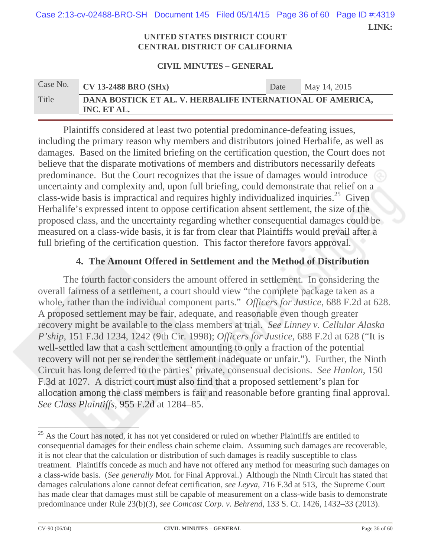**LINK:**  Case 2:13-cv-02488-BRO-SH Document 145 Filed 05/14/15 Page 36 of 60 Page ID #:4319

#### **UNITED STATES DISTRICT COURT CENTRAL DISTRICT OF CALIFORNIA**

#### **CIVIL MINUTES – GENERAL**

| Case No. | $CV$ 13-2488 BRO (SHx)                                                    | Date | May 14, 2015 |
|----------|---------------------------------------------------------------------------|------|--------------|
| Title    | DANA BOSTICK ET AL. V. HERBALIFE INTERNATIONAL OF AMERICA,<br>INC. ET AL. |      |              |

Plaintiffs considered at least two potential predominance-defeating issues, including the primary reason why members and distributors joined Herbalife, as well as damages. Based on the limited briefing on the certification question, the Court does not believe that the disparate motivations of members and distributors necessarily defeats predominance. But the Court recognizes that the issue of damages would introduce uncertainty and complexity and, upon full briefing, could demonstrate that relief on a class-wide basis is impractical and requires highly individualized inquiries.<sup>25</sup> Given Herbalife's expressed intent to oppose certification absent settlement, the size of the proposed class, and the uncertainty regarding whether consequential damages could be measured on a class-wide basis, it is far from clear that Plaintiffs would prevail after a full briefing of the certification question. This factor therefore favors approval.

## **4. The Amount Offered in Settlement and the Method of Distribution**

The fourth factor considers the amount offered in settlement. In considering the overall fairness of a settlement, a court should view "the complete package taken as a whole, rather than the individual component parts." *Officers for Justice*, 688 F.2d at 628. A proposed settlement may be fair, adequate, and reasonable even though greater recovery might be available to the class members at trial. *See Linney v. Cellular Alaska P'ship*, 151 F.3d 1234, 1242 (9th Cir. 1998); *Officers for Justice*, 688 F.2d at 628 ("It is well-settled law that a cash settlement amounting to only a fraction of the potential recovery will not per se render the settlement inadequate or unfair."). Further, the Ninth Circuit has long deferred to the parties' private, consensual decisions. *See Hanlon*, 150 F.3d at 1027. A district court must also find that a proposed settlement's plan for allocation among the class members is fair and reasonable before granting final approval. *See Class Plaintiffs*, 955 F.2d at 1284–85.

 $^{25}$  As the Court has noted, it has not yet considered or ruled on whether Plaintiffs are entitled to consequential damages for their endless chain scheme claim. Assuming such damages are recoverable, it is not clear that the calculation or distribution of such damages is readily susceptible to class treatment. Plaintiffs concede as much and have not offered any method for measuring such damages on a class-wide basis. (*See generally* Mot. for Final Approval.) Although the Ninth Circuit has stated that damages calculations alone cannot defeat certification, *see Leyva*, 716 F.3d at 513, the Supreme Court has made clear that damages must still be capable of measurement on a class-wide basis to demonstrate predominance under Rule 23(b)(3), *see Comcast Corp. v. Behrend*, 133 S. Ct. 1426, 1432–33 (2013).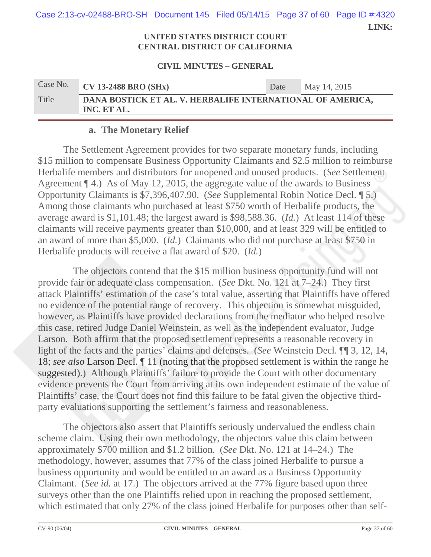**LINK:**  Case 2:13-cv-02488-BRO-SH Document 145 Filed 05/14/15 Page 37 of 60 Page ID #:4320

#### **UNITED STATES DISTRICT COURT CENTRAL DISTRICT OF CALIFORNIA**

#### **CIVIL MINUTES – GENERAL**

| Case No. | $CV$ 13-2488 BRO (SHx)                                                    | Date | May 14, 2015 |
|----------|---------------------------------------------------------------------------|------|--------------|
| Title    | DANA BOSTICK ET AL. V. HERBALIFE INTERNATIONAL OF AMERICA,<br>INC. ET AL. |      |              |

### **a. The Monetary Relief**

The Settlement Agreement provides for two separate monetary funds, including \$15 million to compensate Business Opportunity Claimants and \$2.5 million to reimburse Herbalife members and distributors for unopened and unused products. (*See* Settlement Agreement ¶ 4.) As of May 12, 2015, the aggregate value of the awards to Business Opportunity Claimants is \$7,396,407.90. (*See* Supplemental Robin Notice Decl. ¶ 5.) Among those claimants who purchased at least \$750 worth of Herbalife products, the average award is \$1,101.48; the largest award is \$98,588.36. (*Id.*) At least 114 of these claimants will receive payments greater than \$10,000, and at least 329 will be entitled to an award of more than \$5,000. (*Id.*) Claimants who did not purchase at least \$750 in Herbalife products will receive a flat award of \$20. (*Id.*)

 The objectors contend that the \$15 million business opportunity fund will not provide fair or adequate class compensation. (*See* Dkt. No. 121 at 7–24.) They first attack Plaintiffs' estimation of the case's total value, asserting that Plaintiffs have offered no evidence of the potential range of recovery. This objection is somewhat misguided, however, as Plaintiffs have provided declarations from the mediator who helped resolve this case, retired Judge Daniel Weinstein, as well as the independent evaluator, Judge Larson. Both affirm that the proposed settlement represents a reasonable recovery in light of the facts and the parties' claims and defenses. (*See* Weinstein Decl. ¶¶ 3, 12, 14, 18; *see also* Larson Decl. ¶ 11 (noting that the proposed settlement is within the range he suggested).) Although Plaintiffs' failure to provide the Court with other documentary evidence prevents the Court from arriving at its own independent estimate of the value of Plaintiffs' case, the Court does not find this failure to be fatal given the objective thirdparty evaluations supporting the settlement's fairness and reasonableness.

The objectors also assert that Plaintiffs seriously undervalued the endless chain scheme claim. Using their own methodology, the objectors value this claim between approximately \$700 million and \$1.2 billion. (*See* Dkt. No. 121 at 14–24.) The methodology, however, assumes that 77% of the class joined Herbalife to pursue a business opportunity and would be entitled to an award as a Business Opportunity Claimant. (*See id.* at 17.) The objectors arrived at the 77% figure based upon three surveys other than the one Plaintiffs relied upon in reaching the proposed settlement, which estimated that only 27% of the class joined Herbalife for purposes other than self-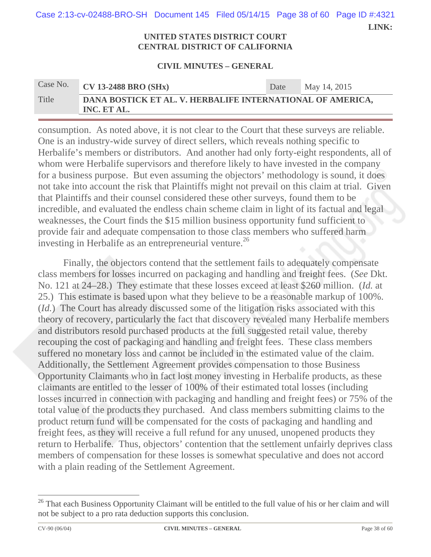**LINK:**  Case 2:13-cv-02488-BRO-SH Document 145 Filed 05/14/15 Page 38 of 60 Page ID #:4321

#### **UNITED STATES DISTRICT COURT CENTRAL DISTRICT OF CALIFORNIA**

#### **CIVIL MINUTES – GENERAL**

| Case No. | $\overline{\text{CV}}$ 13-2488 BRO (SHx)                                  | Date | May 14, 2015 |
|----------|---------------------------------------------------------------------------|------|--------------|
| Title    | DANA BOSTICK ET AL. V. HERBALIFE INTERNATIONAL OF AMERICA,<br>INC. ET AL. |      |              |

consumption. As noted above, it is not clear to the Court that these surveys are reliable. One is an industry-wide survey of direct sellers, which reveals nothing specific to Herbalife's members or distributors. And another had only forty-eight respondents, all of whom were Herbalife supervisors and therefore likely to have invested in the company for a business purpose. But even assuming the objectors' methodology is sound, it does not take into account the risk that Plaintiffs might not prevail on this claim at trial. Given that Plaintiffs and their counsel considered these other surveys, found them to be incredible, and evaluated the endless chain scheme claim in light of its factual and legal weaknesses, the Court finds the \$15 million business opportunity fund sufficient to provide fair and adequate compensation to those class members who suffered harm investing in Herbalife as an entrepreneurial venture.<sup>26</sup>

Finally, the objectors contend that the settlement fails to adequately compensate class members for losses incurred on packaging and handling and freight fees. (*See* Dkt. No. 121 at 24–28.) They estimate that these losses exceed at least \$260 million. (*Id.* at 25.) This estimate is based upon what they believe to be a reasonable markup of 100%. (*Id.*) The Court has already discussed some of the litigation risks associated with this theory of recovery, particularly the fact that discovery revealed many Herbalife members and distributors resold purchased products at the full suggested retail value, thereby recouping the cost of packaging and handling and freight fees. These class members suffered no monetary loss and cannot be included in the estimated value of the claim. Additionally, the Settlement Agreement provides compensation to those Business Opportunity Claimants who in fact lost money investing in Herbalife products, as these claimants are entitled to the lesser of 100% of their estimated total losses (including losses incurred in connection with packaging and handling and freight fees) or 75% of the total value of the products they purchased. And class members submitting claims to the product return fund will be compensated for the costs of packaging and handling and freight fees, as they will receive a full refund for any unused, unopened products they return to Herbalife. Thus, objectors' contention that the settlement unfairly deprives class members of compensation for these losses is somewhat speculative and does not accord with a plain reading of the Settlement Agreement.

<sup>&</sup>lt;sup>26</sup> That each Business Opportunity Claimant will be entitled to the full value of his or her claim and will not be subject to a pro rata deduction supports this conclusion.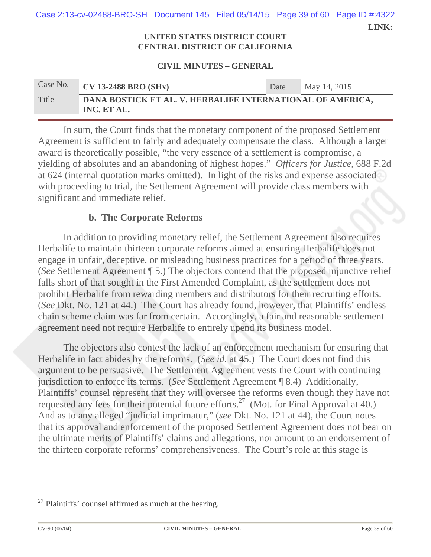| Case 2:13-cv-02488-BRO-SH Document 145 Filed 05/14/15 Page 39 of 60 Page ID #:4322 |  |       |
|------------------------------------------------------------------------------------|--|-------|
|                                                                                    |  | LINK: |

#### **UNITED STATES DISTRICT COURT CENTRAL DISTRICT OF CALIFORNIA**

#### **CIVIL MINUTES – GENERAL**

| Case No. | $\overline{\text{CV}}$ 13-2488 BRO (SHx)                                  | Date | May 14, 2015 |
|----------|---------------------------------------------------------------------------|------|--------------|
| Title    | DANA BOSTICK ET AL. V. HERBALIFE INTERNATIONAL OF AMERICA,<br>INC. ET AL. |      |              |

In sum, the Court finds that the monetary component of the proposed Settlement Agreement is sufficient to fairly and adequately compensate the class. Although a larger award is theoretically possible, "the very essence of a settlement is compromise, a yielding of absolutes and an abandoning of highest hopes." *Officers for Justice*, 688 F.2d at 624 (internal quotation marks omitted). In light of the risks and expense associated with proceeding to trial, the Settlement Agreement will provide class members with significant and immediate relief.

### **b. The Corporate Reforms**

In addition to providing monetary relief, the Settlement Agreement also requires Herbalife to maintain thirteen corporate reforms aimed at ensuring Herbalife does not engage in unfair, deceptive, or misleading business practices for a period of three years. (*See* Settlement Agreement ¶ 5.) The objectors contend that the proposed injunctive relief falls short of that sought in the First Amended Complaint, as the settlement does not prohibit Herbalife from rewarding members and distributors for their recruiting efforts. (*See* Dkt. No. 121 at 44.) The Court has already found, however, that Plaintiffs' endless chain scheme claim was far from certain. Accordingly, a fair and reasonable settlement agreement need not require Herbalife to entirely upend its business model.

The objectors also contest the lack of an enforcement mechanism for ensuring that Herbalife in fact abides by the reforms. (*See id.* at 45.) The Court does not find this argument to be persuasive. The Settlement Agreement vests the Court with continuing jurisdiction to enforce its terms. (*See* Settlement Agreement ¶ 8.4) Additionally, Plaintiffs' counsel represent that they will oversee the reforms even though they have not requested any fees for their potential future efforts.<sup>27</sup> (Mot. for Final Approval at 40.) And as to any alleged "judicial imprimatur," (*see* Dkt. No. 121 at 44), the Court notes that its approval and enforcement of the proposed Settlement Agreement does not bear on the ultimate merits of Plaintiffs' claims and allegations, nor amount to an endorsement of the thirteen corporate reforms' comprehensiveness. The Court's role at this stage is

 $27$  Plaintiffs' counsel affirmed as much at the hearing.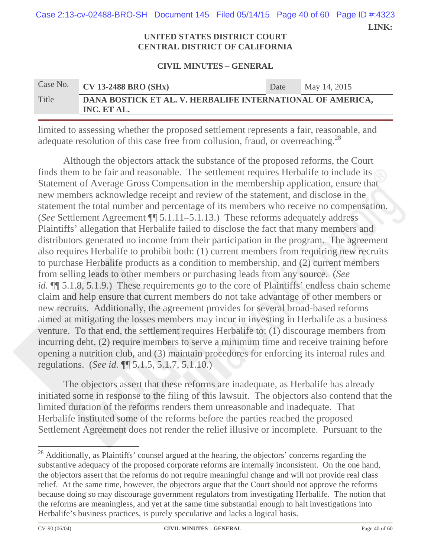**LINK:**  Case 2:13-cv-02488-BRO-SH Document 145 Filed 05/14/15 Page 40 of 60 Page ID #:4323

#### **UNITED STATES DISTRICT COURT CENTRAL DISTRICT OF CALIFORNIA**

#### **CIVIL MINUTES – GENERAL**

| Case No. | $CV$ 13-2488 BRO (SHx)                                                    | Date | May 14, 2015 |
|----------|---------------------------------------------------------------------------|------|--------------|
| Title    | DANA BOSTICK ET AL. V. HERBALIFE INTERNATIONAL OF AMERICA,<br>INC. ET AL. |      |              |

limited to assessing whether the proposed settlement represents a fair, reasonable, and adequate resolution of this case free from collusion, fraud, or overreaching.<sup>28</sup>

Although the objectors attack the substance of the proposed reforms, the Court finds them to be fair and reasonable. The settlement requires Herbalife to include its Statement of Average Gross Compensation in the membership application, ensure that new members acknowledge receipt and review of the statement, and disclose in the statement the total number and percentage of its members who receive no compensation. (*See* Settlement Agreement ¶¶ 5.1.11–5.1.13.) These reforms adequately address Plaintiffs' allegation that Herbalife failed to disclose the fact that many members and distributors generated no income from their participation in the program. The agreement also requires Herbalife to prohibit both: (1) current members from requiring new recruits to purchase Herbalife products as a condition to membership, and (2) current members from selling leads to other members or purchasing leads from any source. (*See id.*  $\P$  5.1.8, 5.1.9.) These requirements go to the core of Plaintiffs' endless chain scheme claim and help ensure that current members do not take advantage of other members or new recruits. Additionally, the agreement provides for several broad-based reforms aimed at mitigating the losses members may incur in investing in Herbalife as a business venture. To that end, the settlement requires Herbalife to: (1) discourage members from incurring debt, (2) require members to serve a minimum time and receive training before opening a nutrition club, and (3) maintain procedures for enforcing its internal rules and regulations. (*See id.* ¶¶ 5.1.5, 5.1.7, 5.1.10.)

The objectors assert that these reforms are inadequate, as Herbalife has already initiated some in response to the filing of this lawsuit. The objectors also contend that the limited duration of the reforms renders them unreasonable and inadequate. That Herbalife instituted some of the reforms before the parties reached the proposed Settlement Agreement does not render the relief illusive or incomplete. Pursuant to the

 $\overline{\phantom{a}}$  . The contract of  $\overline{\phantom{a}}$  $28$  Additionally, as Plaintiffs' counsel argued at the hearing, the objectors' concerns regarding the substantive adequacy of the proposed corporate reforms are internally inconsistent. On the one hand, the objectors assert that the reforms do not require meaningful change and will not provide real class relief. At the same time, however, the objectors argue that the Court should not approve the reforms because doing so may discourage government regulators from investigating Herbalife. The notion that the reforms are meaningless, and yet at the same time substantial enough to halt investigations into Herbalife's business practices, is purely speculative and lacks a logical basis.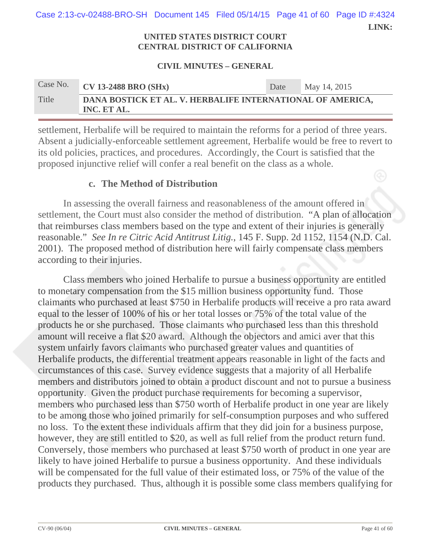**LINK:**  Case 2:13-cv-02488-BRO-SH Document 145 Filed 05/14/15 Page 41 of 60 Page ID #:4324

#### **UNITED STATES DISTRICT COURT CENTRAL DISTRICT OF CALIFORNIA**

#### **CIVIL MINUTES – GENERAL**

| Case No. | $\overline{\text{CV}}$ 13-2488 BRO (SHx)                                  | Date | May 14, 2015 |
|----------|---------------------------------------------------------------------------|------|--------------|
| Title    | DANA BOSTICK ET AL. V. HERBALIFE INTERNATIONAL OF AMERICA,<br>INC. ET AL. |      |              |

settlement, Herbalife will be required to maintain the reforms for a period of three years. Absent a judicially-enforceable settlement agreement, Herbalife would be free to revert to its old policies, practices, and procedures. Accordingly, the Court is satisfied that the proposed injunctive relief will confer a real benefit on the class as a whole.

### **c. The Method of Distribution**

In assessing the overall fairness and reasonableness of the amount offered in settlement, the Court must also consider the method of distribution. "A plan of allocation that reimburses class members based on the type and extent of their injuries is generally reasonable." *See In re Citric Acid Antitrust Litig.*, 145 F. Supp. 2d 1152, 1154 (N.D. Cal. 2001). The proposed method of distribution here will fairly compensate class members according to their injuries.

Class members who joined Herbalife to pursue a business opportunity are entitled to monetary compensation from the \$15 million business opportunity fund. Those claimants who purchased at least \$750 in Herbalife products will receive a pro rata award equal to the lesser of 100% of his or her total losses or 75% of the total value of the products he or she purchased. Those claimants who purchased less than this threshold amount will receive a flat \$20 award. Although the objectors and amici aver that this system unfairly favors claimants who purchased greater values and quantities of Herbalife products, the differential treatment appears reasonable in light of the facts and circumstances of this case. Survey evidence suggests that a majority of all Herbalife members and distributors joined to obtain a product discount and not to pursue a business opportunity. Given the product purchase requirements for becoming a supervisor, members who purchased less than \$750 worth of Herbalife product in one year are likely to be among those who joined primarily for self-consumption purposes and who suffered no loss. To the extent these individuals affirm that they did join for a business purpose, however, they are still entitled to \$20, as well as full relief from the product return fund. Conversely, those members who purchased at least \$750 worth of product in one year are likely to have joined Herbalife to pursue a business opportunity. And these individuals will be compensated for the full value of their estimated loss, or 75% of the value of the products they purchased. Thus, although it is possible some class members qualifying for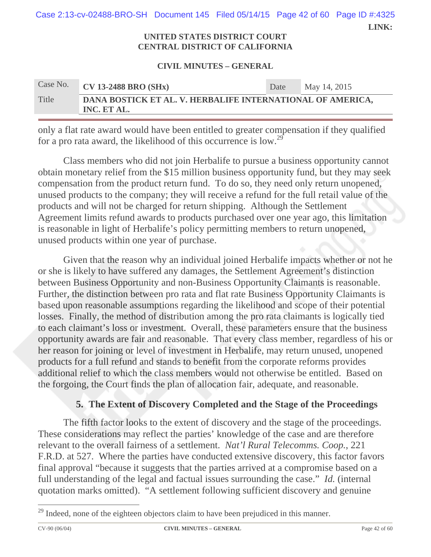**LINK:**  Case 2:13-cv-02488-BRO-SH Document 145 Filed 05/14/15 Page 42 of 60 Page ID #:4325

#### **UNITED STATES DISTRICT COURT CENTRAL DISTRICT OF CALIFORNIA**

#### **CIVIL MINUTES – GENERAL**

| Case No. | $CV$ 13-2488 BRO (SHx)                                                    | Date | May 14, 2015 |
|----------|---------------------------------------------------------------------------|------|--------------|
| Title    | DANA BOSTICK ET AL. V. HERBALIFE INTERNATIONAL OF AMERICA,<br>INC. ET AL. |      |              |

only a flat rate award would have been entitled to greater compensation if they qualified for a pro rata award, the likelihood of this occurrence is low.29

Class members who did not join Herbalife to pursue a business opportunity cannot obtain monetary relief from the \$15 million business opportunity fund, but they may seek compensation from the product return fund. To do so, they need only return unopened, unused products to the company; they will receive a refund for the full retail value of the products and will not be charged for return shipping. Although the Settlement Agreement limits refund awards to products purchased over one year ago, this limitation is reasonable in light of Herbalife's policy permitting members to return unopened, unused products within one year of purchase.

Given that the reason why an individual joined Herbalife impacts whether or not he or she is likely to have suffered any damages, the Settlement Agreement's distinction between Business Opportunity and non-Business Opportunity Claimants is reasonable. Further, the distinction between pro rata and flat rate Business Opportunity Claimants is based upon reasonable assumptions regarding the likelihood and scope of their potential losses. Finally, the method of distribution among the pro rata claimants is logically tied to each claimant's loss or investment. Overall, these parameters ensure that the business opportunity awards are fair and reasonable. That every class member, regardless of his or her reason for joining or level of investment in Herbalife, may return unused, unopened products for a full refund and stands to benefit from the corporate reforms provides additional relief to which the class members would not otherwise be entitled. Based on the forgoing, the Court finds the plan of allocation fair, adequate, and reasonable.

## **5. The Extent of Discovery Completed and the Stage of the Proceedings**

The fifth factor looks to the extent of discovery and the stage of the proceedings. These considerations may reflect the parties' knowledge of the case and are therefore relevant to the overall fairness of a settlement. *Nat'l Rural Telecomms. Coop.*, 221 F.R.D. at 527. Where the parties have conducted extensive discovery, this factor favors final approval "because it suggests that the parties arrived at a compromise based on a full understanding of the legal and factual issues surrounding the case." *Id.* (internal quotation marks omitted). "A settlement following sufficient discovery and genuine

<sup>&</sup>lt;sup>29</sup> Indeed, none of the eighteen objectors claim to have been prejudiced in this manner.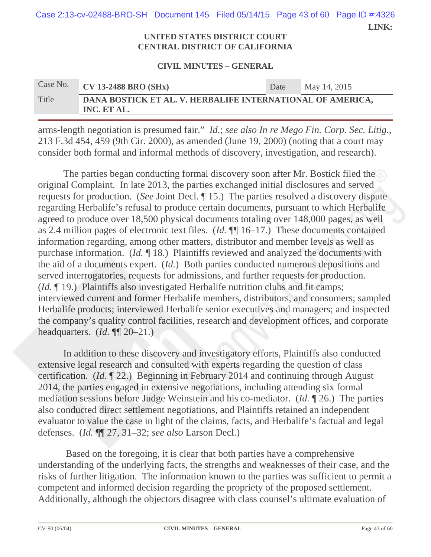**LINK:**  Case 2:13-cv-02488-BRO-SH Document 145 Filed 05/14/15 Page 43 of 60 Page ID #:4326

#### **UNITED STATES DISTRICT COURT CENTRAL DISTRICT OF CALIFORNIA**

#### **CIVIL MINUTES – GENERAL**

# Case No. **CV 13-2488 BRO (SHx)** Date May 14, 2015 Title **DANA BOSTICK ET AL. V. HERBALIFE INTERNATIONAL OF AMERICA, INC. ET AL.**

arms-length negotiation is presumed fair." *Id.*; *see also In re Mego Fin. Corp. Sec. Litig.*, 213 F.3d 454, 459 (9th Cir. 2000), as amended (June 19, 2000) (noting that a court may consider both formal and informal methods of discovery, investigation, and research).

The parties began conducting formal discovery soon after Mr. Bostick filed the original Complaint. In late 2013, the parties exchanged initial disclosures and served requests for production. (*See* Joint Decl. ¶ 15.) The parties resolved a discovery dispute regarding Herbalife's refusal to produce certain documents, pursuant to which Herbalife agreed to produce over 18,500 physical documents totaling over 148,000 pages, as well as 2.4 million pages of electronic text files. (*Id.* ¶¶ 16–17.) These documents contained information regarding, among other matters, distributor and member levels as well as purchase information. (*Id.* ¶ 18.) Plaintiffs reviewed and analyzed the documents with the aid of a documents expert. (*Id.*) Both parties conducted numerous depositions and served interrogatories, requests for admissions, and further requests for production. (*Id.* ¶ 19.) Plaintiffs also investigated Herbalife nutrition clubs and fit camps; interviewed current and former Herbalife members, distributors, and consumers; sampled Herbalife products; interviewed Herbalife senior executives and managers; and inspected the company's quality control facilities, research and development offices, and corporate headquarters. (*Id.* ¶¶ 20–21.)

In addition to these discovery and investigatory efforts, Plaintiffs also conducted extensive legal research and consulted with experts regarding the question of class certification. (*Id.* ¶ 22.) Beginning in February 2014 and continuing through August 2014, the parties engaged in extensive negotiations, including attending six formal mediation sessions before Judge Weinstein and his co-mediator. (*Id.* ¶ 26.) The parties also conducted direct settlement negotiations, and Plaintiffs retained an independent evaluator to value the case in light of the claims, facts, and Herbalife's factual and legal defenses. (*Id.* ¶¶ 27, 31–32; *see also* Larson Decl.)

 Based on the foregoing, it is clear that both parties have a comprehensive understanding of the underlying facts, the strengths and weaknesses of their case, and the risks of further litigation. The information known to the parties was sufficient to permit a competent and informed decision regarding the propriety of the proposed settlement. Additionally, although the objectors disagree with class counsel's ultimate evaluation of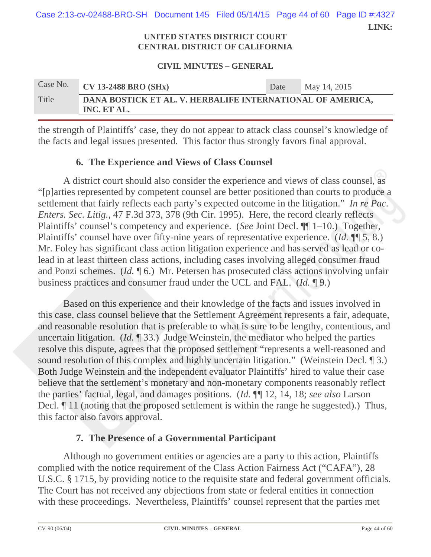**LINK:**  Case 2:13-cv-02488-BRO-SH Document 145 Filed 05/14/15 Page 44 of 60 Page ID #:4327

#### **UNITED STATES DISTRICT COURT CENTRAL DISTRICT OF CALIFORNIA**

#### **CIVIL MINUTES – GENERAL**

| Case No. | $CV$ 13-2488 BRO (SHx)                                                    | Date | May 14, 2015 |
|----------|---------------------------------------------------------------------------|------|--------------|
| Title    | DANA BOSTICK ET AL. V. HERBALIFE INTERNATIONAL OF AMERICA,<br>INC. ET AL. |      |              |

the strength of Plaintiffs' case, they do not appear to attack class counsel's knowledge of the facts and legal issues presented. This factor thus strongly favors final approval.

## **6. The Experience and Views of Class Counsel**

A district court should also consider the experience and views of class counsel, as "[p]arties represented by competent counsel are better positioned than courts to produce a settlement that fairly reflects each party's expected outcome in the litigation." *In re Pac. Enters. Sec. Litig.*, 47 F.3d 373, 378 (9th Cir. 1995). Here, the record clearly reflects Plaintiffs' counsel's competency and experience. (*See* Joint Decl. ¶¶ 1–10.) Together, Plaintiffs' counsel have over fifty-nine years of representative experience. (*Id.* ¶¶ 5, 8.) Mr. Foley has significant class action litigation experience and has served as lead or colead in at least thirteen class actions, including cases involving alleged consumer fraud and Ponzi schemes. (*Id.* ¶ 6.) Mr. Petersen has prosecuted class actions involving unfair business practices and consumer fraud under the UCL and FAL. (*Id.* ¶ 9.)

Based on this experience and their knowledge of the facts and issues involved in this case, class counsel believe that the Settlement Agreement represents a fair, adequate, and reasonable resolution that is preferable to what is sure to be lengthy, contentious, and uncertain litigation. (*Id.* ¶ 33.) Judge Weinstein, the mediator who helped the parties resolve this dispute, agrees that the proposed settlement "represents a well-reasoned and sound resolution of this complex and highly uncertain litigation." (Weinstein Decl. 1 3.) Both Judge Weinstein and the independent evaluator Plaintiffs' hired to value their case believe that the settlement's monetary and non-monetary components reasonably reflect the parties' factual, legal, and damages positions. (*Id.* ¶¶ 12, 14, 18; *see also* Larson Decl.  $\parallel$  11 (noting that the proposed settlement is within the range he suggested).) Thus, this factor also favors approval.

## **7. The Presence of a Governmental Participant**

Although no government entities or agencies are a party to this action, Plaintiffs complied with the notice requirement of the Class Action Fairness Act ("CAFA"), 28 U.S.C. § 1715, by providing notice to the requisite state and federal government officials. The Court has not received any objections from state or federal entities in connection with these proceedings. Nevertheless, Plaintiffs' counsel represent that the parties met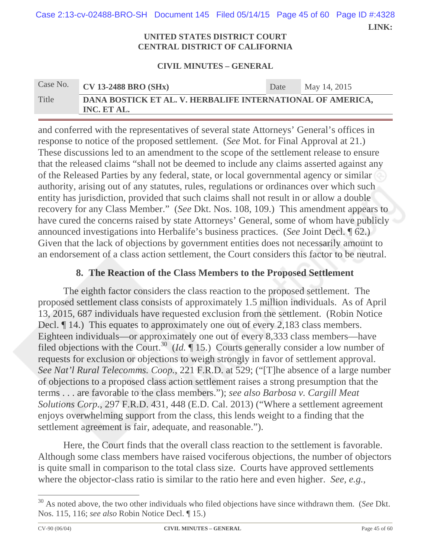**LINK:**  Case 2:13-cv-02488-BRO-SH Document 145 Filed 05/14/15 Page 45 of 60 Page ID #:4328

#### **UNITED STATES DISTRICT COURT CENTRAL DISTRICT OF CALIFORNIA**

#### **CIVIL MINUTES – GENERAL**

| Case No. | <b>CV 13-2488 BRO (SHx)</b>                                               | Date | May 14, 2015 |
|----------|---------------------------------------------------------------------------|------|--------------|
| Title    | DANA BOSTICK ET AL. V. HERBALIFE INTERNATIONAL OF AMERICA,<br>INC. ET AL. |      |              |

and conferred with the representatives of several state Attorneys' General's offices in response to notice of the proposed settlement. (*See* Mot. for Final Approval at 21.) These discussions led to an amendment to the scope of the settlement release to ensure that the released claims "shall not be deemed to include any claims asserted against any of the Released Parties by any federal, state, or local governmental agency or similar authority, arising out of any statutes, rules, regulations or ordinances over which such entity has jurisdiction, provided that such claims shall not result in or allow a double recovery for any Class Member." (*See* Dkt. Nos. 108, 109.) This amendment appears to have cured the concerns raised by state Attorneys' General, some of whom have publicly announced investigations into Herbalife's business practices. (*See* Joint Decl. ¶ 62.) Given that the lack of objections by government entities does not necessarily amount to an endorsement of a class action settlement, the Court considers this factor to be neutral.

## **8. The Reaction of the Class Members to the Proposed Settlement**

The eighth factor considers the class reaction to the proposed settlement. The proposed settlement class consists of approximately 1.5 million individuals. As of April 13, 2015, 687 individuals have requested exclusion from the settlement. (Robin Notice Decl.  $\llbracket$  14.) This equates to approximately one out of every 2,183 class members. Eighteen individuals—or approximately one out of every 8,333 class members—have filed objections with the Court.<sup>30</sup> (*Id.*  $\P$  15.) Courts generally consider a low number of requests for exclusion or objections to weigh strongly in favor of settlement approval. *See Nat'l Rural Telecomms. Coop.*, 221 F.R.D. at 529; ("[T]he absence of a large number of objections to a proposed class action settlement raises a strong presumption that the terms . . . are favorable to the class members."); *see also Barbosa v. Cargill Meat Solutions Corp.*, 297 F.R.D. 431, 448 (E.D. Cal. 2013) ("Where a settlement agreement enjoys overwhelming support from the class, this lends weight to a finding that the settlement agreement is fair, adequate, and reasonable.").

Here, the Court finds that the overall class reaction to the settlement is favorable. Although some class members have raised vociferous objections, the number of objectors is quite small in comparison to the total class size. Courts have approved settlements where the objector-class ratio is similar to the ratio here and even higher. *See, e.g.*,

<sup>30</sup> As noted above, the two other individuals who filed objections have since withdrawn them. (*See* Dkt. Nos. 115, 116; *see also* Robin Notice Decl. ¶ 15.)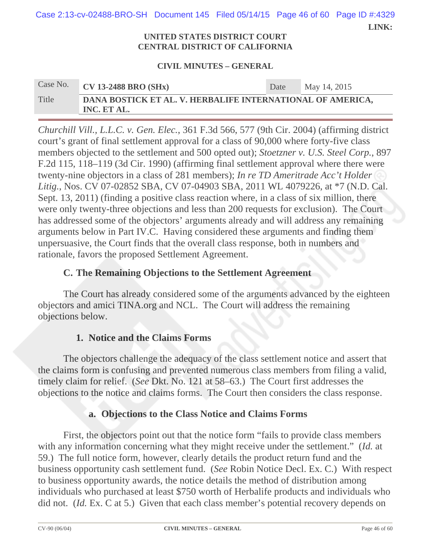Case 2:13-cv-02488-BRO-SH Document 145 Filed 05/14/15 Page 46 of 60 Page ID #:4329

 **LINK:** 

#### **UNITED STATES DISTRICT COURT CENTRAL DISTRICT OF CALIFORNIA**

#### **CIVIL MINUTES – GENERAL**

# Case No. **CV 13-2488 BRO (SHx)** Date May 14, 2015 Title **DANA BOSTICK ET AL. V. HERBALIFE INTERNATIONAL OF AMERICA, INC. ET AL.**

*Churchill Vill., L.L.C. v. Gen. Elec.*, 361 F.3d 566, 577 (9th Cir. 2004) (affirming district court's grant of final settlement approval for a class of 90,000 where forty-five class members objected to the settlement and 500 opted out); *Stoetzner v. U.S. Steel Corp.*, 897 F.2d 115, 118–119 (3d Cir. 1990) (affirming final settlement approval where there were twenty-nine objectors in a class of 281 members); *In re TD Ameritrade Acc't Holder Litig.*, Nos. CV 07-02852 SBA, CV 07-04903 SBA, 2011 WL 4079226, at \*7 (N.D. Cal. Sept. 13, 2011) (finding a positive class reaction where, in a class of six million, there were only twenty-three objections and less than 200 requests for exclusion). The Court has addressed some of the objectors' arguments already and will address any remaining arguments below in Part IV.C. Having considered these arguments and finding them unpersuasive, the Court finds that the overall class response, both in numbers and rationale, favors the proposed Settlement Agreement.

## **C. The Remaining Objections to the Settlement Agreement**

The Court has already considered some of the arguments advanced by the eighteen objectors and amici TINA.org and NCL. The Court will address the remaining objections below.

## **1. Notice and the Claims Forms**

The objectors challenge the adequacy of the class settlement notice and assert that the claims form is confusing and prevented numerous class members from filing a valid, timely claim for relief. (*See* Dkt. No. 121 at 58–63.) The Court first addresses the objections to the notice and claims forms. The Court then considers the class response.

## **a. Objections to the Class Notice and Claims Forms**

First, the objectors point out that the notice form "fails to provide class members with any information concerning what they might receive under the settlement." (*Id.* at 59.) The full notice form, however, clearly details the product return fund and the business opportunity cash settlement fund. (*See* Robin Notice Decl. Ex. C.) With respect to business opportunity awards, the notice details the method of distribution among individuals who purchased at least \$750 worth of Herbalife products and individuals who did not. (*Id.* Ex. C at 5.) Given that each class member's potential recovery depends on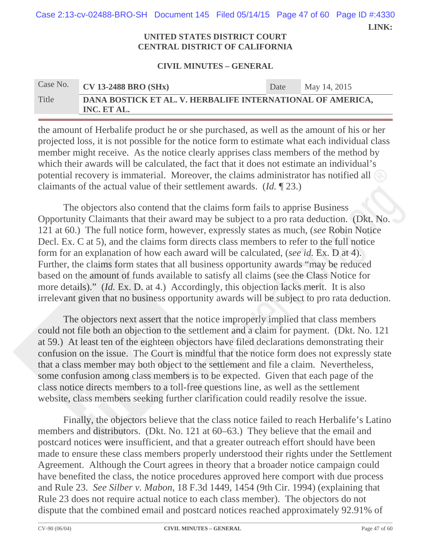**LINK:**  Case 2:13-cv-02488-BRO-SH Document 145 Filed 05/14/15 Page 47 of 60 Page ID #:4330

#### **UNITED STATES DISTRICT COURT CENTRAL DISTRICT OF CALIFORNIA**

#### **CIVIL MINUTES – GENERAL**

| Case No. | $CV$ 13-2488 BRO (SHx)                                                    | Date | May 14, 2015 |
|----------|---------------------------------------------------------------------------|------|--------------|
| Title    | DANA BOSTICK ET AL. V. HERBALIFE INTERNATIONAL OF AMERICA,<br>INC. ET AL. |      |              |

the amount of Herbalife product he or she purchased, as well as the amount of his or her projected loss, it is not possible for the notice form to estimate what each individual class member might receive. As the notice clearly apprises class members of the method by which their awards will be calculated, the fact that it does not estimate an individual's potential recovery is immaterial. Moreover, the claims administrator has notified all claimants of the actual value of their settlement awards. (*Id.* ¶ 23.)

The objectors also contend that the claims form fails to apprise Business Opportunity Claimants that their award may be subject to a pro rata deduction. (Dkt. No. 121 at 60.) The full notice form, however, expressly states as much, (*see* Robin Notice Decl. Ex. C at 5), and the claims form directs class members to refer to the full notice form for an explanation of how each award will be calculated, (*see id.* Ex. D at 4). Further, the claims form states that all business opportunity awards "may be reduced based on the amount of funds available to satisfy all claims (see the Class Notice for more details)." *(Id. Ex. D. at 4.)* Accordingly, this objection lacks merit. It is also irrelevant given that no business opportunity awards will be subject to pro rata deduction.

The objectors next assert that the notice improperly implied that class members could not file both an objection to the settlement and a claim for payment. (Dkt. No. 121 at 59.) At least ten of the eighteen objectors have filed declarations demonstrating their confusion on the issue. The Court is mindful that the notice form does not expressly state that a class member may both object to the settlement and file a claim. Nevertheless, some confusion among class members is to be expected. Given that each page of the class notice directs members to a toll-free questions line, as well as the settlement website, class members seeking further clarification could readily resolve the issue.

Finally, the objectors believe that the class notice failed to reach Herbalife's Latino members and distributors. (Dkt. No. 121 at 60–63.) They believe that the email and postcard notices were insufficient, and that a greater outreach effort should have been made to ensure these class members properly understood their rights under the Settlement Agreement. Although the Court agrees in theory that a broader notice campaign could have benefited the class, the notice procedures approved here comport with due process and Rule 23. *See Silber v. Mabon*, 18 F.3d 1449, 1454 (9th Cir. 1994) (explaining that Rule 23 does not require actual notice to each class member). The objectors do not dispute that the combined email and postcard notices reached approximately 92.91% of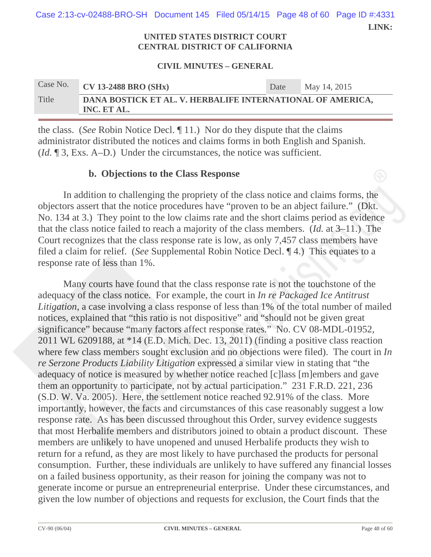**LINK:**  Case 2:13-cv-02488-BRO-SH Document 145 Filed 05/14/15 Page 48 of 60 Page ID #:4331

#### **UNITED STATES DISTRICT COURT CENTRAL DISTRICT OF CALIFORNIA**

#### **CIVIL MINUTES – GENERAL**

| Case No. | $CV$ 13-2488 BRO (SHx)                                                    | Date | May 14, 2015 |
|----------|---------------------------------------------------------------------------|------|--------------|
| Title    | DANA BOSTICK ET AL. V. HERBALIFE INTERNATIONAL OF AMERICA,<br>INC. ET AL. |      |              |

the class. (*See* Robin Notice Decl. ¶ 11.) Nor do they dispute that the claims administrator distributed the notices and claims forms in both English and Spanish. (*Id.* ¶ 3, Exs. A–D.) Under the circumstances, the notice was sufficient.

## **b. Objections to the Class Response**

In addition to challenging the propriety of the class notice and claims forms, the objectors assert that the notice procedures have "proven to be an abject failure." (Dkt. No. 134 at 3.) They point to the low claims rate and the short claims period as evidence that the class notice failed to reach a majority of the class members. (*Id.* at 3–11.) The Court recognizes that the class response rate is low, as only 7,457 class members have filed a claim for relief. (*See* Supplemental Robin Notice Decl. ¶ 4.) This equates to a response rate of less than 1%.

Many courts have found that the class response rate is not the touchstone of the adequacy of the class notice. For example, the court in *In re Packaged Ice Antitrust Litigation*, a case involving a class response of less than 1% of the total number of mailed notices, explained that "this ratio is not dispositive" and "should not be given great significance" because "many factors affect response rates." No. CV 08-MDL-01952, 2011 WL 6209188, at \*14 (E.D. Mich. Dec. 13, 2011) (finding a positive class reaction where few class members sought exclusion and no objections were filed). The court in *In re Serzone Products Liability Litigation* expressed a similar view in stating that "the adequacy of notice is measured by whether notice reached [c]lass [m]embers and gave them an opportunity to participate, not by actual participation." 231 F.R.D. 221, 236 (S.D. W. Va. 2005). Here, the settlement notice reached 92.91% of the class. More importantly, however, the facts and circumstances of this case reasonably suggest a low response rate. As has been discussed throughout this Order, survey evidence suggests that most Herbalife members and distributors joined to obtain a product discount. These members are unlikely to have unopened and unused Herbalife products they wish to return for a refund, as they are most likely to have purchased the products for personal consumption. Further, these individuals are unlikely to have suffered any financial losses on a failed business opportunity, as their reason for joining the company was not to generate income or pursue an entrepreneurial enterprise. Under these circumstances, and given the low number of objections and requests for exclusion, the Court finds that the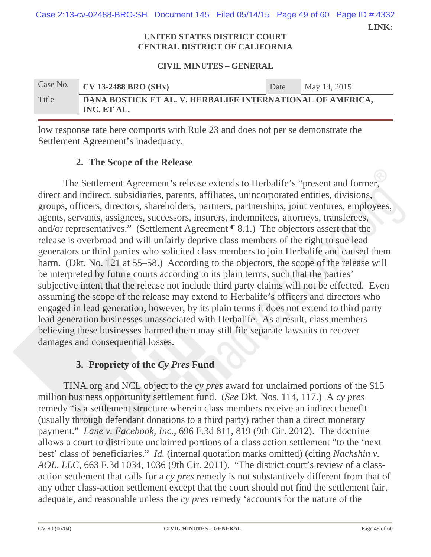**LINK: UNITED STATES DISTRICT COURT**  Case 2:13-cv-02488-BRO-SH Document 145 Filed 05/14/15 Page 49 of 60 Page ID #:4332

# **CENTRAL DISTRICT OF CALIFORNIA**

#### **CIVIL MINUTES – GENERAL**

| Case No. | <b>CV 13-2488 BRO (SHx)</b>                                               | Date | May 14, 2015 |
|----------|---------------------------------------------------------------------------|------|--------------|
| Title    | DANA BOSTICK ET AL. V. HERBALIFE INTERNATIONAL OF AMERICA,<br>INC. ET AL. |      |              |

low response rate here comports with Rule 23 and does not per se demonstrate the Settlement Agreement's inadequacy.

## **2. The Scope of the Release**

The Settlement Agreement's release extends to Herbalife's "present and former, direct and indirect, subsidiaries, parents, affiliates, unincorporated entities, divisions, groups, officers, directors, shareholders, partners, partnerships, joint ventures, employees, agents, servants, assignees, successors, insurers, indemnitees, attorneys, transferees, and/or representatives." (Settlement Agreement ¶ 8.1.) The objectors assert that the release is overbroad and will unfairly deprive class members of the right to sue lead generators or third parties who solicited class members to join Herbalife and caused them harm. (Dkt. No. 121 at 55–58.) According to the objectors, the scope of the release will be interpreted by future courts according to its plain terms, such that the parties' subjective intent that the release not include third party claims will not be effected. Even assuming the scope of the release may extend to Herbalife's officers and directors who engaged in lead generation, however, by its plain terms it does not extend to third party lead generation businesses unassociated with Herbalife. As a result, class members believing these businesses harmed them may still file separate lawsuits to recover damages and consequential losses.

## **3. Propriety of the** *Cy Pres* **Fund**

TINA.org and NCL object to the *cy pres* award for unclaimed portions of the \$15 million business opportunity settlement fund. (*See* Dkt. Nos. 114, 117.) A *cy pres* remedy "is a settlement structure wherein class members receive an indirect benefit (usually through defendant donations to a third party) rather than a direct monetary payment." *Lane v. Facebook, Inc.*, 696 F.3d 811, 819 (9th Cir. 2012). The doctrine allows a court to distribute unclaimed portions of a class action settlement "to the 'next best' class of beneficiaries." *Id.* (internal quotation marks omitted) (citing *Nachshin v. AOL, LLC*, 663 F.3d 1034, 1036 (9th Cir. 2011). "The district court's review of a classaction settlement that calls for a *cy pres* remedy is not substantively different from that of any other class-action settlement except that the court should not find the settlement fair, adequate, and reasonable unless the *cy pres* remedy 'accounts for the nature of the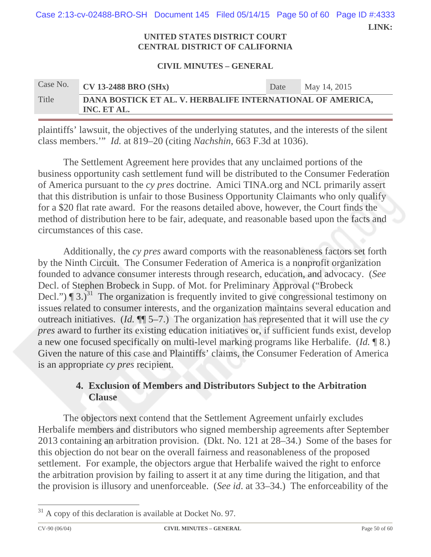**LINK:**  Case 2:13-cv-02488-BRO-SH Document 145 Filed 05/14/15 Page 50 of 60 Page ID #:4333

#### **UNITED STATES DISTRICT COURT CENTRAL DISTRICT OF CALIFORNIA**

#### **CIVIL MINUTES – GENERAL**

| Case No. | <b>CV 13-2488 BRO (SHx)</b>                                               | Date | May 14, 2015 |
|----------|---------------------------------------------------------------------------|------|--------------|
| Title    | DANA BOSTICK ET AL. V. HERBALIFE INTERNATIONAL OF AMERICA,<br>INC. ET AL. |      |              |

plaintiffs' lawsuit, the objectives of the underlying statutes, and the interests of the silent class members.'" *Id.* at 819–20 (citing *Nachshin*, 663 F.3d at 1036).

The Settlement Agreement here provides that any unclaimed portions of the business opportunity cash settlement fund will be distributed to the Consumer Federation of America pursuant to the *cy pres* doctrine. Amici TINA.org and NCL primarily assert that this distribution is unfair to those Business Opportunity Claimants who only qualify for a \$20 flat rate award. For the reasons detailed above, however, the Court finds the method of distribution here to be fair, adequate, and reasonable based upon the facts and circumstances of this case.

Additionally, the *cy pres* award comports with the reasonableness factors set forth by the Ninth Circuit. The Consumer Federation of America is a nonprofit organization founded to advance consumer interests through research, education, and advocacy. (*See* Decl. of Stephen Brobeck in Supp. of Mot. for Preliminary Approval ("Brobeck Decl.")  $\P$  3. $\tilde{j}^{31}$  The organization is frequently invited to give congressional testimony on issues related to consumer interests, and the organization maintains several education and outreach initiatives. (*Id.* ¶¶ 5–7.) The organization has represented that it will use the *cy pres* award to further its existing education initiatives or, if sufficient funds exist, develop a new one focused specifically on multi-level marking programs like Herbalife. (*Id.* ¶ 8.) Given the nature of this case and Plaintiffs' claims, the Consumer Federation of America is an appropriate *cy pres* recipient.

## **4. Exclusion of Members and Distributors Subject to the Arbitration Clause**

The objectors next contend that the Settlement Agreement unfairly excludes Herbalife members and distributors who signed membership agreements after September 2013 containing an arbitration provision. (Dkt. No. 121 at 28–34.) Some of the bases for this objection do not bear on the overall fairness and reasonableness of the proposed settlement. For example, the objectors argue that Herbalife waived the right to enforce the arbitration provision by failing to assert it at any time during the litigation, and that the provision is illusory and unenforceable. (*See id*. at 33–34.) The enforceability of the

 $31$  A copy of this declaration is available at Docket No. 97.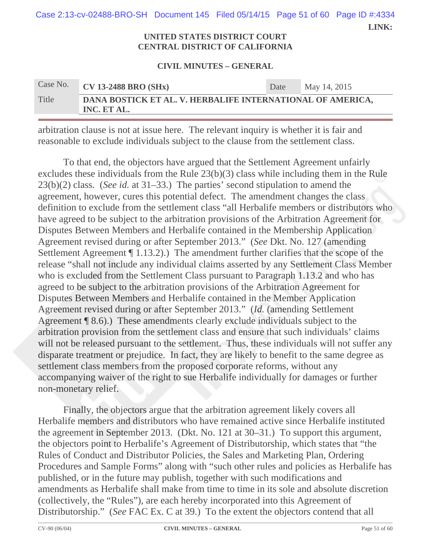**LINK:**  Case 2:13-cv-02488-BRO-SH Document 145 Filed 05/14/15 Page 51 of 60 Page ID #:4334

#### **UNITED STATES DISTRICT COURT CENTRAL DISTRICT OF CALIFORNIA**

#### **CIVIL MINUTES – GENERAL**

| Case No. | $\sqrt{\phantom{a}}$ CV 13-2488 BRO (SHx)                                 | Date | May 14, 2015 |
|----------|---------------------------------------------------------------------------|------|--------------|
| Title    | DANA BOSTICK ET AL. V. HERBALIFE INTERNATIONAL OF AMERICA,<br>INC. ET AL. |      |              |

arbitration clause is not at issue here. The relevant inquiry is whether it is fair and reasonable to exclude individuals subject to the clause from the settlement class.

To that end, the objectors have argued that the Settlement Agreement unfairly excludes these individuals from the Rule 23(b)(3) class while including them in the Rule 23(b)(2) class. (*See id.* at 31–33.) The parties' second stipulation to amend the agreement, however, cures this potential defect. The amendment changes the class definition to exclude from the settlement class "all Herbalife members or distributors who have agreed to be subject to the arbitration provisions of the Arbitration Agreement for Disputes Between Members and Herbalife contained in the Membership Application Agreement revised during or after September 2013." (*See* Dkt. No. 127 (amending Settlement Agreement ¶ 1.13.2).) The amendment further clarifies that the scope of the release "shall not include any individual claims asserted by any Settlement Class Member who is excluded from the Settlement Class pursuant to Paragraph 1.13.2 and who has agreed to be subject to the arbitration provisions of the Arbitration Agreement for Disputes Between Members and Herbalife contained in the Member Application Agreement revised during or after September 2013." (*Id.* (amending Settlement Agreement ¶ 8.6).) These amendments clearly exclude individuals subject to the arbitration provision from the settlement class and ensure that such individuals' claims will not be released pursuant to the settlement. Thus, these individuals will not suffer any disparate treatment or prejudice. In fact, they are likely to benefit to the same degree as settlement class members from the proposed corporate reforms, without any accompanying waiver of the right to sue Herbalife individually for damages or further non-monetary relief.

Finally, the objectors argue that the arbitration agreement likely covers all Herbalife members and distributors who have remained active since Herbalife instituted the agreement in September 2013. (Dkt. No. 121 at 30–31.) To support this argument, the objectors point to Herbalife's Agreement of Distributorship, which states that "the Rules of Conduct and Distributor Policies, the Sales and Marketing Plan, Ordering Procedures and Sample Forms" along with "such other rules and policies as Herbalife has published, or in the future may publish, together with such modifications and amendments as Herbalife shall make from time to time in its sole and absolute discretion (collectively, the "Rules"), are each hereby incorporated into this Agreement of Distributorship." (*See* FAC Ex. C at 39.) To the extent the objectors contend that all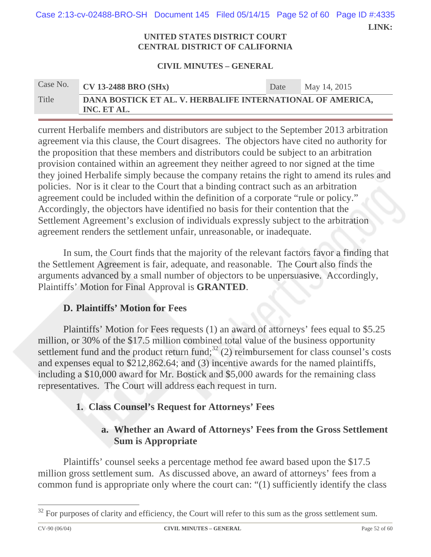| Case 2:13-cv-02488-BRO-SH Document 145 Filed 05/14/15 Page 52 of 60 Page ID #:4335 |  |       |
|------------------------------------------------------------------------------------|--|-------|
|                                                                                    |  | LINK: |

#### **UNITED STATES DISTRICT COURT CENTRAL DISTRICT OF CALIFORNIA**

#### **CIVIL MINUTES – GENERAL**

| Case No. | <b>CV 13-2488 BRO (SHx)</b>                                               | Date | May 14, 2015 |
|----------|---------------------------------------------------------------------------|------|--------------|
| Title    | DANA BOSTICK ET AL. V. HERBALIFE INTERNATIONAL OF AMERICA,<br>INC. ET AL. |      |              |

current Herbalife members and distributors are subject to the September 2013 arbitration agreement via this clause, the Court disagrees. The objectors have cited no authority for the proposition that these members and distributors could be subject to an arbitration provision contained within an agreement they neither agreed to nor signed at the time they joined Herbalife simply because the company retains the right to amend its rules and policies. Nor is it clear to the Court that a binding contract such as an arbitration agreement could be included within the definition of a corporate "rule or policy." Accordingly, the objectors have identified no basis for their contention that the Settlement Agreement's exclusion of individuals expressly subject to the arbitration agreement renders the settlement unfair, unreasonable, or inadequate.

In sum, the Court finds that the majority of the relevant factors favor a finding that the Settlement Agreement is fair, adequate, and reasonable. The Court also finds the arguments advanced by a small number of objectors to be unpersuasive. Accordingly, Plaintiffs' Motion for Final Approval is **GRANTED**.

## **D. Plaintiffs' Motion for Fees**

Plaintiffs' Motion for Fees requests (1) an award of attorneys' fees equal to \$5.25 million, or 30% of the \$17.5 million combined total value of the business opportunity settlement fund and the product return fund;<sup>32</sup> (2) reimbursement for class counsel's costs and expenses equal to \$212,862.64; and (3) incentive awards for the named plaintiffs, including a \$10,000 award for Mr. Bostick and \$5,000 awards for the remaining class representatives. The Court will address each request in turn.

## **1. Class Counsel's Request for Attorneys' Fees**

## **a. Whether an Award of Attorneys' Fees from the Gross Settlement Sum is Appropriate**

Plaintiffs' counsel seeks a percentage method fee award based upon the \$17.5 million gross settlement sum. As discussed above, an award of attorneys' fees from a common fund is appropriate only where the court can: "(1) sufficiently identify the class

 $32$  For purposes of clarity and efficiency, the Court will refer to this sum as the gross settlement sum.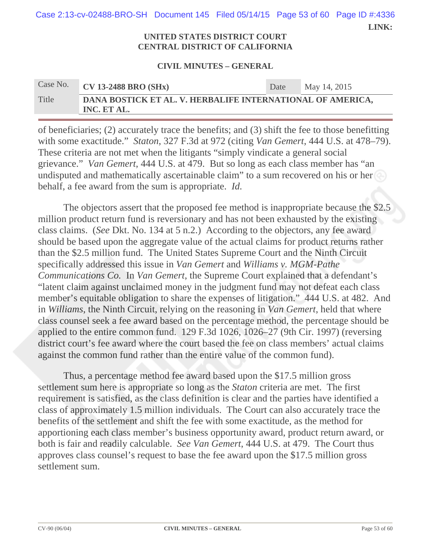**LINK:**  Case 2:13-cv-02488-BRO-SH Document 145 Filed 05/14/15 Page 53 of 60 Page ID #:4336

#### **UNITED STATES DISTRICT COURT CENTRAL DISTRICT OF CALIFORNIA**

#### **CIVIL MINUTES – GENERAL**

# Case No. **CV 13-2488 BRO (SHx)** Date May 14, 2015 Title **DANA BOSTICK ET AL. V. HERBALIFE INTERNATIONAL OF AMERICA, INC. ET AL.**

of beneficiaries; (2) accurately trace the benefits; and (3) shift the fee to those benefitting with some exactitude." *Staton*, 327 F.3d at 972 (citing *Van Gemert*, 444 U.S. at 478–79). These criteria are not met when the litigants "simply vindicate a general social grievance." *Van Gemert*, 444 U.S. at 479. But so long as each class member has "an undisputed and mathematically ascertainable claim" to a sum recovered on his or her behalf, a fee award from the sum is appropriate. *Id.*

The objectors assert that the proposed fee method is inappropriate because the \$2.5 million product return fund is reversionary and has not been exhausted by the existing class claims. (*See* Dkt. No. 134 at 5 n.2.) According to the objectors, any fee award should be based upon the aggregate value of the actual claims for product returns rather than the \$2.5 million fund. The United States Supreme Court and the Ninth Circuit specifically addressed this issue in *Van Gemert* and *Williams v. MGM-Pathe Communications Co.* In *Van Gemert*, the Supreme Court explained that a defendant's "latent claim against unclaimed money in the judgment fund may not defeat each class member's equitable obligation to share the expenses of litigation." 444 U.S. at 482. And in *Williams*, the Ninth Circuit, relying on the reasoning in *Van Gemert*, held that where class counsel seek a fee award based on the percentage method, the percentage should be applied to the entire common fund. 129 F.3d 1026, 1026–27 (9th Cir. 1997) (reversing district court's fee award where the court based the fee on class members' actual claims against the common fund rather than the entire value of the common fund).

Thus, a percentage method fee award based upon the \$17.5 million gross settlement sum here is appropriate so long as the *Staton* criteria are met. The first requirement is satisfied, as the class definition is clear and the parties have identified a class of approximately 1.5 million individuals. The Court can also accurately trace the benefits of the settlement and shift the fee with some exactitude, as the method for apportioning each class member's business opportunity award, product return award, or both is fair and readily calculable. *See Van Gemert*, 444 U.S. at 479. The Court thus approves class counsel's request to base the fee award upon the \$17.5 million gross settlement sum.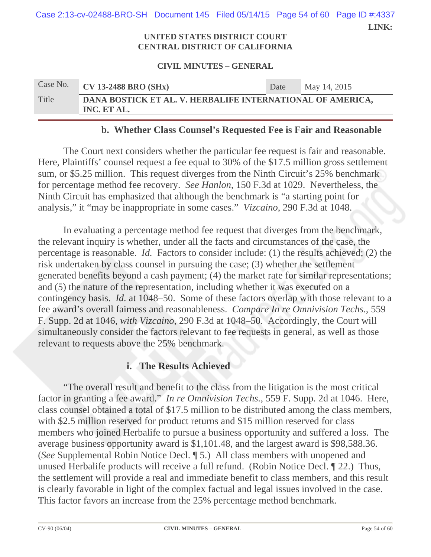| Case 2:13-cv-02488-BRO-SH Document 145 Filed 05/14/15 Page 54 of 60 Page ID #:4337 |                                     |  | LINK: |
|------------------------------------------------------------------------------------|-------------------------------------|--|-------|
|                                                                                    | <b>INITED STATES DISTRICT COURT</b> |  |       |

## **CENTRAL DISTRICT OF CALIFORNIA**

#### **CIVIL MINUTES – GENERAL**

| Case No. | <b>CV 13-2488 BRO (SHx)</b>                                               | Date | May 14, 2015 |
|----------|---------------------------------------------------------------------------|------|--------------|
| Title    | DANA BOSTICK ET AL. V. HERBALIFE INTERNATIONAL OF AMERICA,<br>INC. ET AL. |      |              |

## **b. Whether Class Counsel's Requested Fee is Fair and Reasonable**

The Court next considers whether the particular fee request is fair and reasonable. Here, Plaintiffs' counsel request a fee equal to 30% of the \$17.5 million gross settlement sum, or \$5.25 million. This request diverges from the Ninth Circuit's 25% benchmark for percentage method fee recovery. *See Hanlon*, 150 F.3d at 1029. Nevertheless, the Ninth Circuit has emphasized that although the benchmark is "a starting point for analysis," it "may be inappropriate in some cases." *Vizcaino*, 290 F.3d at 1048.

In evaluating a percentage method fee request that diverges from the benchmark, the relevant inquiry is whether, under all the facts and circumstances of the case, the percentage is reasonable. *Id.* Factors to consider include: (1) the results achieved; (2) the risk undertaken by class counsel in pursuing the case; (3) whether the settlement generated benefits beyond a cash payment; (4) the market rate for similar representations; and (5) the nature of the representation, including whether it was executed on a contingency basis. *Id.* at 1048–50. Some of these factors overlap with those relevant to a fee award's overall fairness and reasonableness. *Compare In re Omnivision Techs.*, 559 F. Supp. 2d at 1046, *with Vizcaino*, 290 F.3d at 1048–50. Accordingly, the Court will simultaneously consider the factors relevant to fee requests in general, as well as those relevant to requests above the 25% benchmark.

### **i. The Results Achieved**

"The overall result and benefit to the class from the litigation is the most critical factor in granting a fee award." *In re Omnivision Techs.*, 559 F. Supp. 2d at 1046. Here, class counsel obtained a total of \$17.5 million to be distributed among the class members, with \$2.5 million reserved for product returns and \$15 million reserved for class members who joined Herbalife to pursue a business opportunity and suffered a loss. The average business opportunity award is \$1,101.48, and the largest award is \$98,588.36. (*See* Supplemental Robin Notice Decl. ¶ 5.) All class members with unopened and unused Herbalife products will receive a full refund. (Robin Notice Decl. ¶ 22.) Thus, the settlement will provide a real and immediate benefit to class members, and this result is clearly favorable in light of the complex factual and legal issues involved in the case. This factor favors an increase from the 25% percentage method benchmark.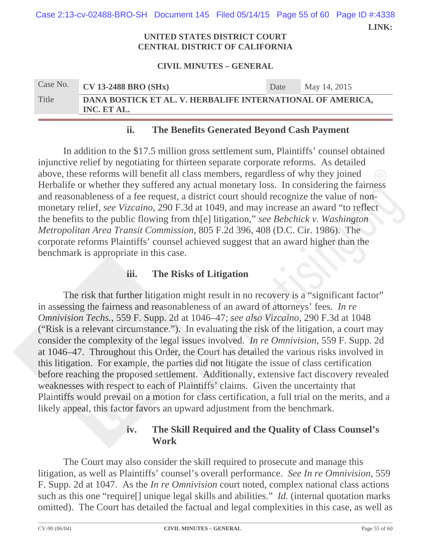**LINK:**  Case 2:13-cv-02488-BRO-SH Document 145 Filed 05/14/15 Page 55 of 60 Page ID #:4338

#### **UNITED STATES DISTRICT COURT CENTRAL DISTRICT OF CALIFORNIA**

#### **CIVIL MINUTES – GENERAL**

| Case No. | <b>CV 13-2488 BRO (SHx)</b>                                               | Date | May 14, 2015 |
|----------|---------------------------------------------------------------------------|------|--------------|
| Title    | DANA BOSTICK ET AL. V. HERBALIFE INTERNATIONAL OF AMERICA,<br>INC. ET AL. |      |              |

## **ii. The Benefits Generated Beyond Cash Payment**

In addition to the \$17.5 million gross settlement sum, Plaintiffs' counsel obtained injunctive relief by negotiating for thirteen separate corporate reforms. As detailed above, these reforms will benefit all class members, regardless of why they joined Herbalife or whether they suffered any actual monetary loss. In considering the fairness and reasonableness of a fee request, a district court should recognize the value of nonmonetary relief, *see Vizcaino*, 290 F.3d at 1049, and may increase an award "to reflect the benefits to the public flowing from th[e] litigation," *see Bebchick v. Washington Metropolitan Area Transit Commission*, 805 F.2d 396, 408 (D.C. Cir. 1986). The corporate reforms Plaintiffs' counsel achieved suggest that an award higher than the benchmark is appropriate in this case.

### **iii. The Risks of Litigation**

The risk that further litigation might result in no recovery is a "significant factor" in assessing the fairness and reasonableness of an award of attorneys' fees. *In re Omnivision Techs.*, 559 F. Supp. 2d at 1046–47; *see also Vizcaino*, 290 F.3d at 1048 ("Risk is a relevant circumstance."). In evaluating the risk of the litigation, a court may consider the complexity of the legal issues involved. *In re Omnivision*, 559 F. Supp. 2d at 1046–47. Throughout this Order, the Court has detailed the various risks involved in this litigation. For example, the parties did not litigate the issue of class certification before reaching the proposed settlement. Additionally, extensive fact discovery revealed weaknesses with respect to each of Plaintiffs' claims. Given the uncertainty that Plaintiffs would prevail on a motion for class certification, a full trial on the merits, and a likely appeal, this factor favors an upward adjustment from the benchmark.

## **iv. The Skill Required and the Quality of Class Counsel's Work**

The Court may also consider the skill required to prosecute and manage this litigation, as well as Plaintiffs' counsel's overall performance. *See In re Omnivision*, 559 F. Supp. 2d at 1047. As the *In re Omnivision* court noted, complex national class actions such as this one "require[] unique legal skills and abilities." *Id.* (internal quotation marks omitted). The Court has detailed the factual and legal complexities in this case, as well as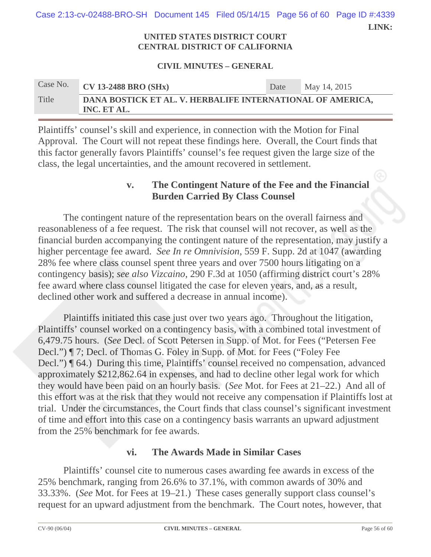**LINK:**  Case 2:13-cv-02488-BRO-SH Document 145 Filed 05/14/15 Page 56 of 60 Page ID #:4339

#### **UNITED STATES DISTRICT COURT CENTRAL DISTRICT OF CALIFORNIA**

#### **CIVIL MINUTES – GENERAL**

# Case No. **CV 13-2488 BRO (SHx)** Date May 14, 2015 Title **DANA BOSTICK ET AL. V. HERBALIFE INTERNATIONAL OF AMERICA, INC. ET AL.**

Plaintiffs' counsel's skill and experience, in connection with the Motion for Final Approval. The Court will not repeat these findings here. Overall, the Court finds that this factor generally favors Plaintiffs' counsel's fee request given the large size of the class, the legal uncertainties, and the amount recovered in settlement.

## **v. The Contingent Nature of the Fee and the Financial Burden Carried By Class Counsel**

The contingent nature of the representation bears on the overall fairness and reasonableness of a fee request. The risk that counsel will not recover, as well as the financial burden accompanying the contingent nature of the representation, may justify a higher percentage fee award. *See In re Omnivision*, 559 F. Supp. 2d at 1047 (awarding 28% fee where class counsel spent three years and over 7500 hours litigating on a contingency basis); *see also Vizcaino*, 290 F.3d at 1050 (affirming district court's 28% fee award where class counsel litigated the case for eleven years, and, as a result, declined other work and suffered a decrease in annual income).

Plaintiffs initiated this case just over two years ago. Throughout the litigation, Plaintiffs' counsel worked on a contingency basis, with a combined total investment of 6,479.75 hours. (*See* Decl. of Scott Petersen in Supp. of Mot. for Fees ("Petersen Fee Decl.") ¶ 7; Decl. of Thomas G. Foley in Supp. of Mot. for Fees ("Foley Fee Decl.") ¶ 64.) During this time, Plaintiffs' counsel received no compensation, advanced approximately \$212,862.64 in expenses, and had to decline other legal work for which they would have been paid on an hourly basis. (*See* Mot. for Fees at 21–22.) And all of this effort was at the risk that they would not receive any compensation if Plaintiffs lost at trial. Under the circumstances, the Court finds that class counsel's significant investment of time and effort into this case on a contingency basis warrants an upward adjustment from the 25% benchmark for fee awards.

## **vi. The Awards Made in Similar Cases**

Plaintiffs' counsel cite to numerous cases awarding fee awards in excess of the 25% benchmark, ranging from 26.6% to 37.1%, with common awards of 30% and 33.33%. (*See* Mot. for Fees at 19–21.) These cases generally support class counsel's request for an upward adjustment from the benchmark. The Court notes, however, that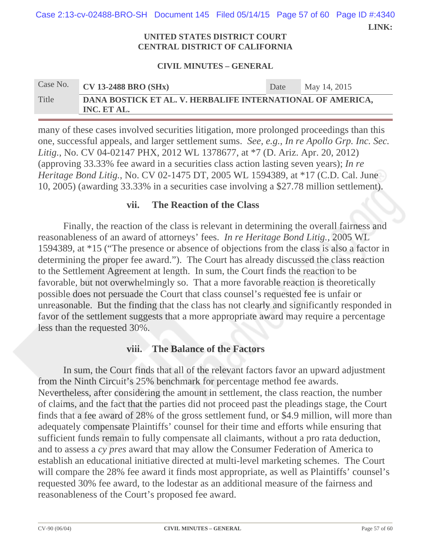**LINK:**  Case 2:13-cv-02488-BRO-SH Document 145 Filed 05/14/15 Page 57 of 60 Page ID #:4340

#### **UNITED STATES DISTRICT COURT CENTRAL DISTRICT OF CALIFORNIA**

#### **CIVIL MINUTES – GENERAL**

# Case No. **CV 13-2488 BRO (SHx)** Date May 14, 2015 Title **DANA BOSTICK ET AL. V. HERBALIFE INTERNATIONAL OF AMERICA, INC. ET AL.**

many of these cases involved securities litigation, more prolonged proceedings than this one, successful appeals, and larger settlement sums. *See, e.g.*, *In re Apollo Grp. Inc. Sec. Litig.*, No. CV 04-02147 PHX, 2012 WL 1378677, at \*7 (D. Ariz. Apr. 20, 2012) (approving 33.33% fee award in a securities class action lasting seven years); *In re Heritage Bond Litig.*, No. CV 02-1475 DT, 2005 WL 1594389, at \*17 (C.D. Cal. June 10, 2005) (awarding 33.33% in a securities case involving a \$27.78 million settlement).

## **vii. The Reaction of the Class**

Finally, the reaction of the class is relevant in determining the overall fairness and reasonableness of an award of attorneys' fees. *In re Heritage Bond Litig.*, 2005 WL 1594389, at \*15 ("The presence or absence of objections from the class is also a factor in determining the proper fee award."). The Court has already discussed the class reaction to the Settlement Agreement at length. In sum, the Court finds the reaction to be favorable, but not overwhelmingly so. That a more favorable reaction is theoretically possible does not persuade the Court that class counsel's requested fee is unfair or unreasonable. But the finding that the class has not clearly and significantly responded in favor of the settlement suggests that a more appropriate award may require a percentage less than the requested 30%.

### **viii. The Balance of the Factors**

In sum, the Court finds that all of the relevant factors favor an upward adjustment from the Ninth Circuit's 25% benchmark for percentage method fee awards. Nevertheless, after considering the amount in settlement, the class reaction, the number of claims, and the fact that the parties did not proceed past the pleadings stage, the Court finds that a fee award of 28% of the gross settlement fund, or \$4.9 million, will more than adequately compensate Plaintiffs' counsel for their time and efforts while ensuring that sufficient funds remain to fully compensate all claimants, without a pro rata deduction, and to assess a *cy pres* award that may allow the Consumer Federation of America to establish an educational initiative directed at multi-level marketing schemes. The Court will compare the 28% fee award it finds most appropriate, as well as Plaintiffs' counsel's requested 30% fee award, to the lodestar as an additional measure of the fairness and reasonableness of the Court's proposed fee award.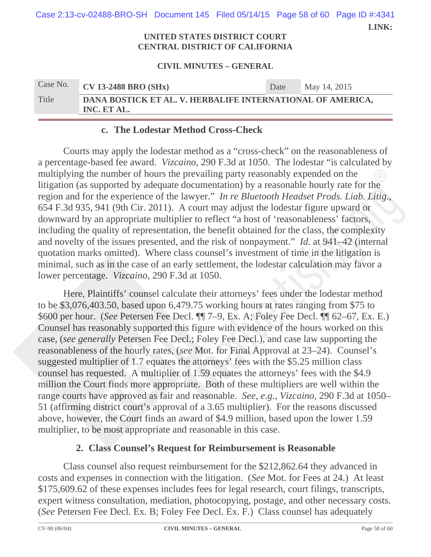**LINK: UNITED STATES DISTRICT COURT**  Case 2:13-cv-02488-BRO-SH Document 145 Filed 05/14/15 Page 58 of 60 Page ID #:4341

# **CENTRAL DISTRICT OF CALIFORNIA**

#### **CIVIL MINUTES – GENERAL**

| Case No. | <b>CV 13-2488 BRO (SHx)</b>                                               | Date | May 14, 2015 |
|----------|---------------------------------------------------------------------------|------|--------------|
| Title    | DANA BOSTICK ET AL. V. HERBALIFE INTERNATIONAL OF AMERICA,<br>INC. ET AL. |      |              |

## **c. The Lodestar Method Cross-Check**

Courts may apply the lodestar method as a "cross-check" on the reasonableness of a percentage-based fee award. *Vizcaino*, 290 F.3d at 1050. The lodestar "is calculated by multiplying the number of hours the prevailing party reasonably expended on the litigation (as supported by adequate documentation) by a reasonable hourly rate for the region and for the experience of the lawyer." *In re Bluetooth Headset Prods. Liab. Litig.*, 654 F.3d 935, 941 (9th Cir. 2011). A court may adjust the lodestar figure upward or downward by an appropriate multiplier to reflect "a host of 'reasonableness' factors, including the quality of representation, the benefit obtained for the class, the complexity and novelty of the issues presented, and the risk of nonpayment." *Id.* at 941–42 (internal quotation marks omitted). Where class counsel's investment of time in the litigation is minimal, such as in the case of an early settlement, the lodestar calculation may favor a lower percentage. *Vizcaino*, 290 F.3d at 1050.

Here, Plaintiffs' counsel calculate their attorneys' fees under the lodestar method to be \$3,076,403.50, based upon 6,479.75 working hours at rates ranging from \$75 to \$600 per hour. (*See* Petersen Fee Decl. ¶¶ 7–9, Ex. A; Foley Fee Decl. ¶¶ 62–67, Ex. E.) Counsel has reasonably supported this figure with evidence of the hours worked on this case, (*see generally* Petersen Fee Decl.; Foley Fee Decl.), and case law supporting the reasonableness of the hourly rates, (*see* Mot. for Final Approval at 23–24). Counsel's suggested multiplier of 1.7 equates the attorneys' fees with the \$5.25 million class counsel has requested. A multiplier of 1.59 equates the attorneys' fees with the \$4.9 million the Court finds more appropriate. Both of these multipliers are well within the range courts have approved as fair and reasonable. *See, e.g.*, *Vizcaino*, 290 F.3d at 1050– 51 (affirming district court's approval of a 3.65 multiplier). For the reasons discussed above, however, the Court finds an award of \$4.9 million, based upon the lower 1.59 multiplier, to be most appropriate and reasonable in this case.

## **2. Class Counsel's Request for Reimbursement is Reasonable**

Class counsel also request reimbursement for the \$212,862.64 they advanced in costs and expenses in connection with the litigation. (*See* Mot. for Fees at 24.) At least \$175,609.62 of these expenses includes fees for legal research, court filings, transcripts, expert witness consultation, mediation, photocopying, postage, and other necessary costs. (*See* Petersen Fee Decl. Ex. B; Foley Fee Decl. Ex. F.) Class counsel has adequately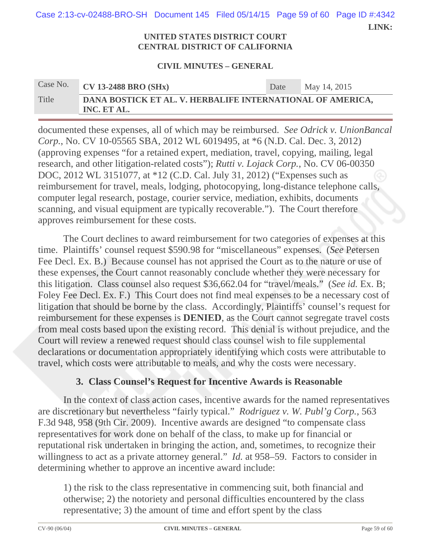Case 2:13-cv-02488-BRO-SH Document 145 Filed 05/14/15 Page 59 of 60 Page ID #:4342

 **LINK:** 

#### **UNITED STATES DISTRICT COURT CENTRAL DISTRICT OF CALIFORNIA**

#### **CIVIL MINUTES – GENERAL**

# Case No. **CV 13-2488 BRO (SHx)** Date May 14, 2015 Title **DANA BOSTICK ET AL. V. HERBALIFE INTERNATIONAL OF AMERICA, INC. ET AL.**

documented these expenses, all of which may be reimbursed. *See Odrick v. UnionBancal Corp.*, No. CV 10-05565 SBA, 2012 WL 6019495, at \*6 (N.D. Cal. Dec. 3, 2012) (approving expenses "for a retained expert, mediation, travel, copying, mailing, legal research, and other litigation-related costs"); *Rutti v. Lojack Corp.*, No. CV 06-00350 DOC, 2012 WL 3151077, at \*12 (C.D. Cal. July 31, 2012) ("Expenses such as reimbursement for travel, meals, lodging, photocopying, long-distance telephone calls, computer legal research, postage, courier service, mediation, exhibits, documents scanning, and visual equipment are typically recoverable."). The Court therefore approves reimbursement for these costs.

The Court declines to award reimbursement for two categories of expenses at this time. Plaintiffs' counsel request \$590.98 for "miscellaneous" expenses. (*See* Petersen Fee Decl. Ex. B.) Because counsel has not apprised the Court as to the nature or use of these expenses, the Court cannot reasonably conclude whether they were necessary for this litigation. Class counsel also request \$36,662.04 for "travel/meals." (*See id.* Ex. B; Foley Fee Decl. Ex. F.) This Court does not find meal expenses to be a necessary cost of litigation that should be borne by the class. Accordingly, Plaintiffs' counsel's request for reimbursement for these expenses is **DENIED**, as the Court cannot segregate travel costs from meal costs based upon the existing record. This denial is without prejudice, and the Court will review a renewed request should class counsel wish to file supplemental declarations or documentation appropriately identifying which costs were attributable to travel, which costs were attributable to meals, and why the costs were necessary.

## **3. Class Counsel's Request for Incentive Awards is Reasonable**

In the context of class action cases, incentive awards for the named representatives are discretionary but nevertheless "fairly typical." *Rodriguez v. W. Publ'g Corp.*, 563 F.3d 948, 958 (9th Cir. 2009). Incentive awards are designed "to compensate class representatives for work done on behalf of the class, to make up for financial or reputational risk undertaken in bringing the action, and, sometimes, to recognize their willingness to act as a private attorney general." *Id.* at 958–59. Factors to consider in determining whether to approve an incentive award include:

1) the risk to the class representative in commencing suit, both financial and otherwise; 2) the notoriety and personal difficulties encountered by the class representative; 3) the amount of time and effort spent by the class